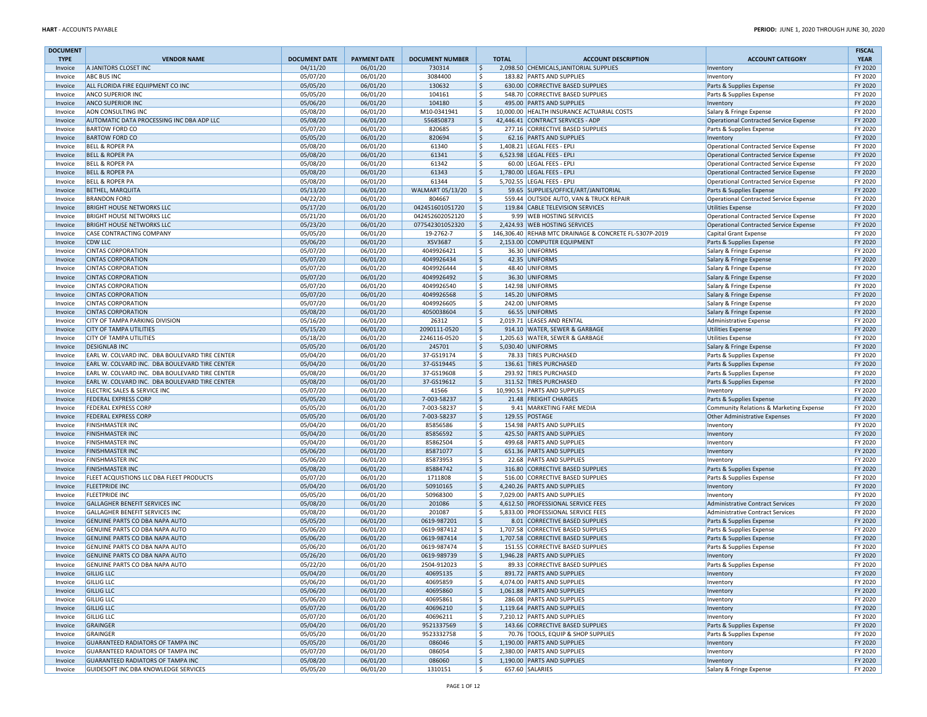| <b>DOCUMENT</b> |                                                                  |                      |                      |                            |              |                                                                 |                                         | <b>FISCAL</b> |
|-----------------|------------------------------------------------------------------|----------------------|----------------------|----------------------------|--------------|-----------------------------------------------------------------|-----------------------------------------|---------------|
| <b>TYPE</b>     | <b>VENDOR NAME</b>                                               | <b>DOCUMENT DATE</b> | <b>PAYMENT DATE</b>  | <b>DOCUMENT NUMBER</b>     | <b>TOTAL</b> | <b>ACCOUNT DESCRIPTION</b>                                      | <b>ACCOUNT CATEGORY</b>                 | <b>YEAR</b>   |
| Invoice         | A JANITORS CLOSET INC                                            | 04/11/20             | 06/01/20             | 730314                     | Ŝ.           | 2,098.50 CHEMICALS, JANITORIAL SUPPLIES                         | Inventory                               | FY 2020       |
| Invoice         | <b>ABC BUS INC</b>                                               | 05/07/20             | 06/01/20             | 3084400                    | \$           | 183.82 PARTS AND SUPPLIES                                       | Inventory                               | FY 2020       |
| Invoice         | ALL FLORIDA FIRE EQUIPMENT CO INC                                | 05/05/20             | 06/01/20             | 130632                     | 5            | 630.00 CORRECTIVE BASED SUPPLIES                                | Parts & Supplies Expense                | FY 2020       |
| Invoice         | <b>ANCO SUPERIOR INC</b>                                         | 05/05/20             | 06/01/20             | 104161                     | \$           | 548.70 CORRECTIVE BASED SUPPLIES                                | Parts & Supplies Expense                | FY 2020       |
| Invoice         | <b>ANCO SUPERIOR INC</b>                                         | 05/06/20             | 06/01/20             | 104180                     | 5            | 495.00 PARTS AND SUPPLIES                                       | Inventory                               | FY 2020       |
| Invoice         | AON CONSULTING INC                                               | 05/08/20             | 06/01/20             | M10-0341941                | Ŝ.           | 10,000.00 HEALTH INSURANCE ACTUARIAL COSTS                      | Salary & Fringe Expense                 | FY 2020       |
| Invoice         | AUTOMATIC DATA PROCESSING INC DBA ADP LLC                        | 05/08/20             | 06/01/20             | 556850873                  | 5            | 42,446.41 CONTRACT SERVICES - ADP                               | Operational Contracted Service Expense  | FY 2020       |
| Invoice         | <b>BARTOW FORD CO</b>                                            | 05/07/20             | 06/01/20             | 820685                     | <sub>S</sub> | 277.16 CORRECTIVE BASED SUPPLIES                                | Parts & Supplies Expense                | FY 2020       |
| Invoice         | <b>BARTOW FORD CO</b>                                            | 05/05/20             | 06/01/20             | 820694                     | $\zeta$      | 62.16 PARTS AND SUPPLIES                                        | Inventory                               | FY 2020       |
| Invoice         | <b>BELL &amp; ROPER PA</b>                                       | 05/08/20             | 06/01/20             | 61340                      | \$           | 1,408.21 LEGAL FEES - EPLI                                      | Operational Contracted Service Expense  | FY 2020       |
| Invoice         | <b>BELL &amp; ROPER PA</b>                                       | 05/08/20             | 06/01/20             | 61341                      | $\zeta$      | 6,523.98 LEGAL FEES - EPLI                                      | Operational Contracted Service Expense  | FY 2020       |
| Invoice         | <b>BELL &amp; ROPER PA</b>                                       | 05/08/20             | 06/01/20             | 61342                      | l\$          | 60.00 LEGAL FEES - EPLI                                         | Operational Contracted Service Expense  | FY 2020       |
| Invoice         | <b>BELL &amp; ROPER PA</b>                                       | 05/08/20             | 06/01/20             | 61343                      | \$           | 1,780.00 LEGAL FEES - EPLI                                      | Operational Contracted Service Expense  | FY 2020       |
| Invoice         | <b>BELL &amp; ROPER PA</b>                                       | 05/08/20             | 06/01/20             | 61344                      | l\$          | 5,702.55 LEGAL FEES - EPLI                                      | Operational Contracted Service Expense  | FY 2020       |
| Invoice         | <b>BETHEL, MARQUITA</b>                                          | 05/13/20             | 06/01/20             | WALMART 05/13/20           | $\vert$ \$   | 59.65 SUPPLIES/OFFICE/ART/JANITORIAL                            | Parts & Supplies Expense                | FY 2020       |
| Invoice         | <b>BRANDON FORD</b>                                              | 04/22/20             | 06/01/20             | 804667                     | \$           | 559.44 OUTSIDE AUTO, VAN & TRUCK REPAIR                         | Operational Contracted Service Expense  | FY 2020       |
| Invoice         | <b>BRIGHT HOUSE NETWORKS LLC</b>                                 | 05/17/20             | 06/01/20             | 042451601051720            | 5            | 119.84 CABLE TELEVISION SERVICES                                | <b>Utilities Expense</b>                | FY 2020       |
| Invoice         | <b>BRIGHT HOUSE NETWORKS LLC</b>                                 | 05/21/20             | 06/01/20             | 042452602052120            | l \$         | 9.99 WEB HOSTING SERVICES                                       | Operational Contracted Service Expense  | FY 2020       |
| Invoice         | <b>BRIGHT HOUSE NETWORKS LLC</b>                                 | 05/23/20             | 06/01/20             | 077542301052320            | l \$         | 2,424.93 WEB HOSTING SERVICES                                   | Operational Contracted Service Expense  | FY 2020       |
| Invoice         | <b>CASE CONTRACTING COMPANY</b>                                  | 05/05/20             | 06/01/20             | 19-2762-7                  | \$           | 146,306.40 REHAB MTC DRAINAGE & CONCRETE FL-5307P-2019          | Capital Grant Expense                   | FY 2020       |
| Invoice         | <b>CDW LLC</b>                                                   | 05/06/20             | 06/01/20             | XSV3687                    | Ŝ.           | 2,153.00 COMPUTER EQUIPMENT                                     | Parts & Supplies Expense                | FY 2020       |
| Invoice         | <b>CINTAS CORPORATION</b>                                        | 05/07/20             | 06/01/20             | 4049926421                 | l \$         | 36.30 UNIFORMS                                                  | Salary & Fringe Expense                 | FY 2020       |
| Invoice         | <b>CINTAS CORPORATION</b>                                        | 05/07/20             | 06/01/20             | 4049926434                 | l\$          | 42.35 UNIFORMS                                                  | Salary & Fringe Expense                 | FY 2020       |
| Invoice         | <b>CINTAS CORPORATION</b>                                        | 05/07/20             | 06/01/20             | 4049926444                 | l \$         | 48.40 UNIFORMS                                                  | Salary & Fringe Expense                 | FY 2020       |
| Invoice         | <b>CINTAS CORPORATION</b>                                        | 05/07/20             | 06/01/20             | 4049926492                 | 5            | 36.30 UNIFORMS                                                  | Salary & Fringe Expense                 | FY 2020       |
| Invoice         | <b>CINTAS CORPORATION</b>                                        | 05/07/20             | 06/01/20             | 4049926540                 | l\$          | 142.98 UNIFORMS                                                 | Salary & Fringe Expense                 | FY 2020       |
| Invoice         | <b>CINTAS CORPORATION</b>                                        | 05/07/20             | 06/01/20             | 4049926568                 | \$           | 145.20 UNIFORMS                                                 | Salary & Fringe Expense                 | FY 2020       |
| Invoice         | <b>CINTAS CORPORATION</b>                                        | 05/07/20             | 06/01/20             | 4049926605                 | S.           | 242.00 UNIFORMS                                                 | Salary & Fringe Expense                 | FY 2020       |
| Invoice         | <b>CINTAS CORPORATION</b>                                        | 05/08/20             | 06/01/20             | 4050038604                 | Ŝ.           | 66.55 UNIFORMS                                                  | Salary & Fringe Expense                 | FY 2020       |
| Invoice         | CITY OF TAMPA PARKING DIVISION                                   | 05/16/20             | 06/01/20             | 26312                      | S.           | 2,019.71 LEASES AND RENTAL                                      | Administrative Expense                  | FY 2020       |
| Invoice         | <b>CITY OF TAMPA UTILITIES</b>                                   | 05/15/20             | 06/01/20             | 2090111-0520               | l\$          | 914.10 WATER, SEWER & GARBAGE                                   | <b>Utilities Expense</b>                | FY 2020       |
| Invoice         | CITY OF TAMPA UTILITIES                                          | 05/18/20             | 06/01/20             | 2246116-0520               | \$           | 1,205.63 WATER, SEWER & GARBAGE                                 | Utilities Expense                       | FY 2020       |
| Invoice         | <b>DESIGNLAB INC</b>                                             | 05/05/20             | 06/01/20             | 245701                     | $\mathsf{S}$ | 5,030.40 UNIFORMS                                               | Salary & Fringe Expense                 | FY 2020       |
| Invoice         | EARL W. COLVARD INC. DBA BOULEVARD TIRE CENTER                   | 05/04/20             | 06/01/20             | 37-GS19174                 | \$           | 78.33 TIRES PURCHASED                                           | Parts & Supplies Expense                | FY 2020       |
| Invoice         | EARL W. COLVARD INC. DBA BOULEVARD TIRE CENTER                   | 05/04/20             | 06/01/20             | 37-GS19445                 | 5            | 136.61 TIRES PURCHASED                                          | Parts & Supplies Expense                | FY 2020       |
| Invoice         | EARL W. COLVARD INC. DBA BOULEVARD TIRE CENTER                   | 05/08/20             | 06/01/20             | 37-GS19608                 | \$           | 293.92 TIRES PURCHASED                                          | Parts & Supplies Expense                | FY 2020       |
| Invoice         | EARL W. COLVARD INC. DBA BOULEVARD TIRE CENTER                   | 05/08/20             | 06/01/20             | 37-GS19612                 | $\mathsf{S}$ | 311.52 TIRES PURCHASED                                          | Parts & Supplies Expense                | FY 2020       |
| Invoice         | ELECTRIC SALES & SERVICE INC                                     | 05/07/20             | 06/01/20             | 41566                      | S.           | 10,990.51 PARTS AND SUPPLIES                                    | Inventory                               | FY 2020       |
| Invoice         | FEDERAL EXPRESS CORP                                             | 05/05/20             | 06/01/20             | 7-003-58237                | 5            | 21.48 FREIGHT CHARGES                                           | Parts & Supplies Expense                | FY 2020       |
| Invoice         | FEDERAL EXPRESS CORP                                             | 05/05/20             | 06/01/20             | 7-003-58237                | \$           | 9.41 MARKETING FARE MEDIA                                       | Community Relations & Marketing Expense | FY 2020       |
| Invoice         | FEDERAL EXPRESS CORP                                             | 05/05/20             | 06/01/20             | 7-003-58237                | \$           | 129.55 POSTAGE                                                  | Other Administrative Expenses           | FY 2020       |
| Invoice         | <b>FINISHMASTER INC</b>                                          | 05/04/20             | 06/01/20             | 85856586                   | \$           | 154.98 PARTS AND SUPPLIES                                       | Inventory                               | FY 2020       |
| Invoice         | <b>FINISHMASTER INC</b>                                          | 05/04/20             | 06/01/20             | 85856592                   | \$           | 425.50 PARTS AND SUPPLIES                                       | Inventory                               | FY 2020       |
| Invoice         | <b>FINISHMASTER INC</b>                                          | 05/04/20             | 06/01/20             | 85862504                   | \$           | 499.68 PARTS AND SUPPLIES                                       | Inventory                               | FY 2020       |
| Invoice         | <b>FINISHMASTER INC</b>                                          | 05/06/20             | 06/01/20             | 85871077                   | l \$         | 651.36 PARTS AND SUPPLIES                                       | Inventory                               | FY 2020       |
| Invoice         | <b>FINISHMASTER INC</b>                                          | 05/06/20             | 06/01/20             | 85873953                   | Ŝ.           | 22.68 PARTS AND SUPPLIES                                        | Inventory                               | FY 2020       |
| Invoice         | <b>FINISHMASTER INC</b>                                          | 05/08/20             | 06/01/20             | 85884742                   | l\$          | 316.80 CORRECTIVE BASED SUPPLIES                                | Parts & Supplies Expense                | FY 2020       |
| Invoice         | FLEET ACQUISTIONS LLC DBA FLEET PRODUCTS                         | 05/07/20             | 06/01/20             | 1711808                    | Ŝ.           | 516.00 CORRECTIVE BASED SUPPLIES                                |                                         | FY 2020       |
| Invoice         | <b>FLEETPRIDE INC</b>                                            | 05/04/20             | 06/01/20             | 50910165                   | l\$          | 4,240.26 PARTS AND SUPPLIES                                     | Parts & Supplies Expense<br>Inventory   | FY 2020       |
| Invoice         | <b>FLEETPRIDE INC</b>                                            | 05/05/20             | 06/01/20             | 50968300                   | -Ś           | 7,029.00 PARTS AND SUPPLIES                                     | Inventory                               | FY 2020       |
| Invoice         | GALLAGHER BENEFIT SERVICES INC                                   | 05/08/20             | 06/01/20             | 201086                     | -\$          | 4,612.50 PROFESSIONAL SERVICE FEES                              | <b>Administrative Contract Services</b> | FY 2020       |
| Invoice         | GALLAGHER BENEFIT SERVICES INC                                   | 05/08/20             | 06/01/20             | 201087                     | Ŝ.           | 5,833.00 PROFESSIONAL SERVICE FEES                              | Administrative Contract Services        | FY 2020       |
| Invoice         | GENUINE PARTS CO DBA NAPA AUTO                                   | 05/05/20             | 06/01/20             | 0619-987201                | 5            | 8.01 CORRECTIVE BASED SUPPLIES                                  | Parts & Supplies Expense                | FY 2020       |
| Invoice         |                                                                  | 05/06/20             | 06/01/20             | 0619-987412                | Ŝ            | 1,707.58 CORRECTIVE BASED SUPPLIES                              |                                         | FY 2020       |
| Invoice         | GENUINE PARTS CO DBA NAPA AUTO<br>GENUINE PARTS CO DBA NAPA AUTO | 05/06/20             | 06/01/20             | 0619-987414                | Ŝ.           | 1,707.58 CORRECTIVE BASED SUPPLIES                              | Parts & Supplies Expense                | FY 2020       |
|                 |                                                                  |                      |                      |                            | Ŝ.           |                                                                 | Parts & Supplies Expense                | FY 2020       |
| Invoice         | GENUINE PARTS CO DBA NAPA AUTO<br>GENUINE PARTS CO DBA NAPA AUTO | 05/06/20<br>05/26/20 | 06/01/20<br>06/01/20 | 0619-987474<br>0619-989739 | S.           | 151.55 CORRECTIVE BASED SUPPLIES<br>1,946.28 PARTS AND SUPPLIES | Parts & Supplies Expense                | FY 2020       |
| Invoice         |                                                                  |                      |                      |                            | <sub>S</sub> | 89.33 CORRECTIVE BASED SUPPLIES                                 | Inventory                               |               |
| Invoice         | GENUINE PARTS CO DBA NAPA AUTO                                   | 05/22/20             | 06/01/20             | 2504-912023                |              |                                                                 | Parts & Supplies Expense                | FY 2020       |
| Invoice         | <b>GILLIG LLC</b>                                                | 05/04/20             | 06/01/20             | 40695135                   |              | 891.72 PARTS AND SUPPLIES                                       | Inventory                               | FY 2020       |
| Invoice         | <b>GILLIG LLC</b>                                                | 05/06/20             | 06/01/20             | 40695859                   | \$           | 4,074.00 PARTS AND SUPPLIES                                     | Inventory                               | FY 2020       |
| Invoice         | <b>GILLIG LLC</b>                                                | 05/06/20             | 06/01/20             | 40695860                   | \$           | 1,061.88 PARTS AND SUPPLIES                                     | Inventory                               | FY 2020       |
| Invoice         | <b>GILLIG LLC</b>                                                | 05/06/20             | 06/01/20             | 40695861                   | l\$          | 286.08 PARTS AND SUPPLIES                                       | Inventory                               | FY 2020       |
| Invoice         | <b>GILLIG LLC</b>                                                | 05/07/20             | 06/01/20             | 40696210                   | 5            | 1,119.64 PARTS AND SUPPLIES                                     | Inventory                               | FY 2020       |
| Invoice         | <b>GILLIG LLC</b>                                                | 05/07/20             | 06/01/20             | 40696211                   | l\$          | 7,210.12 PARTS AND SUPPLIES                                     | Inventory                               | FY 2020       |
| Invoice         | GRAINGER                                                         | 05/04/20             | 06/01/20             | 9521337569                 | 5            | 143.66 CORRECTIVE BASED SUPPLIES                                | Parts & Supplies Expense                | FY 2020       |
| Invoice         | GRAINGER                                                         | 05/05/20             | 06/01/20             | 9523332758                 | \$           | 70.76 TOOLS, EQUIP & SHOP SUPPLIES                              | Parts & Supplies Expense                | FY 2020       |
| Invoice         | GUARANTEED RADIATORS OF TAMPA INC                                | 05/05/20             | 06/01/20             | 086046                     | \$           | 1.190.00 PARTS AND SUPPLIES                                     | Inventory                               | FY 2020       |
| Invoice         | GUARANTEED RADIATORS OF TAMPA INC                                | 05/07/20             | 06/01/20             | 086054                     | \$           | 2,380.00 PARTS AND SUPPLIES                                     | Inventory                               | FY 2020       |
| Invoice         | GUARANTEED RADIATORS OF TAMPA INC                                | 05/08/20             | 06/01/20             | 086060                     | S,           | 1,190.00 PARTS AND SUPPLIES                                     | Inventory                               | FY 2020       |
| Invoice         | GUIDESOFT INC DBA KNOWLEDGE SERVICES                             | 05/05/20             | 06/01/20             | 1310151                    | l \$         | 657.60 SALARIES                                                 | Salary & Fringe Expense                 | FY 2020       |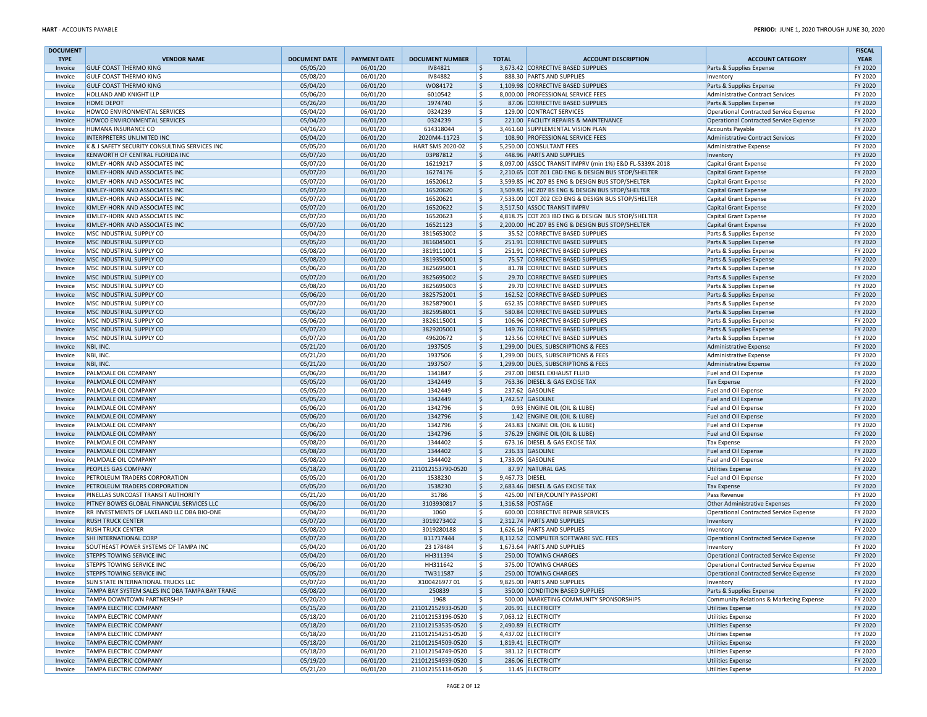| <b>DOCUMENT</b>    |                                                                  |                      |                      |                                        |                       |                                                                                      |                                                      | <b>FISCAL</b>      |
|--------------------|------------------------------------------------------------------|----------------------|----------------------|----------------------------------------|-----------------------|--------------------------------------------------------------------------------------|------------------------------------------------------|--------------------|
| <b>TYPE</b>        | <b>VENDOR NAME</b>                                               | <b>DOCUMENT DATE</b> | <b>PAYMENT DATE</b>  | <b>DOCUMENT NUMBER</b>                 | <b>TOTAL</b>          | <b>ACCOUNT DESCRIPTION</b>                                                           | <b>ACCOUNT CATEGORY</b>                              | <b>YEAR</b>        |
| Invoice            | <b>GULF COAST THERMO KING</b>                                    | 05/05/20             | 06/01/20             | IV84821                                | \$<br>\$              | 3,673.42 CORRECTIVE BASED SUPPLIES                                                   | Parts & Supplies Expense                             | FY 2020<br>FY 2020 |
| Invoice<br>Invoice | <b>GULF COAST THERMO KING</b><br><b>GULF COAST THERMO KING</b>   | 05/08/20<br>05/04/20 | 06/01/20<br>06/01/20 | <b>IV84882</b><br>W084172              | \$                    | 888.30 PARTS AND SUPPLIES<br>1,109.98 CORRECTIVE BASED SUPPLIES                      | Inventory<br>Parts & Supplies Expense                | FY 2020            |
| Invoice            | HOLLAND AND KNIGHT LLP                                           | 05/06/20             | 06/01/20             | 6010542                                | \$                    | 8,000.00 PROFESSIONAL SERVICE FEES                                                   | Administrative Contract Services                     | FY 2020            |
| Invoice            | <b>HOME DEPOT</b>                                                | 05/26/20             | 06/01/20             | 1974740                                | \$                    | 87.06 CORRECTIVE BASED SUPPLIES                                                      | Parts & Supplies Expense                             | FY 2020            |
| Invoice            | HOWCO ENVIRONMENTAL SERVICES                                     | 05/04/20             | 06/01/20             | 0324239                                | \$                    | 129.00 CONTRACT SERVICES                                                             | Operational Contracted Service Expense               | FY 2020            |
| Invoice            | HOWCO ENVIRONMENTAL SERVICES                                     | 05/04/20             | 06/01/20             | 0324239                                | \$                    | 221.00 FACILITY REPAIRS & MAINTENANCE                                                | Operational Contracted Service Expense               | FY 2020            |
| Invoice            | HUMANA INSURANCE CO                                              | 04/16/20             | 06/01/20             | 614318044                              | \$                    | 3,461.60 SUPPLEMENTAL VISION PLAN                                                    | Accounts Payable                                     | FY 2020            |
| Invoice            | INTERPRETERS UNLIMITED INC                                       | 05/04/20             | 06/01/20             | 2020M4-11723                           | \$                    | 108.90 PROFESSIONAL SERVICE FEES                                                     | Administrative Contract Services                     | FY 2020            |
| Invoice            | K & J SAFETY SECURITY CONSULTING SERVICES INC                    | 05/05/20             | 06/01/20             | HART SMS 2020-02                       | \$                    | 5,250.00 CONSULTANT FEES                                                             | Administrative Expense                               | FY 2020            |
| Invoice            | KENWORTH OF CENTRAL FLORIDA INC                                  | 05/07/20             | 06/01/20             | 03P87812                               | $\mathsf{S}$<br>\$    | 448.96 PARTS AND SUPPLIES<br>8,097.00 ASSOC TRANSIT IMPRV (min 1%) E&D FL-5339X-2018 | Inventory                                            | FY 2020            |
| Invoice<br>Invoice | KIMLEY-HORN AND ASSOCIATES INC<br>KIMLEY-HORN AND ASSOCIATES INC | 05/07/20<br>05/07/20 | 06/01/20<br>06/01/20 | 16219217<br>16274176                   | \$                    | 2,210.65 COT Z01 CBD ENG & DESIGN BUS STOP/SHELTER                                   | Capital Grant Expense<br>Capital Grant Expense       | FY 2020<br>FY 2020 |
| Invoice            | KIMLEY-HORN AND ASSOCIATES INC                                   | 05/07/20             | 06/01/20             | 16520612                               | \$                    | 3,599.85 HC Z07 BS ENG & DESIGN BUS STOP/SHELTER                                     | Capital Grant Expense                                | FY 2020            |
| Invoice            | KIMLEY-HORN AND ASSOCIATES INC                                   | 05/07/20             | 06/01/20             | 16520620                               | \$                    | 3,509.85 HC Z07 BS ENG & DESIGN BUS STOP/SHELTER                                     | Capital Grant Expense                                | FY 2020            |
| Invoice            | KIMLEY-HORN AND ASSOCIATES INC                                   | 05/07/20             | 06/01/20             | 16520621                               | Ś.                    | 7,533.00 COT Z02 CED ENG & DESIGN BUS STOP/SHELTER                                   | Capital Grant Expense                                | FY 2020            |
| Invoice            | KIMLEY-HORN AND ASSOCIATES INC                                   | 05/07/20             | 06/01/20             | 16520622                               | \$                    | 3,517.50 ASSOC TRANSIT IMPRV                                                         | Capital Grant Expense                                | FY 2020            |
| Invoice            | KIMLEY-HORN AND ASSOCIATES INC                                   | 05/07/20             | 06/01/20             | 16520623                               | \$                    | 4,818.75 COT Z03 IBD ENG & DESIGN BUS STOP/SHELTER                                   | Capital Grant Expense                                | FY 2020            |
| Invoice            | KIMLEY-HORN AND ASSOCIATES INC                                   | 05/07/20             | 06/01/20             | 16521123                               | \$                    | 2,200.00 HC Z07 BS ENG & DESIGN BUS STOP/SHELTER                                     | Capital Grant Expense                                | FY 2020            |
| Invoice            | MSC INDUSTRIAL SUPPLY CO                                         | 05/04/20             | 06/01/20             | 3815653002                             | \$                    | 35.52 CORRECTIVE BASED SUPPLIES                                                      | Parts & Supplies Expense                             | FY 2020            |
| Invoice            | MSC INDUSTRIAL SUPPLY CO                                         | 05/05/20             | 06/01/20             | 3816045001                             | $\mathsf{S}$          | 251.91 CORRECTIVE BASED SUPPLIES                                                     | Parts & Supplies Expense                             | FY 2020            |
| Invoice<br>Invoice | MSC INDUSTRIAL SUPPLY CO<br>MSC INDUSTRIAL SUPPLY CO             | 05/08/20<br>05/08/20 | 06/01/20<br>06/01/20 | 3819111001<br>3819350001               | \$<br>\$              | 251.91 CORRECTIVE BASED SUPPLIES<br>75.57 CORRECTIVE BASED SUPPLIES                  | Parts & Supplies Expense                             | FY 2020<br>FY 2020 |
| Invoice            | MSC INDUSTRIAL SUPPLY CO                                         | 05/06/20             | 06/01/20             | 3825695001                             | \$                    | 81.78 CORRECTIVE BASED SUPPLIES                                                      | Parts & Supplies Expense<br>Parts & Supplies Expense | FY 2020            |
| Invoice            | MSC INDUSTRIAL SUPPLY CO                                         | 05/07/20             | 06/01/20             | 3825695002                             | \$                    | 29.70 CORRECTIVE BASED SUPPLIES                                                      | Parts & Supplies Expense                             | FY 2020            |
| Invoice            | MSC INDUSTRIAL SUPPLY CO                                         | 05/08/20             | 06/01/20             | 3825695003                             | \$                    | 29.70 CORRECTIVE BASED SUPPLIES                                                      | Parts & Supplies Expense                             | FY 2020            |
| Invoice            | MSC INDUSTRIAL SUPPLY CO                                         | 05/06/20             | 06/01/20             | 3825752001                             | \$                    | 162.52 CORRECTIVE BASED SUPPLIES                                                     | Parts & Supplies Expense                             | FY 2020            |
| Invoice            | MSC INDUSTRIAL SUPPLY CO                                         | 05/07/20             | 06/01/20             | 3825879001                             | \$                    | 652.35 CORRECTIVE BASED SUPPLIES                                                     | Parts & Supplies Expense                             | FY 2020            |
| Invoice            | MSC INDUSTRIAL SUPPLY CO                                         | 05/06/20             | 06/01/20             | 3825958001                             | \$                    | 580.84 CORRECTIVE BASED SUPPLIES                                                     | Parts & Supplies Expense                             | FY 2020            |
| Invoice            | MSC INDUSTRIAL SUPPLY CO                                         | 05/06/20             | 06/01/20             | 3826115001                             | \$                    | 106.96 CORRECTIVE BASED SUPPLIES                                                     | Parts & Supplies Expense                             | FY 2020            |
| Invoice            | MSC INDUSTRIAL SUPPLY CO                                         | 05/07/20             | 06/01/20             | 3829205001                             | \$                    | 149.76 CORRECTIVE BASED SUPPLIES                                                     | Parts & Supplies Expense                             | FY 2020            |
| Invoice            | MSC INDUSTRIAL SUPPLY CO                                         | 05/07/20             | 06/01/20             | 49620672                               | Ś.                    | 123.56 CORRECTIVE BASED SUPPLIES                                                     | Parts & Supplies Expense                             | FY 2020            |
| Invoice            | NBI, INC.<br>NBI, INC.                                           | 05/21/20<br>05/21/20 | 06/01/20<br>06/01/20 | 1937505<br>1937506                     | \$<br>\$              | 1,299.00 DUES, SUBSCRIPTIONS & FEES<br>1,299.00 DUES, SUBSCRIPTIONS & FEES           | Administrative Expense                               | FY 2020<br>FY 2020 |
| Invoice<br>Invoice | NBI, INC.                                                        | 05/21/20             | 06/01/20             | 1937507                                | \$                    | 1,299.00 DUES, SUBSCRIPTIONS & FEES                                                  | Administrative Expense<br>Administrative Expense     | FY 2020            |
| Invoice            | PALMDALE OIL COMPANY                                             | 05/06/20             | 06/01/20             | 1341847                                | \$                    | 297.00 DIESEL EXHAUST FLUID                                                          | Fuel and Oil Expense                                 | FY 2020            |
| Invoice            | PALMDALE OIL COMPANY                                             | 05/05/20             | 06/01/20             | 1342449                                | $\mathsf{\hat{S}}$    | 763.36 DIESEL & GAS EXCISE TAX                                                       | <b>Tax Expense</b>                                   | FY 2020            |
| Invoice            | PALMDALE OIL COMPANY                                             | 05/05/20             | 06/01/20             | 1342449                                | \$                    | 237.62 GASOLINE                                                                      | Fuel and Oil Expense                                 | FY 2020            |
| Invoice            | PALMDALE OIL COMPANY                                             | 05/05/20             | 06/01/20             | 1342449                                | \$                    | 1,742.57 GASOLINE                                                                    | Fuel and Oil Expense                                 | FY 2020            |
| Invoice            | PALMDALE OIL COMPANY                                             | 05/06/20             | 06/01/20             | 1342796                                | \$                    | 0.93 ENGINE OIL (OIL & LUBE)                                                         | Fuel and Oil Expense                                 | FY 2020            |
| Invoice            | PALMDALE OIL COMPANY                                             | 05/06/20             | 06/01/20             | 1342796                                | \$                    | 1.42 ENGINE OIL (OIL & LUBE)                                                         | Fuel and Oil Expense                                 | FY 2020            |
| Invoice            | PALMDALE OIL COMPANY                                             | 05/06/20             | 06/01/20             | 1342796                                | \$                    | 243.83 ENGINE OIL (OIL & LUBE)                                                       | Fuel and Oil Expense                                 | FY 2020            |
| Invoice<br>Invoice | PALMDALE OIL COMPANY<br><b>PALMDALE OIL COMPANY</b>              | 05/06/20<br>05/08/20 | 06/01/20<br>06/01/20 | 1342796<br>1344402                     | \$<br>\$              | 376.29 ENGINE OIL (OIL & LUBE)<br>673.16 DIESEL & GAS EXCISE TAX                     | Fuel and Oil Expense<br><b>Tax Expense</b>           | FY 2020<br>FY 2020 |
| Invoice            | PALMDALE OIL COMPANY                                             | 05/08/20             | 06/01/20             | 1344402                                | \$                    | 236.33 GASOLINE                                                                      | Fuel and Oil Expense                                 | FY 2020            |
| Invoice            | PALMDALE OIL COMPANY                                             | 05/08/20             | 06/01/20             | 1344402                                | \$                    | 1,733.05 GASOLINE                                                                    | Fuel and Oil Expense                                 | FY 2020            |
| Invoice            | PEOPLES GAS COMPANY                                              | 05/18/20             | 06/01/20             | 211012153790-0520                      | l s                   | 87.97 NATURAL GAS                                                                    | <b>Utilities Expense</b>                             | FY 2020            |
| Invoice            | PETROLEUM TRADERS CORPORATION                                    | 05/05/20             | 06/01/20             | 1538230                                | \$<br>9,467.73 DIESEL |                                                                                      | Fuel and Oil Expense                                 | FY 2020            |
| Invoice            | PETROLEUM TRADERS CORPORATION                                    | 05/05/20             | 06/01/20             | 1538230                                | \$                    | 2,683.46 DIESEL & GAS EXCISE TAX                                                     | <b>Tax Expense</b>                                   | FY 2020            |
| Invoice            | PINELLAS SUNCOAST TRANSIT AUTHORITY                              | 05/21/20             | 06/01/20             | 31786                                  | \$                    | 425.00 INTER/COUNTY PASSPORT                                                         | Pass Revenue                                         | FY 2020            |
| Invoice            | PITNEY BOWES GLOBAL FINANCIAL SERVICES LLC                       | 05/06/20             | 06/01/20             | 3103930817                             | \$                    | 1,316.58 POSTAGE                                                                     | Other Administrative Expenses                        | FY 2020            |
| Invoice            | RR INVESTMENTS OF LAKELAND LLC DBA BIO-ONE                       | 05/04/20             | 06/01/20             | 1060                                   | \$<br>Ś               | 600.00 CORRECTIVE REPAIR SERVICES                                                    | Operational Contracted Service Expense               | FY 2020            |
| Invoice<br>Invoice | <b>RUSH TRUCK CENTER</b><br><b>RUSH TRUCK CENTER</b>             | 05/07/20<br>05/08/20 | 06/01/20<br>06/01/20 | 3019273402<br>3019280188               | Ś                     | 2,312.74 PARTS AND SUPPLIES<br>1,626.16 PARTS AND SUPPLIES                           | Inventory                                            | FY 2020<br>FY 2020 |
| Invoice            | SHI INTERNATIONAL CORP                                           | 05/07/20             | 06/01/20             | B11717444                              | \$                    | 8,112.52 COMPUTER SOFTWARE SVC. FEES                                                 | Inventory<br>Operational Contracted Service Expense  | FY 2020            |
| Invoice            | SOUTHEAST POWER SYSTEMS OF TAMPA INC                             | 05/04/20             | 06/01/20             | 23 178484                              | \$                    | 1,673.64 PARTS AND SUPPLIES                                                          | Inventory                                            | FY 2020            |
| Invoice            | <b>STEPPS TOWING SERVICE INC</b>                                 | 05/04/20             | 06/01/20             | HH311394                               | Ŝ.                    | 250.00 TOWING CHARGES                                                                | Operational Contracted Service Expense               | FY 2020            |
| Invoice            | <b>STEPPS TOWING SERVICE INC</b>                                 | 05/06/20             | 06/01/20             | HH311642                               | \$                    | 375.00 TOWING CHARGES                                                                | Operational Contracted Service Expense               | FY 2020            |
| Invoice            | <b>STEPPS TOWING SERVICE INC</b>                                 | 05/05/20             | 06/01/20             | TW311587                               | $\ddot{\varsigma}$    | 250.00 TOWING CHARGES                                                                | Operational Contracted Service Expense               | FY 2020            |
| Invoice            | <b>SUN STATE INTERNATIONAL TRUCKS LLC</b>                        | 05/07/20             | 06/01/20             | X10042697701                           | \$                    | 9,825.00 PARTS AND SUPPLIES                                                          | Inventory                                            | FY 2020            |
| Invoice            | TAMPA BAY SYSTEM SALES INC DBA TAMPA BAY TRANE                   | 05/08/20             | 06/01/20             | 250839                                 | $\mathsf{S}$          | 350.00 CONDITION BASED SUPPLIES                                                      | Parts & Supplies Expense                             | FY 2020            |
| Invoice            | TAMPA DOWNTOWN PARTNERSHIP                                       | 05/20/20             | 06/01/20             | 1968                                   | \$                    | 500.00 MARKETING COMMUNITY SPONSORSHIPS                                              | Community Relations & Marketing Expense              | FY 2020            |
| Invoice            | <b>TAMPA ELECTRIC COMPANY</b><br><b>TAMPA ELECTRIC COMPANY</b>   | 05/15/20<br>05/18/20 | 06/01/20             | 211012152933-0520                      | I\$                   | 205.91 ELECTRICITY                                                                   | Utilities Expense                                    | FY 2020<br>FY 2020 |
| Invoice<br>Invoice | <b>TAMPA ELECTRIC COMPANY</b>                                    | 05/18/20             | 06/01/20<br>06/01/20 | 211012153196-0520<br>211012153535-0520 | \$<br>I\$             | 7,063.12 ELECTRICITY<br>2,490.89 ELECTRICITY                                         | Utilities Expense<br>Utilities Expense               | FY 2020            |
| Invoice            | <b>TAMPA ELECTRIC COMPANY</b>                                    | 05/18/20             | 06/01/20             | 211012154251-0520                      | \$                    | 4,437.02 ELECTRICITY                                                                 | Utilities Expense                                    | FY 2020            |
| Invoice            | <b>TAMPA ELECTRIC COMPANY</b>                                    | 05/18/20             | 06/01/20             | 211012154509-0520                      | l \$                  | 1,819.41 ELECTRICITY                                                                 | Utilities Expense                                    | FY 2020            |
| Invoice            | <b>TAMPA ELECTRIC COMPANY</b>                                    | 05/18/20             | 06/01/20             | 211012154749-0520                      | ا \$                  | 381.12 ELECTRICITY                                                                   | Utilities Expense                                    | FY 2020            |
| Invoice            | <b>TAMPA ELECTRIC COMPANY</b>                                    | 05/19/20             | 06/01/20             | 211012154939-0520                      | I\$                   | 286.06 ELECTRICITY                                                                   | Utilities Expense                                    | FY 2020            |
| Invoice            | TAMPA ELECTRIC COMPANY                                           | 05/21/20             | 06/01/20             | 211012155118-0520                      | $\vert$ \$            | 11.45 ELECTRICITY                                                                    | Utilities Expense                                    | FY 2020            |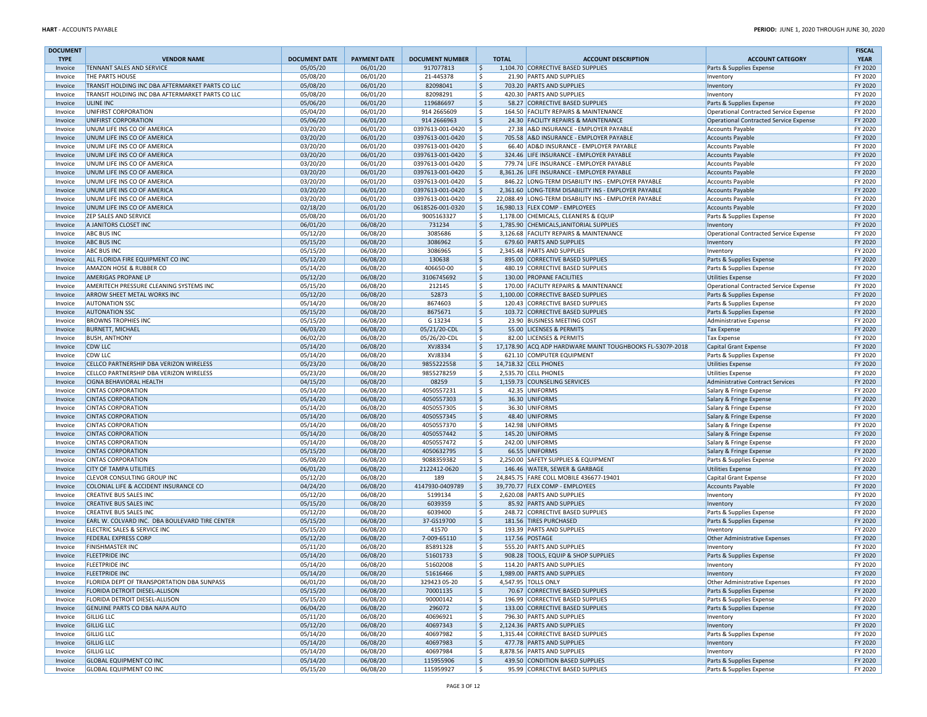| <b>DOCUMENT</b>    |                                                                           |                      |                      |                        |              |                                                                                    |                                                                    | <b>FISCAL</b>      |
|--------------------|---------------------------------------------------------------------------|----------------------|----------------------|------------------------|--------------|------------------------------------------------------------------------------------|--------------------------------------------------------------------|--------------------|
| <b>TYPE</b>        | <b>VENDOR NAME</b>                                                        | <b>DOCUMENT DATE</b> | <b>PAYMENT DATE</b>  | <b>DOCUMENT NUMBER</b> | <b>TOTAL</b> | <b>ACCOUNT DESCRIPTION</b>                                                         | <b>ACCOUNT CATEGORY</b>                                            | <b>YEAR</b>        |
| Invoice            | TENNANT SALES AND SERVICE                                                 | 05/05/20             | 06/01/20             | 917077813              | 5            | 1,104.70 CORRECTIVE BASED SUPPLIES                                                 | Parts & Supplies Expense                                           | FY 2020            |
| Invoice            | THE PARTS HOUSE                                                           | 05/08/20             | 06/01/20             | 21-445378              | \$           | 21.90 PARTS AND SUPPLIES                                                           | Inventory                                                          | FY 2020            |
| Invoice            | TRANSIT HOLDING INC DBA AFTERMARKET PARTS CO LLC                          | 05/08/20             | 06/01/20             | 82098041               | l\$          | 703.20 PARTS AND SUPPLIES                                                          | Inventory                                                          | FY 2020            |
| Invoice            | TRANSIT HOLDING INC DBA AFTERMARKET PARTS CO LLC                          | 05/08/20<br>05/06/20 | 06/01/20<br>06/01/20 | 82098291<br>119686697  | \$<br> \$    | 420.30 PARTS AND SUPPLIES<br>58.27 CORRECTIVE BASED SUPPLIES                       | Inventory                                                          | FY 2020<br>FY 2020 |
| Invoice<br>Invoice | <b>ULINE INC</b><br>UNIFIRST CORPORATION                                  | 05/04/20             | 06/01/20             | 914 2665609            | \$           | 164.50 FACILITY REPAIRS & MAINTENANCE                                              | Parts & Supplies Expense<br>Operational Contracted Service Expense | FY 2020            |
| Invoice            | UNIFIRST CORPORATION                                                      | 05/06/20             | 06/01/20             | 914 2666963            | \$           | 24.30 FACILITY REPAIRS & MAINTENANCE                                               | Operational Contracted Service Expense                             | FY 2020            |
| Invoice            | UNUM LIFE INS CO OF AMERICA                                               | 03/20/20             | 06/01/20             | 0397613-001-0420       | \$           | 27.38 A&D INSURANCE - EMPLOYER PAYABLE                                             | <b>Accounts Payable</b>                                            | FY 2020            |
| Invoice            | UNUM LIFE INS CO OF AMERICA                                               | 03/20/20             | 06/01/20             | 0397613-001-0420       | \$           | 705.58 A&D INSURANCE - EMPLOYER PAYABLE                                            | <b>Accounts Payable</b>                                            | FY 2020            |
| Invoice            | UNUM LIFE INS CO OF AMERICA                                               | 03/20/20             | 06/01/20             | 0397613-001-0420       | \$           | 66.40 AD&D INSURANCE - EMPLOYER PAYABLE                                            | <b>Accounts Payable</b>                                            | FY 2020            |
| Invoice            | UNUM LIFE INS CO OF AMERICA                                               | 03/20/20             | 06/01/20             | 0397613-001-0420       | \$           | 324.46 LIFE INSURANCE - EMPLOYER PAYABLE                                           | <b>Accounts Payable</b>                                            | FY 2020            |
| Invoice            | UNUM LIFE INS CO OF AMERICA                                               | 03/20/20             | 06/01/20             | 0397613-001-0420       | $\mathsf{S}$ | 779.74 LIFE INSURANCE - EMPLOYER PAYABLE                                           | <b>Accounts Payable</b>                                            | FY 2020            |
| Invoice            | UNUM LIFE INS CO OF AMERICA                                               | 03/20/20             | 06/01/20             | 0397613-001-0420       | I\$          | 8,361.26 LIFE INSURANCE - EMPLOYER PAYABLE                                         | <b>Accounts Payable</b>                                            | FY 2020            |
| Invoice            | UNUM LIFE INS CO OF AMERICA                                               | 03/20/20             | 06/01/20             | 0397613-001-0420       | l Ś          | 846.22 LONG-TERM DISABILITY INS - EMPLOYER PAYABLE                                 | <b>Accounts Payable</b>                                            | FY 2020            |
| Invoice            | UNUM LIFE INS CO OF AMERICA                                               | 03/20/20             | 06/01/20             | 0397613-001-0420       | l \$         | 2,361.60 LONG-TERM DISABILITY INS - EMPLOYER PAYABLE                               | <b>Accounts Payable</b>                                            | FY 2020            |
| Invoice            | UNUM LIFE INS CO OF AMERICA                                               | 03/20/20             | 06/01/20             | 0397613-001-0420       | l \$         | 22,088.49 LONG-TERM DISABILITY INS - EMPLOYER PAYABLE                              | <b>Accounts Payable</b>                                            | FY 2020            |
| Invoice            | UNUM LIFE INS CO OF AMERICA                                               | 02/18/20             | 06/01/20             | 0618526-001-0320       | 5 ا          | 16,980.13 FLEX COMP - EMPLOYEES                                                    | <b>Accounts Payable</b>                                            | FY 2020            |
| Invoice            | <b>ZEP SALES AND SERVICE</b>                                              | 05/08/20<br>06/01/20 | 06/01/20<br>06/08/20 | 9005163327<br>731234   | l \$         | 1,178.00 CHEMICALS, CLEANERS & EQUIP                                               | Parts & Supplies Expense                                           | FY 2020<br>FY 2020 |
| Invoice<br>Invoice | A JANITORS CLOSET INC<br><b>ABC BUS INC</b>                               | 05/12/20             | 06/08/20             | 3085686                | I\$<br>۱\$   | 1,785.90 CHEMICALS, JANITORIAL SUPPLIES<br>3,126.68 FACILITY REPAIRS & MAINTENANCE | Inventory<br>Operational Contracted Service Expense                | FY 2020            |
| Invoice            | <b>ABC BUS INC</b>                                                        | 05/15/20             | 06/08/20             | 3086962                | ۱\$          | 679.60 PARTS AND SUPPLIES                                                          | Inventory                                                          | FY 2020            |
| Invoice            | <b>ABC BUS INC</b>                                                        | 05/15/20             | 06/08/20             | 3086965                | <sub>S</sub> | 2,345.48 PARTS AND SUPPLIES                                                        | Inventory                                                          | FY 2020            |
| Invoice            | ALL FLORIDA FIRE EQUIPMENT CO INC                                         | 05/12/20             | 06/08/20             | 130638                 | \$           | 895.00 CORRECTIVE BASED SUPPLIES                                                   | Parts & Supplies Expense                                           | FY 2020            |
| Invoice            | AMAZON HOSE & RUBBER CO                                                   | 05/14/20             | 06/08/20             | 406650-00              | -Ś           | 480.19 CORRECTIVE BASED SUPPLIES                                                   | Parts & Supplies Expense                                           | FY 2020            |
| Invoice            | AMERIGAS PROPANE LP                                                       | 05/12/20             | 06/08/20             | 3106745692             | ۱\$          | 130.00 PROPANE FACILITIES                                                          | <b>Utilities Expense</b>                                           | FY 2020            |
| Invoice            | AMERITECH PRESSURE CLEANING SYSTEMS INC                                   | 05/15/20             | 06/08/20             | 212145                 | ۱\$          | 170.00 FACILITY REPAIRS & MAINTENANCE                                              | Operational Contracted Service Expense                             | FY 2020            |
| Invoice            | ARROW SHEET METAL WORKS INC                                               | 05/12/20             | 06/08/20             | 52873                  | \$           | 1,100.00 CORRECTIVE BASED SUPPLIES                                                 | Parts & Supplies Expense                                           | FY 2020            |
| Invoice            | <b>AUTONATION SSC</b>                                                     | 05/14/20             | 06/08/20             | 8674603                | ۱\$          | 120.43 CORRECTIVE BASED SUPPLIES                                                   | Parts & Supplies Expense                                           | FY 2020            |
| Invoice            | <b>AUTONATION SSC</b>                                                     | 05/15/20             | 06/08/20             | 8675671                | \$           | 103.72 CORRECTIVE BASED SUPPLIES                                                   | Parts & Supplies Expense                                           | FY 2020            |
| Invoice            | <b>BROWNS TROPHIES INC</b>                                                | 05/15/20             | 06/08/20             | G 13234                | \$           | 23.90 BUSINESS MEETING COST                                                        | Administrative Expense                                             | FY 2020            |
| Invoice            | <b>BURNETT, MICHAEL</b>                                                   | 06/03/20             | 06/08/20             | 05/21/20-CDL           | \$           | 55.00 LICENSES & PERMITS                                                           | <b>Tax Expense</b>                                                 | FY 2020            |
| Invoice            | <b>BUSH, ANTHONY</b>                                                      | 06/02/20             | 06/08/20             | 05/26/20-CDL           | \$           | 82.00 LICENSES & PERMITS                                                           | <b>Tax Expense</b>                                                 | FY 2020            |
| Invoice            | <b>CDW LLC</b>                                                            | 05/14/20             | 06/08/20             | XVJ8334                | \$           | 17,178.90 ACQ ADP HARDWARE MAINT TOUGHBOOKS FL-5307P-2018                          | Capital Grant Expense                                              | FY 2020            |
| Invoice            | <b>CDW LLC</b>                                                            | 05/14/20             | 06/08/20             | XVJ8334                | l \$         | 621.10 COMPUTER EQUIPMENT                                                          | Parts & Supplies Expense                                           | FY 2020            |
| Invoice            | CELLCO PARTNERSHIP DBA VERIZON WIRELESS                                   | 05/23/20             | 06/08/20             | 9855222558             | ا \$         | 14,718.32 CELL PHONES                                                              | <b>Utilities Expense</b>                                           | FY 2020            |
| Invoice            | CELLCO PARTNERSHIP DBA VERIZON WIRELESS<br><b>CIGNA BEHAVIORAL HEALTH</b> | 05/23/20<br>04/15/20 | 06/08/20<br>06/08/20 | 9855278259<br>08259    | l \$         | 2,535.70 CELL PHONES<br>1.159.73 COUNSELING SERVICES                               | <b>Utilities Expense</b>                                           | FY 2020<br>FY 2020 |
| Invoice<br>Invoice | <b>CINTAS CORPORATION</b>                                                 | 05/14/20             | 06/08/20             | 4050557231             | \$<br>l \$   | 42.35 UNIFORMS                                                                     | <b>Administrative Contract Services</b><br>Salary & Fringe Expense | FY 2020            |
| Invoice            | <b>CINTAS CORPORATION</b>                                                 | 05/14/20             | 06/08/20             | 4050557303             | l \$         | 36.30 UNIFORMS                                                                     | Salary & Fringe Expense                                            | FY 2020            |
| Invoice            | <b>CINTAS CORPORATION</b>                                                 | 05/14/20             | 06/08/20             | 4050557305             | l \$         | 36.30 UNIFORMS                                                                     | Salary & Fringe Expense                                            | FY 2020            |
| Invoice            | <b>CINTAS CORPORATION</b>                                                 | 05/14/20             | 06/08/20             | 4050557345             | l \$         | 48.40 UNIFORMS                                                                     | Salary & Fringe Expense                                            | FY 2020            |
| Invoice            | <b>CINTAS CORPORATION</b>                                                 | 05/14/20             | 06/08/20             | 4050557370             | l \$         | 142.98 UNIFORMS                                                                    | Salary & Fringe Expense                                            | FY 2020            |
| Invoice            | <b>CINTAS CORPORATION</b>                                                 | 05/14/20             | 06/08/20             | 4050557442             | ۱\$          | 145.20 UNIFORMS                                                                    | Salary & Fringe Expense                                            | FY 2020            |
| Invoice            | <b>CINTAS CORPORATION</b>                                                 | 05/14/20             | 06/08/20             | 4050557472             | ۱\$.         | 242.00 UNIFORMS                                                                    | Salary & Fringe Expense                                            | FY 2020            |
| Invoice            | <b>CINTAS CORPORATION</b>                                                 | 05/15/20             | 06/08/20             | 4050632795             | ۱\$          | 66.55 UNIFORMS                                                                     | Salary & Fringe Expense                                            | FY 2020            |
| Invoice            | <b>CINTAS CORPORATION</b>                                                 | 05/08/20             | 06/08/20             | 9088359382             | \$           | 2,250.00 SAFETY SUPPLIES & EQUIPMENT                                               | Parts & Supplies Expense                                           | FY 2020            |
| Invoice            | <b>CITY OF TAMPA UTILITIES</b>                                            | 06/01/20             | 06/08/20             | 2122412-0620           | ۱\$          | 146.46 WATER, SEWER & GARBAGE                                                      | <b>Utilities Expense</b>                                           | FY 2020            |
| Invoice            | CLEVOR CONSULTING GROUP INC                                               | 05/12/20             | 06/08/20             | 189                    | -Ś           | 24,845.75 FARE COLL MOBILE 436677-19401                                            | Capital Grant Expense                                              | FY 2020            |
| Invoice            | COLONIAL LIFE & ACCIDENT INSURANCE CO                                     | 04/24/20             | 06/08/20             | 4147930-0409789        | ۱\$          | 39,770.77 FLEX COMP - EMPLOYEES                                                    | <b>Accounts Payable</b>                                            | FY 2020            |
| Invoice            | <b>CREATIVE BUS SALES INC</b>                                             | 05/12/20             | 06/08/20             | 5199134                | \$           | 2,620.08 PARTS AND SUPPLIES                                                        | Inventory                                                          | FY 2020            |
| Invoice<br>Invoice | <b>CREATIVE BUS SALES INC</b><br><b>CREATIVE BUS SALES INC</b>            | 05/15/20<br>05/12/20 | 06/08/20<br>06/08/20 | 6039359<br>6039400     | \$<br>\$     | 85.92 PARTS AND SUPPLIES<br>248.72 CORRECTIVE BASED SUPPLIES                       | Inventory                                                          | FY 2020<br>FY 2020 |
| Invoice            | EARL W. COLVARD INC. DBA BOULEVARD TIRE CENTER                            | 05/15/20             | 06/08/20             | 37-GS19700             | l\$          | 181.56 TIRES PURCHASED                                                             | Parts & Supplies Expense<br>Parts & Supplies Expense               | FY 2020            |
| Invoice            | ELECTRIC SALES & SERVICE INC                                              | 05/15/20             | 06/08/20             | 41570                  | \$           | 193.39 PARTS AND SUPPLIES                                                          | Inventory                                                          | FY 2020            |
| Invoice            | <b>FEDERAL EXPRESS CORP</b>                                               | 05/12/20             | 06/08/20             | 7-009-65110            | \$           | 117.56 POSTAGE                                                                     | <b>Other Administrative Expenses</b>                               | FY 2020            |
| Invoice            | <b>FINISHMASTER INC</b>                                                   | 05/11/20             | 06/08/20             | 85891328               | \$           | 555.20 PARTS AND SUPPLIES                                                          | Inventory                                                          | FY 2020            |
| Invoice            | <b>FLEETPRIDE INC</b>                                                     | 05/14/20             | 06/08/20             | 51601733               | \$           | 908.28 TOOLS, EQUIP & SHOP SUPPLIES                                                | Parts & Supplies Expense                                           | FY 2020            |
| Invoice            | <b>FLEETPRIDE INC</b>                                                     | 05/14/20             | 06/08/20             | 51602008               | \$           | 114.20 PARTS AND SUPPLIES                                                          | Inventory                                                          | FY 2020            |
| Invoice            | <b>FLEETPRIDE INC</b>                                                     | 05/14/20             | 06/08/20             | 51616466               |              | 1,989.00 PARTS AND SUPPLIES                                                        | Inventory                                                          | FY 2020            |
| Invoice            | FLORIDA DEPT OF TRANSPORTATION DBA SUNPASS                                | 06/01/20             | 06/08/20             | 329423 05-20           | \$           | 4,547.95 TOLLS ONLY                                                                | Other Administrative Expenses                                      | FY 2020            |
| Invoice            | FLORIDA DETROIT DIESEL-ALLISON                                            | 05/15/20             | 06/08/20             | 70001135               | \$           | 70.67 CORRECTIVE BASED SUPPLIES                                                    | Parts & Supplies Expense                                           | FY 2020            |
| Invoice            | FLORIDA DETROIT DIESEL-ALLISON                                            | 05/15/20             | 06/08/20             | 90000142               | \$           | 196.99 CORRECTIVE BASED SUPPLIES                                                   | Parts & Supplies Expense                                           | FY 2020            |
| Invoice            | GENUINE PARTS CO DBA NAPA AUTO                                            | 06/04/20             | 06/08/20             | 296072                 | \$           | 133.00 CORRECTIVE BASED SUPPLIES                                                   | Parts & Supplies Expense                                           | FY 2020            |
| Invoice            | <b>GILLIG LLC</b>                                                         | 05/11/20             | 06/08/20             | 40696921               | \$           | 796.30 PARTS AND SUPPLIES                                                          | Inventory                                                          | FY 2020            |
| Invoice            | <b>GILLIG LLC</b>                                                         | 05/12/20             | 06/08/20             | 40697343               | \$           | 2,124.36 PARTS AND SUPPLIES                                                        | Inventory                                                          | FY 2020            |
| Invoice            | <b>GILLIG LLC</b>                                                         | 05/14/20             | 06/08/20             | 40697982               | l \$         | 1,315.44 CORRECTIVE BASED SUPPLIES                                                 | Parts & Supplies Expense                                           | FY 2020            |
| Invoice            | <b>GILLIG LLC</b>                                                         | 05/14/20             | 06/08/20             | 40697983               | ا \$         | 477.78 PARTS AND SUPPLIES                                                          | Inventory                                                          | FY 2020            |
| Invoice<br>Invoice | <b>GILLIG LLC</b><br><b>GLOBAL EQUIPMENT CO INC</b>                       | 05/14/20<br>05/14/20 | 06/08/20<br>06/08/20 | 40697984<br>115955906  | l \$<br>۱\$  | 8,878.56 PARTS AND SUPPLIES<br>439.50 CONDITION BASED SUPPLIES                     | Inventory<br>Parts & Supplies Expense                              | FY 2020<br>FY 2020 |
| Invoice            | <b>GLOBAL EQUIPMENT CO INC</b>                                            | 05/15/20             | 06/08/20             | 115959927              | l \$         | 95.99 CORRECTIVE BASED SUPPLIES                                                    | Parts & Supplies Expense                                           | FY 2020            |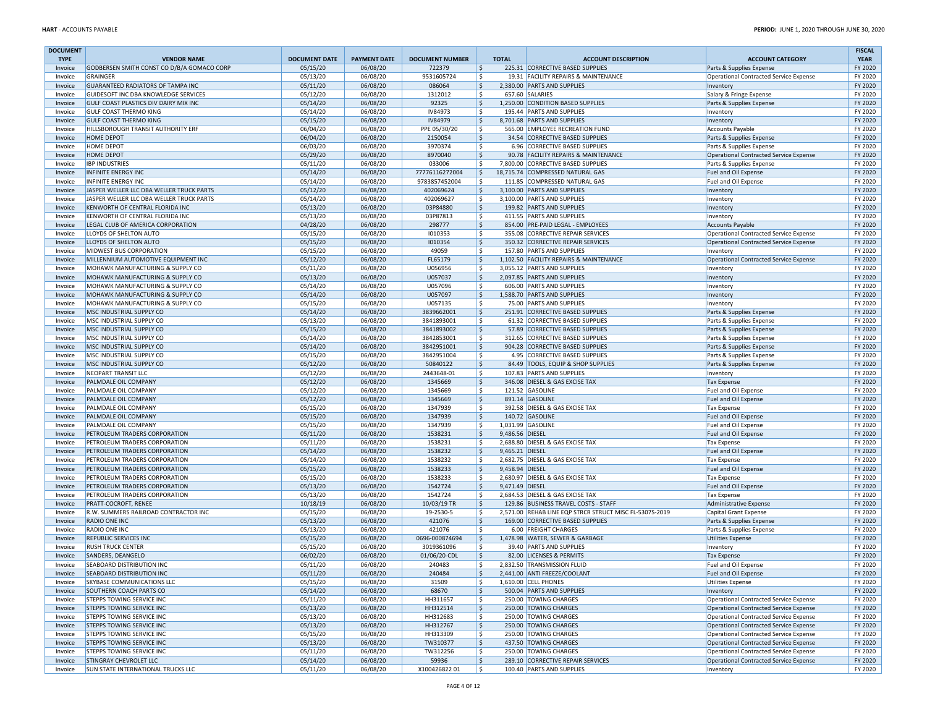| <b>DOCUMENT</b>    |                                                                |                      |                      |                          |                                 |                                                                          |                                                                                  | <b>FISCAL</b>      |
|--------------------|----------------------------------------------------------------|----------------------|----------------------|--------------------------|---------------------------------|--------------------------------------------------------------------------|----------------------------------------------------------------------------------|--------------------|
| <b>TYPE</b>        | <b>VENDOR NAME</b>                                             | <b>DOCUMENT DATE</b> | <b>PAYMENT DATE</b>  | <b>DOCUMENT NUMBER</b>   | <b>TOTAL</b>                    | <b>ACCOUNT DESCRIPTION</b>                                               | <b>ACCOUNT CATEGORY</b>                                                          | <b>YEAR</b>        |
| Invoice<br>Invoice | GODBERSEN SMITH CONST CO D/B/A GOMACO CORP<br>GRAINGER         | 05/15/20<br>05/13/20 | 06/08/20<br>06/08/20 | 722379<br>9531605724     | \$<br>\$                        | 225.31 CORRECTIVE BASED SUPPLIES<br>19.31 FACILITY REPAIRS & MAINTENANCE | Parts & Supplies Expense<br>Operational Contracted Service Expense               | FY 2020<br>FY 2020 |
| Invoice            | <b>GUARANTEED RADIATORS OF TAMPA INC</b>                       | 05/11/20             | 06/08/20             | 086064                   | \$                              | 2,380.00 PARTS AND SUPPLIES                                              | Inventory                                                                        | FY 2020            |
| Invoice            | GUIDESOFT INC DBA KNOWLEDGE SERVICES                           | 05/12/20             | 06/08/20             | 1312012                  | \$                              | 657.60 SALARIES                                                          | Salary & Fringe Expense                                                          | FY 2020            |
| Invoice            | GULF COAST PLASTICS DIV DAIRY MIX INC                          | 05/14/20             | 06/08/20             | 92325                    | \$                              | 1,250.00 CONDITION BASED SUPPLIES                                        | Parts & Supplies Expense                                                         | FY 2020            |
| Invoice            | <b>GULF COAST THERMO KING</b>                                  | 05/14/20             | 06/08/20             | IV84973                  | \$                              | 195.44 PARTS AND SUPPLIES                                                | Inventory                                                                        | FY 2020            |
| Invoice            | <b>GULF COAST THERMO KING</b>                                  | 05/15/20             | 06/08/20             | IV84979                  | \$                              | 8,701.68 PARTS AND SUPPLIES                                              | Inventory                                                                        | FY 2020            |
| Invoice            | HILLSBOROUGH TRANSIT AUTHORITY ERF                             | 06/04/20             | 06/08/20             | PPE 05/30/20             | \$                              | 565.00 EMPLOYEE RECREATION FUND                                          | <b>Accounts Payable</b>                                                          | FY 2020            |
| Invoice            | <b>HOME DEPOT</b>                                              | 06/04/20             | 06/08/20             | 2150054                  | \$<br>\$                        | 34.54 CORRECTIVE BASED SUPPLIES                                          | Parts & Supplies Expense                                                         | FY 2020<br>FY 2020 |
| Invoice<br>Invoice | <b>HOME DEPOT</b><br><b>HOME DEPOT</b>                         | 06/03/20<br>05/29/20 | 06/08/20<br>06/08/20 | 3970374<br>8970040       | $\mathsf{S}$                    | 6.96 CORRECTIVE BASED SUPPLIES<br>90.78 FACILITY REPAIRS & MAINTENANCE   | Parts & Supplies Expense<br>Operational Contracted Service Expense               | FY 2020            |
| Invoice            | <b>IBP INDUSTRIES</b>                                          | 05/11/20             | 06/08/20             | 033006                   | \$                              | 7,800.00 CORRECTIVE BASED SUPPLIES                                       | Parts & Supplies Expense                                                         | FY 2020            |
| Invoice            | <b>INFINITE ENERGY INC</b>                                     | 05/14/20             | 06/08/20             | 77776116272004           | l\$                             | 18,715.74 COMPRESSED NATURAL GAS                                         | Fuel and Oil Expense                                                             | FY 2020            |
| Invoice            | <b>INFINITE ENERGY INC</b>                                     | 05/14/20             | 06/08/20             | 9783857452004            | \$                              | 111.85 COMPRESSED NATURAL GAS                                            | Fuel and Oil Expense                                                             | FY 2020            |
| Invoice            | JASPER WELLER LLC DBA WELLER TRUCK PARTS                       | 05/12/20             | 06/08/20             | 402069624                | \$                              | 3,100.00 PARTS AND SUPPLIES                                              | Inventory                                                                        | FY 2020            |
| Invoice            | JASPER WELLER LLC DBA WELLER TRUCK PARTS                       | 05/14/20             | 06/08/20             | 402069627                | \$                              | 3,100.00 PARTS AND SUPPLIES                                              | Inventory                                                                        | FY 2020            |
| Invoice            | KENWORTH OF CENTRAL FLORIDA INC                                | 05/13/20             | 06/08/20             | 03P84880                 | \$                              | 199.82 PARTS AND SUPPLIES                                                | Inventory                                                                        | FY 2020            |
| Invoice            | KENWORTH OF CENTRAL FLORIDA INC                                | 05/13/20             | 06/08/20             | 03P87813                 | \$                              | 411.55 PARTS AND SUPPLIES                                                | Inventory                                                                        | FY 2020            |
| Invoice<br>Invoice | LEGAL CLUB OF AMERICA CORPORATION<br>LLOYDS OF SHELTON AUTO    | 04/28/20<br>05/15/20 | 06/08/20<br>06/08/20 | 298777<br>1010353        | \$<br>\$                        | 854.00 PRE-PAID LEGAL - EMPLOYEES<br>355.08 CORRECTIVE REPAIR SERVICES   | Accounts Payable<br>Operational Contracted Service Expense                       | FY 2020<br>FY 2020 |
| Invoice            | LLOYDS OF SHELTON AUTO                                         | 05/15/20             | 06/08/20             | 1010354                  | $\mathsf{S}$                    | 350.32 CORRECTIVE REPAIR SERVICES                                        | Operational Contracted Service Expense                                           | FY 2020            |
| Invoice            | <b>MIDWEST BUS CORPORATION</b>                                 | 05/15/20             | 06/08/20             | 49059                    | Ś.                              | 157.80 PARTS AND SUPPLIES                                                | Inventory                                                                        | FY 2020            |
| Invoice            | MILLENNIUM AUTOMOTIVE EQUIPMENT INC                            | 05/12/20             | 06/08/20             | FL65179                  | \$                              | 1,102.50 FACILITY REPAIRS & MAINTENANCE                                  | Operational Contracted Service Expense                                           | FY 2020            |
| Invoice            | MOHAWK MANUFACTURING & SUPPLY CO                               | 05/11/20             | 06/08/20             | U056956                  | Ś.                              | 3,055.12 PARTS AND SUPPLIES                                              | Inventory                                                                        | FY 2020            |
| Invoice            | MOHAWK MANUFACTURING & SUPPLY CO                               | 05/13/20             | 06/08/20             | U057037                  | \$                              | 2,097.85 PARTS AND SUPPLIES                                              | Inventory                                                                        | FY 2020            |
| Invoice            | MOHAWK MANUFACTURING & SUPPLY CO                               | 05/14/20             | 06/08/20             | U057096                  | \$                              | 606.00 PARTS AND SUPPLIES                                                | Inventory                                                                        | FY 2020            |
| Invoice            | MOHAWK MANUFACTURING & SUPPLY CO                               | 05/14/20             | 06/08/20             | U057097                  | \$                              | 1,588.70 PARTS AND SUPPLIES                                              | Inventory                                                                        | FY 2020            |
| Invoice            | MOHAWK MANUFACTURING & SUPPLY CO                               | 05/15/20             | 06/08/20             | U057135                  | \$                              | 75.00 PARTS AND SUPPLIES                                                 | Inventory                                                                        | FY 2020            |
| Invoice            | MSC INDUSTRIAL SUPPLY CO                                       | 05/14/20             | 06/08/20             | 3839662001               | \$                              | 251.91 CORRECTIVE BASED SUPPLIES                                         | Parts & Supplies Expense                                                         | FY 2020            |
| Invoice<br>Invoice | MSC INDUSTRIAL SUPPLY CO<br>MSC INDUSTRIAL SUPPLY CO           | 05/13/20<br>05/15/20 | 06/08/20<br>06/08/20 | 3841893001<br>3841893002 | \$<br>\$                        | 61.32 CORRECTIVE BASED SUPPLIES<br>57.89 CORRECTIVE BASED SUPPLIES       | Parts & Supplies Expense<br>Parts & Supplies Expense                             | FY 2020<br>FY 2020 |
| Invoice            | MSC INDUSTRIAL SUPPLY CO                                       | 05/14/20             | 06/08/20             | 3842853001               | \$                              | 312.65 CORRECTIVE BASED SUPPLIES                                         | Parts & Supplies Expense                                                         | FY 2020            |
| Invoice            | MSC INDUSTRIAL SUPPLY CO                                       | 05/14/20             | 06/08/20             | 3842951001               | \$                              | 904.28 CORRECTIVE BASED SUPPLIES                                         | Parts & Supplies Expense                                                         | FY 2020            |
| Invoice            | MSC INDUSTRIAL SUPPLY CO                                       | 05/15/20             | 06/08/20             | 3842951004               | \$                              | 4.95 CORRECTIVE BASED SUPPLIES                                           | Parts & Supplies Expense                                                         | FY 2020            |
| Invoice            | MSC INDUSTRIAL SUPPLY CO                                       | 05/12/20             | 06/08/20             | 50840122                 | \$                              | 84.49 TOOLS, EQUIP & SHOP SUPPLIES                                       | Parts & Supplies Expense                                                         | FY 2020            |
| Invoice            | NEOPART TRANSIT LLC                                            | 05/12/20             | 06/08/20             | 2443648-01               | \$                              | 107.83 PARTS AND SUPPLIES                                                | Inventory                                                                        | FY 2020            |
| Invoice            | PALMDALE OIL COMPANY                                           | 05/12/20             | 06/08/20             | 1345669                  | \$                              | 346.08 DIESEL & GAS EXCISE TAX                                           | <b>Tax Expense</b>                                                               | FY 2020            |
| Invoice            | PALMDALE OIL COMPANY                                           | 05/12/20             | 06/08/20             | 1345669                  | \$                              | 121.52 GASOLINE                                                          | Fuel and Oil Expense                                                             | FY 2020            |
| Invoice            | PALMDALE OIL COMPANY                                           | 05/12/20             | 06/08/20             | 1345669                  | \$                              | 891.14 GASOLINE                                                          | Fuel and Oil Expense                                                             | FY 2020<br>FY 2020 |
| Invoice<br>Invoice | PALMDALE OIL COMPANY<br>PALMDALE OIL COMPANY                   | 05/15/20<br>05/15/20 | 06/08/20<br>06/08/20 | 1347939<br>1347939       | \$<br>\$                        | 392.58 DIESEL & GAS EXCISE TAX<br>140.72 GASOLINE                        | <b>Tax Expense</b><br>Fuel and Oil Expense                                       | FY 2020            |
| Invoice            | PALMDALE OIL COMPANY                                           | 05/15/20             | 06/08/20             | 1347939                  | \$                              | 1,031.99 GASOLINE                                                        | Fuel and Oil Expense                                                             | FY 2020            |
| Invoice            | PETROLEUM TRADERS CORPORATION                                  | 05/11/20             | 06/08/20             | 1538231                  | \$<br>9,486.56 DIESEL           |                                                                          | Fuel and Oil Expense                                                             | FY 2020            |
| Invoice            | PETROLEUM TRADERS CORPORATION                                  | 05/11/20             | 06/08/20             | 1538231                  | \$                              | 2,688.80 DIESEL & GAS EXCISE TAX                                         | <b>Tax Expense</b>                                                               | FY 2020            |
| Invoice            | PETROLEUM TRADERS CORPORATION                                  | 05/14/20             | 06/08/20             | 1538232                  | $\mathsf{S}$<br>9,465.21 DIESEL |                                                                          | Fuel and Oil Expense                                                             | FY 2020            |
| Invoice            | PETROLEUM TRADERS CORPORATION                                  | 05/14/20             | 06/08/20             | 1538232                  | S.                              | 2,682.75 DIESEL & GAS EXCISE TAX                                         | <b>Tax Expense</b>                                                               | FY 2020            |
| Invoice            | PETROLEUM TRADERS CORPORATION                                  | 05/15/20             | 06/08/20             | 1538233                  | \$<br>9,458.94 DIESEL           |                                                                          | Fuel and Oil Expense                                                             | FY 2020            |
| Invoice            | PETROLEUM TRADERS CORPORATION                                  | 05/15/20             | 06/08/20             | 1538233                  | S.                              | 2,680.97 DIESEL & GAS EXCISE TAX                                         | <b>Tax Expense</b>                                                               | FY 2020            |
| Invoice            | PETROLEUM TRADERS CORPORATION<br>PETROLEUM TRADERS CORPORATION | 05/13/20<br>05/13/20 | 06/08/20<br>06/08/20 | 1542724<br>1542724       | Ŝ.<br>9,471.49 DIESEL<br>\$     | 2,684.53 DIESEL & GAS EXCISE TAX                                         | Fuel and Oil Expense<br><b>Tax Expense</b>                                       | FY 2020<br>FY 2020 |
| Invoice<br>Invoice | <b>PRATT-COCROFT, RENEE</b>                                    | 10/18/19             | 06/08/20             | 10/03/19 TR              | \$                              | 129.86 BUSINESS TRAVEL COSTS - STAFF                                     | Administrative Expense                                                           | FY 2020            |
| Invoice            | R.W. SUMMERS RAILROAD CONTRACTOR INC                           | 05/15/20             | 06/08/20             | 19-2530-5                | \$                              | 2,571.00 REHAB LINE EQP STRCR STRUCT MISC FL-5307S-2019                  | Capital Grant Expense                                                            | FY 2020            |
| Invoice            | <b>RADIO ONE INC</b>                                           | 05/13/20             | 06/08/20             | 421076                   | \$                              | 169.00 CORRECTIVE BASED SUPPLIES                                         | Parts & Supplies Expense                                                         | FY 2020            |
| Invoice            | RADIO ONE INC                                                  | 05/13/20             | 06/08/20             | 421076                   | \$                              | 6.00 FREIGHT CHARGES                                                     | Parts & Supplies Expense                                                         | FY 2020            |
| Invoice            | REPUBLIC SERVICES INC                                          | 05/15/20             | 06/08/20             | 0696-000874694           | \$                              | 1,478.98 WATER, SEWER & GARBAGE                                          | <b>Utilities Expense</b>                                                         | FY 2020            |
| Invoice            | <b>RUSH TRUCK CENTER</b>                                       | 05/15/20             | 06/08/20             | 3019361096               | \$                              | 39.40 PARTS AND SUPPLIES                                                 | Inventory                                                                        | FY 2020            |
| Invoice            | SANDERS, DEANGELO                                              | 06/02/20             | 06/08/20             | 01/06/20-CDL             | Ŝ.                              | 82.00 LICENSES & PERMITS                                                 | <b>Tax Expense</b>                                                               | FY 2020            |
| Invoice            | <b>SEABOARD DISTRIBUTION INC</b>                               | 05/11/20             | 06/08/20             | 240483<br>240484         | \$<br>\$                        | 2,832.50 TRANSMISSION FLUID<br>2,441.00 ANTI FREEZE/COOLANT              | Fuel and Oil Expense                                                             | FY 2020<br>FY 2020 |
| Invoice<br>Invoice | <b>SEABOARD DISTRIBUTION INC</b><br>SKYBASE COMMUNICATIONS LLC | 05/11/20<br>05/15/20 | 06/08/20<br>06/08/20 | 31509                    | \$                              | 1,610.00 CELL PHONES                                                     | Fuel and Oil Expense<br>Utilities Expense                                        | FY 2020            |
| Invoice            | SOUTHERN COACH PARTS CO                                        | 05/14/20             | 06/08/20             | 68670                    | \$                              | 500.04 PARTS AND SUPPLIES                                                | Inventory                                                                        | FY 2020            |
| Invoice            | STEPPS TOWING SERVICE INC                                      | 05/11/20             | 06/08/20             | HH311657                 | \$                              | 250.00 TOWING CHARGES                                                    | Operational Contracted Service Expense                                           | FY 2020            |
| Invoice            | STEPPS TOWING SERVICE INC                                      | 05/13/20             | 06/08/20             | HH312514                 | \$                              | 250.00 TOWING CHARGES                                                    | Operational Contracted Service Expense                                           | FY 2020            |
| Invoice            | STEPPS TOWING SERVICE INC                                      | 05/13/20             | 06/08/20             | HH312683                 | \$                              | 250.00 TOWING CHARGES                                                    | Operational Contracted Service Expense                                           | FY 2020            |
| Invoice            | STEPPS TOWING SERVICE INC                                      | 05/13/20             | 06/08/20             | HH312767                 | $\zeta$                         | 250.00 TOWING CHARGES                                                    | Operational Contracted Service Expense                                           | FY 2020            |
| Invoice            | STEPPS TOWING SERVICE INC                                      | 05/15/20             | 06/08/20             | HH313309                 | \$                              | 250.00 TOWING CHARGES                                                    | Operational Contracted Service Expense                                           | FY 2020            |
| Invoice            | STEPPS TOWING SERVICE INC                                      | 05/13/20             | 06/08/20             | TW310377                 | \$                              | 437.50 TOWING CHARGES                                                    | Operational Contracted Service Expense                                           | FY 2020            |
| Invoice<br>Invoice | STEPPS TOWING SERVICE INC<br>STINGRAY CHEVROLET LLC            | 05/11/20<br>05/14/20 | 06/08/20<br>06/08/20 | TW312256<br>59936        | \$<br>\$                        | 250.00 TOWING CHARGES<br>289.10 CORRECTIVE REPAIR SERVICES               | Operational Contracted Service Expense<br>Operational Contracted Service Expense | FY 2020<br>FY 2020 |
| Invoice            | <b>SUN STATE INTERNATIONAL TRUCKS LLC</b>                      | 05/11/20             | 06/08/20             | X10042682201             | \$                              | 100.40 PARTS AND SUPPLIES                                                | Inventory                                                                        | FY 2020            |
|                    |                                                                |                      |                      |                          |                                 |                                                                          |                                                                                  |                    |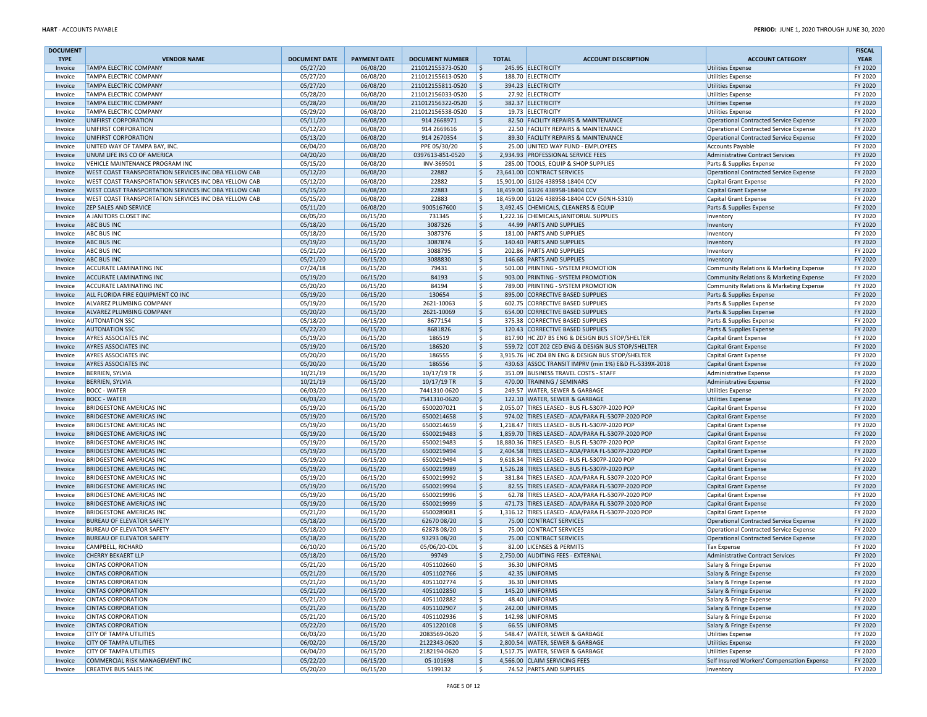| <b>DOCUMENT</b>    |                                                                    |                      |                      |                                        |                    |                                                                                                      |                                                                        | <b>FISCAL</b>      |
|--------------------|--------------------------------------------------------------------|----------------------|----------------------|----------------------------------------|--------------------|------------------------------------------------------------------------------------------------------|------------------------------------------------------------------------|--------------------|
| <b>TYPE</b>        | <b>VENDOR NAME</b>                                                 | <b>DOCUMENT DATE</b> | <b>PAYMENT DATE</b>  | <b>DOCUMENT NUMBER</b>                 | <b>TOTAL</b>       | <b>ACCOUNT DESCRIPTION</b>                                                                           | <b>ACCOUNT CATEGORY</b>                                                | <b>YEAR</b>        |
| Invoice            | <b>TAMPA ELECTRIC COMPANY</b><br><b>TAMPA ELECTRIC COMPANY</b>     | 05/27/20             | 06/08/20             | 211012155373-0520<br>211012155613-0520 | \$<br>Ś.           | 245.95 ELECTRICITY<br>188.70 ELECTRICITY                                                             | Utilities Expense                                                      | FY 2020<br>FY 2020 |
| Invoice<br>Invoice | <b>TAMPA ELECTRIC COMPANY</b>                                      | 05/27/20<br>05/27/20 | 06/08/20<br>06/08/20 | 211012155811-0520                      | \$                 | 394.23 ELECTRICITY                                                                                   | <b>Utilities Expense</b><br>Utilities Expense                          | FY 2020            |
| Invoice            | <b>TAMPA ELECTRIC COMPANY</b>                                      | 05/28/20             | 06/08/20             | 211012156033-0520                      | Ś                  | 27.92 ELECTRICITY                                                                                    | <b>Utilities Expense</b>                                               | FY 2020            |
| Invoice            | <b>TAMPA ELECTRIC COMPANY</b>                                      | 05/28/20             | 06/08/20             | 211012156322-0520                      | \$                 | 382.37 ELECTRICITY                                                                                   | <b>Utilities Expense</b>                                               | FY 2020            |
| Invoice            | <b>TAMPA ELECTRIC COMPANY</b>                                      | 05/29/20             | 06/08/20             | 211012156538-0520                      | Ŝ.                 | 19.73 ELECTRICITY                                                                                    | Utilities Expense                                                      | FY 2020            |
| Invoice            | UNIFIRST CORPORATION                                               | 05/11/20             | 06/08/20             | 914 2668971                            | S.                 | 82.50 FACILITY REPAIRS & MAINTENANCE                                                                 | Operational Contracted Service Expense                                 | FY 2020            |
| Invoice            | UNIFIRST CORPORATION                                               | 05/12/20             | 06/08/20             | 914 2669616                            | Ś.                 | 22.50 FACILITY REPAIRS & MAINTENANCE                                                                 | Operational Contracted Service Expense                                 | FY 2020            |
| Invoice            | UNIFIRST CORPORATION                                               | 05/13/20             | 06/08/20             | 914 2670354                            | \$                 | 89.30 FACILITY REPAIRS & MAINTENANCE                                                                 | Operational Contracted Service Expense                                 | FY 2020            |
| Invoice            | UNITED WAY OF TAMPA BAY, INC.                                      | 06/04/20             | 06/08/20             | PPE 05/30/20                           | Ś.                 | 25.00 UNITED WAY FUND - EMPLOYEES                                                                    | Accounts Payable                                                       | FY 2020            |
| Invoice            | UNUM LIFE INS CO OF AMERICA                                        | 04/20/20             | 06/08/20             | 0397613-851-0520                       | $\mathsf{S}$       | 2,934.93 PROFESSIONAL SERVICE FEES                                                                   | Administrative Contract Services                                       | FY 2020            |
| Invoice            | VEHICLE MAINTENANCE PROGRAM INC                                    | 05/15/20             | 06/08/20             | INV-369501                             | Ś.                 | 285.00 TOOLS. EQUIP & SHOP SUPPLIES                                                                  | Parts & Supplies Expense                                               | FY 2020            |
| Invoice            | WEST COAST TRANSPORTATION SERVICES INC DBA YELLOW CAB              | 05/12/20             | 06/08/20             | 22882                                  | \$                 | 23.641.00 CONTRACT SERVICES                                                                          | Operational Contracted Service Expense                                 | FY 2020            |
| Invoice            | WEST COAST TRANSPORTATION SERVICES INC DBA YELLOW CAB              | 05/12/20             | 06/08/20             | 22882                                  | \$                 | 15,901.00 G1I26 438958-18404 CCV                                                                     | <b>Capital Grant Expense</b>                                           | FY 2020            |
| Invoice            | WEST COAST TRANSPORTATION SERVICES INC DBA YELLOW CAB              | 05/15/20             | 06/08/20             | 22883                                  | \$                 | 18,459.00 G1I26 438958-18404 CCV                                                                     | Capital Grant Expense                                                  | FY 2020            |
| Invoice            | WEST COAST TRANSPORTATION SERVICES INC DBA YELLOW CAB              | 05/15/20             | 06/08/20             | 22883                                  | Ŝ                  | 18,459.00 G1I26 438958-18404 CCV (50%H-5310)                                                         | <b>Capital Grant Expense</b>                                           | FY 2020            |
| Invoice            | <b>ZEP SALES AND SERVICE</b>                                       | 05/11/20             | 06/08/20             | 9005167600                             | \$<br>\$           | 3,492.45 CHEMICALS, CLEANERS & EQUIP                                                                 | Parts & Supplies Expense                                               | FY 2020            |
| Invoice            | A JANITORS CLOSET INC<br><b>ABC BUS INC</b>                        | 06/05/20<br>05/18/20 | 06/15/20<br>06/15/20 | 731345<br>3087326                      | \$                 | 1,222.16 CHEMICALS, JANITORIAL SUPPLIES<br>44.99 PARTS AND SUPPLIES                                  | Inventory                                                              | FY 2020<br>FY 2020 |
| Invoice<br>Invoice | <b>ABC BUS INC</b>                                                 | 05/18/20             | 06/15/20             | 3087376                                | \$                 | 181.00 PARTS AND SUPPLIES                                                                            | Inventory<br>Inventory                                                 | FY 2020            |
| Invoice            | <b>ABC BUS INC</b>                                                 | 05/19/20             | 06/15/20             | 3087874                                | \$                 | 140.40 PARTS AND SUPPLIES                                                                            | Inventory                                                              | FY 2020            |
| Invoice            | <b>ABC BUS INC</b>                                                 | 05/21/20             | 06/15/20             | 3088795                                | \$                 | 202.86 PARTS AND SUPPLIES                                                                            | Inventory                                                              | FY 2020            |
| Invoice            | <b>ABC BUS INC</b>                                                 | 05/21/20             | 06/15/20             | 3088830                                | \$                 | 146.68 PARTS AND SUPPLIES                                                                            | Inventory                                                              | FY 2020            |
| Invoice            | ACCURATE LAMINATING INC                                            | 07/24/18             | 06/15/20             | 79431                                  | \$                 | 501.00 PRINTING - SYSTEM PROMOTION                                                                   | Community Relations & Marketing Expense                                | FY 2020            |
| Invoice            | <b>ACCURATE LAMINATING INC</b>                                     | 05/19/20             | 06/15/20             | 84193                                  | \$                 | 903.00 PRINTING - SYSTEM PROMOTION                                                                   | Community Relations & Marketing Expense                                | FY 2020            |
| Invoice            | <b>ACCURATE LAMINATING INC</b>                                     | 05/20/20             | 06/15/20             | 84194                                  | \$                 | 789.00 PRINTING - SYSTEM PROMOTION                                                                   | Community Relations & Marketing Expense                                | FY 2020            |
| Invoice            | ALL FLORIDA FIRE EQUIPMENT CO INC                                  | 05/19/20             | 06/15/20             | 130654                                 | \$                 | 895.00 CORRECTIVE BASED SUPPLIES                                                                     | Parts & Supplies Expense                                               | FY 2020            |
| Invoice            | ALVAREZ PLUMBING COMPANY                                           | 05/19/20             | 06/15/20             | 2621-10063                             | \$                 | 602.75 CORRECTIVE BASED SUPPLIES                                                                     | Parts & Supplies Expense                                               | FY 2020            |
| Invoice            | ALVAREZ PLUMBING COMPANY                                           | 05/20/20             | 06/15/20             | 2621-10069                             | \$                 | 654.00 CORRECTIVE BASED SUPPLIES                                                                     | Parts & Supplies Expense                                               | FY 2020            |
| Invoice            | <b>AUTONATION SSC</b>                                              | 05/18/20             | 06/15/20             | 8677154                                | \$                 | 375.38 CORRECTIVE BASED SUPPLIES                                                                     | Parts & Supplies Expense                                               | FY 2020            |
| Invoice            | <b>AUTONATION SSC</b>                                              | 05/22/20             | 06/15/20             | 8681826                                | \$                 | 120.43 CORRECTIVE BASED SUPPLIES                                                                     | Parts & Supplies Expense                                               | FY 2020            |
| Invoice            | <b>AYRES ASSOCIATES INC</b>                                        | 05/19/20             | 06/15/20             | 186519                                 | \$                 | 817.90 HC Z07 BS ENG & DESIGN BUS STOP/SHELTER                                                       | Capital Grant Expense                                                  | FY 2020            |
| Invoice            | <b>AYRES ASSOCIATES INC</b>                                        | 05/19/20             | 06/15/20             | 186520                                 | Ŝ.                 | 559.72 COT Z02 CED ENG & DESIGN BUS STOP/SHELTER                                                     | Capital Grant Expense                                                  | FY 2020            |
| Invoice            | <b>AYRES ASSOCIATES INC</b>                                        | 05/20/20             | 06/15/20             | 186555                                 | \$                 | 3,915.76 HC Z04 BN ENG & DESIGN BUS STOP/SHELTER                                                     | <b>Capital Grant Expense</b>                                           | FY 2020            |
| Invoice            | AYRES ASSOCIATES INC                                               | 05/20/20             | 06/15/20             | 186556                                 | \$                 | 430.63 ASSOC TRANSIT IMPRV (min 1%) E&D FL-5339X-2018                                                | Capital Grant Expense                                                  | FY 2020            |
| Invoice            | <b>BERRIEN, SYLVIA</b>                                             | 10/21/19             | 06/15/20             | 10/17/19 TR                            | S.                 | 351.09 BUSINESS TRAVEL COSTS - STAFF                                                                 | Administrative Expense                                                 | FY 2020            |
| Invoice            | <b>BERRIEN, SYLVIA</b>                                             | 10/21/19             | 06/15/20             | 10/17/19 TR                            | Ŝ.                 | 470.00 TRAINING / SEMINARS                                                                           | Administrative Expense                                                 | FY 2020            |
| Invoice            | <b>BOCC - WATER</b>                                                | 06/03/20             | 06/15/20             | 7441310-0620                           | \$                 | 249.57 WATER, SEWER & GARBAGE                                                                        | <b>Utilities Expense</b>                                               | FY 2020            |
| Invoice            | <b>BOCC - WATER</b>                                                | 06/03/20             | 06/15/20             | 7541310-0620                           | \$                 | 122.10 WATER, SEWER & GARBAGE                                                                        | <b>Utilities Expense</b>                                               | FY 2020            |
| Invoice            | <b>BRIDGESTONE AMERICAS INC</b>                                    | 05/19/20             | 06/15/20             | 6500207021                             | \$                 | 2,055.07 TIRES LEASED - BUS FL-5307P-2020 POP                                                        | Capital Grant Expense                                                  | FY 2020            |
| Invoice            | <b>BRIDGESTONE AMERICAS INC</b>                                    | 05/19/20             | 06/15/20             | 6500214658                             | Ś                  | 974.02 TIRES LEASED - ADA/PARA FL-5307P-2020 POP                                                     | Capital Grant Expense                                                  | FY 2020            |
| Invoice            | <b>BRIDGESTONE AMERICAS INC</b>                                    | 05/19/20             | 06/15/20             | 6500214659                             | Ś                  | 1,218.47 TIRES LEASED - BUS FL-5307P-2020 POP                                                        | <b>Capital Grant Expense</b>                                           | FY 2020            |
| Invoice            | <b>BRIDGESTONE AMERICAS INC</b>                                    | 05/19/20             | 06/15/20             | 6500219483                             | \$                 | 1,859.70 TIRES LEASED - ADA/PARA FL-5307P-2020 POP                                                   | Capital Grant Expense                                                  | FY 2020            |
| Invoice            | <b>BRIDGESTONE AMERICAS INC</b><br><b>BRIDGESTONE AMERICAS INC</b> | 05/19/20<br>05/19/20 | 06/15/20<br>06/15/20 | 6500219483<br>6500219494               | \$<br>Ś            | 18,880.36 TIRES LEASED - BUS FL-5307P-2020 POP<br>2,404.58 TIRES LEASED - ADA/PARA FL-5307P-2020 POP | Capital Grant Expense                                                  | FY 2020<br>FY 2020 |
| Invoice            | <b>BRIDGESTONE AMERICAS INC</b>                                    | 05/19/20             | 06/15/20             | 6500219494                             | \$                 | 9,618.34 TIRES LEASED - BUS FL-5307P-2020 POP                                                        | Capital Grant Expense                                                  | FY 2020            |
| Invoice<br>Invoice | <b>BRIDGESTONE AMERICAS INC</b>                                    | 05/19/20             | 06/15/20             | 6500219989                             | \$                 | 1,526.28 TIRES LEASED - BUS FL-5307P-2020 POP                                                        | Capital Grant Expense<br><b>Capital Grant Expense</b>                  | FY 2020            |
| Invoice            | <b>BRIDGESTONE AMERICAS INC</b>                                    | 05/19/20             | 06/15/20             | 6500219992                             | \$                 | 381.84 TIRES LEASED - ADA/PARA FL-5307P-2020 POP                                                     | Capital Grant Expense                                                  | FY 2020            |
| Invoice            | <b>BRIDGESTONE AMERICAS INC</b>                                    | 05/19/20             | 06/15/20             | 6500219994                             | $\mathsf{\hat{S}}$ | 82.55 TIRES LEASED - ADA/PARA FL-5307P-2020 POP                                                      | Capital Grant Expense                                                  | FY 2020            |
| Invoice            | <b>BRIDGESTONE AMERICAS INC</b>                                    | 05/19/20             | 06/15/20             | 6500219996                             | \$                 | 62.78 TIRES LEASED - ADA/PARA FL-5307P-2020 POP                                                      | Capital Grant Expense                                                  | FY 2020            |
| Invoice            | <b>BRIDGESTONE AMERICAS INC</b>                                    | 05/19/20             | 06/15/20             | 6500219999                             | \$                 | 471.73 TIRES LEASED - ADA/PARA FL-5307P-2020 POP                                                     | Capital Grant Expense                                                  | FY 2020            |
| Invoice            | <b>BRIDGESTONE AMERICAS INC</b>                                    | 05/21/20             | 06/15/20             | 6500289081                             | \$                 | 1,316.12 TIRES LEASED - ADA/PARA FL-5307P-2020 POP                                                   | Capital Grant Expense                                                  | FY 2020            |
| Invoice            | <b>BUREAU OF ELEVATOR SAFETY</b>                                   | 05/18/20             | 06/15/20             | 6267008/20                             | \$                 | 75.00 CONTRACT SERVICES                                                                              | Operational Contracted Service Expense                                 | FY 2020            |
| Invoice            | <b>BUREAU OF ELEVATOR SAFETY</b>                                   | 05/18/20             | 06/15/20             | 62878 08/20                            | \$                 | 75.00 CONTRACT SERVICES                                                                              | Operational Contracted Service Expense                                 | FY 2020            |
| Invoice            | <b>BUREAU OF ELEVATOR SAFETY</b>                                   | 05/18/20             | 06/15/20             | 93293 08/20                            | \$                 | 75.00 CONTRACT SERVICES                                                                              | Operational Contracted Service Expense                                 | FY 2020            |
| Invoice            | CAMPBELL, RICHARD                                                  | 06/10/20             | 06/15/20             | 05/06/20-CDL                           | \$                 | 82.00 LICENSES & PERMITS                                                                             | <b>Tax Expense</b>                                                     | FY 2020            |
| Invoice            | <b>CHERRY BEKAERT LLP</b>                                          | 05/18/20             | 06/15/20             | 99749                                  | S.                 | 2,750.00 AUDITING FEES - EXTERNAL                                                                    | Administrative Contract Services                                       | FY 2020            |
| Invoice            | <b>CINTAS CORPORATION</b>                                          | 05/21/20             | 06/15/20             | 4051102660                             | Ś.                 | 36.30 UNIFORMS                                                                                       | Salary & Fringe Expense                                                | FY 2020            |
| Invoice            | <b>CINTAS CORPORATION</b>                                          | 05/21/20             | 06/15/20             | 4051102766                             | -\$                | 42.35 UNIFORMS                                                                                       | Salary & Fringe Expense                                                | FY 2020            |
| Invoice            | <b>CINTAS CORPORATION</b>                                          | 05/21/20             | 06/15/20             | 4051102774                             | \$                 | 36.30 UNIFORMS                                                                                       | Salary & Fringe Expense                                                | FY 2020            |
| Invoice            | <b>CINTAS CORPORATION</b>                                          | 05/21/20             | 06/15/20             | 4051102850                             | \$                 | 145.20 UNIFORMS                                                                                      | Salary & Fringe Expense                                                | FY 2020            |
| Invoice            | <b>CINTAS CORPORATION</b>                                          | 05/21/20             | 06/15/20             | 4051102882                             | Ś.                 | 48.40 UNIFORMS                                                                                       | Salary & Fringe Expense                                                | FY 2020            |
| Invoice            | <b>CINTAS CORPORATION</b>                                          | 05/21/20             | 06/15/20             | 4051102907                             | I\$                | 242.00 UNIFORMS                                                                                      | Salary & Fringe Expense                                                | FY 2020            |
| Invoice            | <b>CINTAS CORPORATION</b>                                          | 05/21/20             | 06/15/20             | 4051102936                             | \$                 | 142.98 UNIFORMS                                                                                      | Salary & Fringe Expense                                                | FY 2020            |
| Invoice            | <b>CINTAS CORPORATION</b>                                          | 05/22/20             | 06/15/20             | 4051220108                             | \$                 | 66.55 UNIFORMS                                                                                       | Salary & Fringe Expense                                                | FY 2020            |
| Invoice            | <b>CITY OF TAMPA UTILITIES</b>                                     | 06/03/20             | 06/15/20             | 2083569-0620                           | Ś.                 | 548.47 WATER, SEWER & GARBAGE                                                                        | <b>Utilities Expense</b>                                               | FY 2020            |
| Invoice            | <b>CITY OF TAMPA UTILITIES</b>                                     | 06/02/20             | 06/15/20             | 2122343-0620                           | \$                 | 2,800.54 WATER, SEWER & GARBAGE                                                                      | Utilities Expense                                                      | FY 2020            |
| Invoice            | <b>CITY OF TAMPA UTILITIES</b><br>COMMERCIAL RISK MANAGEMENT INC   | 06/04/20<br>05/22/20 | 06/15/20             | 2182194-0620                           | \$                 | 1,517.75 WATER, SEWER & GARBAGE<br>4,566.00 CLAIM SERVICING FEES                                     | <b>Utilities Expense</b><br>Self Insured Workers' Compensation Expense | FY 2020<br>FY 2020 |
| Invoice            | <b>CREATIVE BUS SALES INC</b>                                      |                      | 06/15/20             | 05-101698<br>5199132                   | \$<br>\$           | 74.52 PARTS AND SUPPLIES                                                                             |                                                                        | FY 2020            |
| Invoice            |                                                                    | 05/20/20             | 06/15/20             |                                        |                    |                                                                                                      | Inventory                                                              |                    |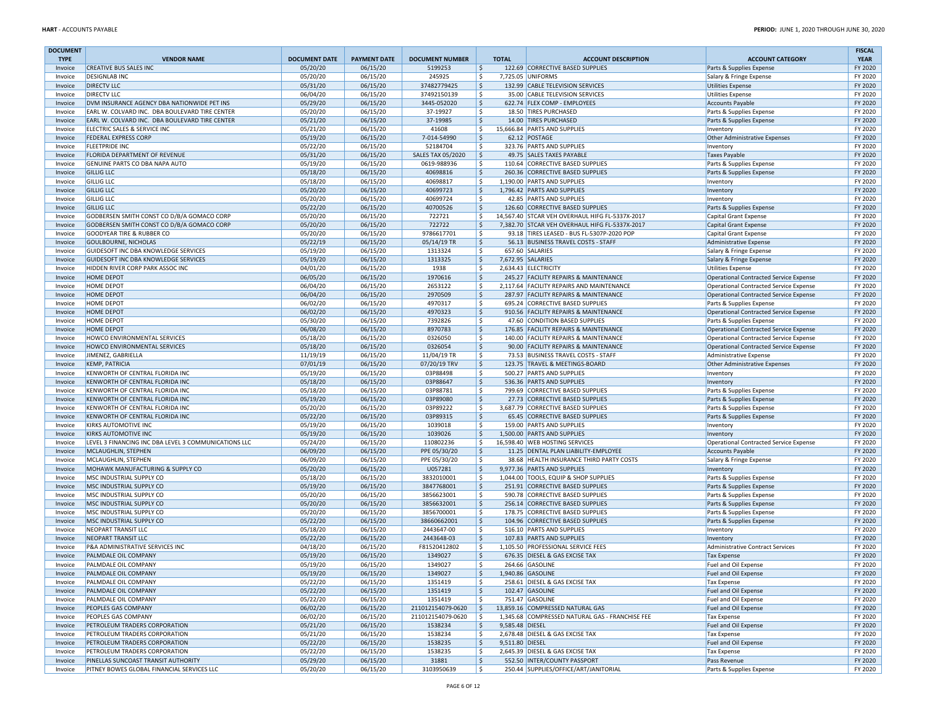| <b>DOCUMENT</b>    |                                                                     |                      |                      |                            |                       |                                                                                   |                                                      | <b>FISCAL</b>      |
|--------------------|---------------------------------------------------------------------|----------------------|----------------------|----------------------------|-----------------------|-----------------------------------------------------------------------------------|------------------------------------------------------|--------------------|
| <b>TYPE</b>        | <b>VENDOR NAME</b>                                                  | <b>DOCUMENT DATE</b> | <b>PAYMENT DATE</b>  | <b>DOCUMENT NUMBER</b>     | <b>TOTAL</b>          | <b>ACCOUNT DESCRIPTION</b>                                                        | <b>ACCOUNT CATEGORY</b>                              | <b>YEAR</b>        |
| Invoice            | <b>CREATIVE BUS SALES INC</b>                                       | 05/20/20             | 06/15/20             | 5199253                    | \$                    | 122.69 CORRECTIVE BASED SUPPLIES                                                  | Parts & Supplies Expense                             | FY 2020            |
| Invoice            | <b>DESIGNLAB INC</b>                                                | 05/20/20             | 06/15/20             | 245925                     | \$                    | 7,725.05 UNIFORMS                                                                 | Salary & Fringe Expense                              | FY 2020            |
| Invoice            | <b>DIRECTV LLC</b><br><b>DIRECTV LLC</b>                            | 05/31/20<br>06/04/20 | 06/15/20<br>06/15/20 | 37482779425<br>37492150139 | \$<br>\$              | 132.99 CABLE TELEVISION SERVICES<br>35.00 CABLE TELEVISION SERVICES               | <b>Utilities Expense</b>                             | FY 2020<br>FY 2020 |
| Invoice<br>Invoice | DVM INSURANCE AGENCY DBA NATIONWIDE PET INS                         | 05/29/20             | 06/15/20             | 3445-052020                | \$                    | 622.74 FLEX COMP - EMPLOYEES                                                      | <b>Utilities Expense</b><br><b>Accounts Payable</b>  | FY 2020            |
| Invoice            | EARL W. COLVARD INC. DBA BOULEVARD TIRE CENTER                      | 05/20/20             | 06/15/20             | 37-19927                   | \$                    | 18.50 TIRES PURCHASED                                                             | Parts & Supplies Expense                             | FY 2020            |
| Invoice            | EARL W. COLVARD INC. DBA BOULEVARD TIRE CENTER                      | 05/21/20             | 06/15/20             | 37-19985                   | Ŝ.                    | 14.00 TIRES PURCHASED                                                             | Parts & Supplies Expense                             | FY 2020            |
| Invoice            | ELECTRIC SALES & SERVICE INC                                        | 05/21/20             | 06/15/20             | 41608                      | \$                    | 15,666.84 PARTS AND SUPPLIES                                                      | Inventory                                            | FY 2020            |
| Invoice            | <b>FEDERAL EXPRESS CORP</b>                                         | 05/19/20             | 06/15/20             | 7-014-54990                | \$                    | 62.12 POSTAGE                                                                     | Other Administrative Expenses                        | FY 2020            |
| Invoice            | <b>FLEETPRIDE INC</b>                                               | 05/22/20             | 06/15/20             | 52184704                   | \$                    | 323.76 PARTS AND SUPPLIES                                                         | Inventory                                            | FY 2020            |
| Invoice            | FLORIDA DEPARTMENT OF REVENUE                                       | 05/31/20             | 06/15/20             | <b>SALES TAX 05/2020</b>   | \$                    | 49.75 SALES TAXES PAYABLE                                                         | <b>Taxes Payable</b>                                 | FY 2020            |
| Invoice            | GENUINE PARTS CO DBA NAPA AUTO                                      | 05/19/20             | 06/15/20             | 0619-988936                | \$                    | 110.64 CORRECTIVE BASED SUPPLIES                                                  | Parts & Supplies Expense                             | FY 2020            |
| Invoice            | <b>GILLIG LLC</b>                                                   | 05/18/20             | 06/15/20             | 40698816                   | \$                    | 260.36 CORRECTIVE BASED SUPPLIES                                                  | Parts & Supplies Expense                             | FY 2020            |
| Invoice            | <b>GILLIG LLC</b>                                                   | 05/18/20             | 06/15/20             | 40698817                   | \$                    | 1,190.00 PARTS AND SUPPLIES                                                       | Inventory                                            | FY 2020            |
| Invoice            | <b>GILLIG LLC</b>                                                   | 05/20/20             | 06/15/20             | 40699723                   | \$                    | 1,796.42 PARTS AND SUPPLIES                                                       | Inventory                                            | FY 2020            |
| Invoice            | <b>GILLIG LLC</b>                                                   | 05/20/20             | 06/15/20             | 40699724                   | \$                    | 42.85 PARTS AND SUPPLIES                                                          | Inventory                                            | FY 2020            |
| Invoice            | <b>GILLIG LLC</b>                                                   | 05/22/20             | 06/15/20             | 40700526                   | \$                    | 126.60 CORRECTIVE BASED SUPPLIES                                                  | Parts & Supplies Expense                             | FY 2020            |
| Invoice            | GODBERSEN SMITH CONST CO D/B/A GOMACO CORP                          | 05/20/20             | 06/15/20             | 722721                     | \$                    | 14,567.40 STCAR VEH OVERHAUL HIFG FL-5337X-2017                                   | Capital Grant Expense                                | FY 2020            |
| Invoice            | GODBERSEN SMITH CONST CO D/B/A GOMACO CORP                          | 05/20/20             | 06/15/20             | 722722                     | \$                    | 7,382.70 STCAR VEH OVERHAUL HIFG FL-5337X-2017                                    | Capital Grant Expense                                | FY 2020            |
| Invoice            | <b>GOODYEAR TIRE &amp; RUBBER CO</b><br><b>GOULBOURNE, NICHOLAS</b> | 05/20/20             | 06/15/20<br>06/15/20 | 9786617701<br>05/14/19 TR  | \$<br>l\$             | 93.18 TIRES LEASED - BUS FL-5307P-2020 POP<br>56.13 BUSINESS TRAVEL COSTS - STAFF | Capital Grant Expense                                | FY 2020<br>FY 2020 |
| Invoice<br>Invoice | GUIDESOFT INC DBA KNOWLEDGE SERVICES                                | 05/22/19<br>05/19/20 | 06/15/20             | 1313324                    | \$                    | 657.60 SALARIES                                                                   | Administrative Expense                               | FY 2020            |
| Invoice            | GUIDESOFT INC DBA KNOWLEDGE SERVICES                                | 05/19/20             | 06/15/20             | 1313325                    | \$                    | 7,672.95 SALARIES                                                                 | Salary & Fringe Expense<br>Salary & Fringe Expense   | FY 2020            |
| Invoice            | HIDDEN RIVER CORP PARK ASSOC INC                                    | 04/01/20             | 06/15/20             | 1938                       | Ś.                    | 2,634.43 ELECTRICITY                                                              | <b>Utilities Expense</b>                             | FY 2020            |
| Invoice            | <b>HOME DEPOT</b>                                                   | 06/05/20             | 06/15/20             | 1970616                    | \$                    | 245.27 FACILITY REPAIRS & MAINTENANCE                                             | Operational Contracted Service Expense               | FY 2020            |
| Invoice            | HOME DEPOT                                                          | 06/04/20             | 06/15/20             | 2653122                    | \$                    | 2,117.64 FACILITY REPAIRS AND MAINTENANCE                                         | Operational Contracted Service Expense               | FY 2020            |
| Invoice            | <b>HOME DEPOT</b>                                                   | 06/04/20             | 06/15/20             | 2970509                    | \$                    | 287.97 FACILITY REPAIRS & MAINTENANCE                                             | Operational Contracted Service Expense               | FY 2020            |
| Invoice            | <b>HOME DEPOT</b>                                                   | 06/02/20             | 06/15/20             | 4970317                    | \$                    | 695.24 CORRECTIVE BASED SUPPLIES                                                  | Parts & Supplies Expense                             | FY 2020            |
| Invoice            | <b>HOME DEPOT</b>                                                   | 06/02/20             | 06/15/20             | 4970323                    | \$                    | 910.56 FACILITY REPAIRS & MAINTENANCE                                             | Operational Contracted Service Expense               | FY 2020            |
| Invoice            | <b>HOME DEPOT</b>                                                   | 05/30/20             | 06/15/20             | 7392826                    | \$                    | 47.60 CONDITION BASED SUPPLIES                                                    | Parts & Supplies Expense                             | FY 2020            |
| Invoice            | <b>HOME DEPOT</b>                                                   | 06/08/20             | 06/15/20             | 8970783                    | \$                    | 176.85 FACILITY REPAIRS & MAINTENANCE                                             | Operational Contracted Service Expense               | FY 2020            |
| Invoice            | HOWCO ENVIRONMENTAL SERVICES                                        | 05/18/20             | 06/15/20             | 0326050                    | \$                    | 140.00 FACILITY REPAIRS & MAINTENANCE                                             | Operational Contracted Service Expense               | FY 2020            |
| Invoice            | HOWCO ENVIRONMENTAL SERVICES                                        | 05/18/20             | 06/15/20             | 0326054                    | \$                    | 90.00 FACILITY REPAIRS & MAINTENANCE                                              | Operational Contracted Service Expense               | FY 2020            |
| Invoice            | JIMENEZ, GABRIELLA                                                  | 11/19/19             | 06/15/20             | 11/04/19 TR                | \$                    | 73.53 BUSINESS TRAVEL COSTS - STAFF                                               | Administrative Expense                               | FY 2020            |
| Invoice            | <b>KEMP, PATRICIA</b>                                               | 07/01/19             | 06/15/20             | 07/20/19 TRV               | \$                    | 123.75 TRAVEL & MEETINGS-BOARD                                                    | Other Administrative Expenses                        | FY 2020            |
| Invoice            | KENWORTH OF CENTRAL FLORIDA INC                                     | 05/19/20             | 06/15/20             | 03P88498                   | \$                    | 500.27 PARTS AND SUPPLIES                                                         | Inventory                                            | FY 2020            |
| Invoice            | KENWORTH OF CENTRAL FLORIDA INC                                     | 05/18/20             | 06/15/20             | 03P88647                   | \$                    | 536.36 PARTS AND SUPPLIES                                                         | Inventory                                            | FY 2020            |
| Invoice            | KENWORTH OF CENTRAL FLORIDA INC                                     | 05/18/20             | 06/15/20             | 03P88781                   | \$                    | 799.69 CORRECTIVE BASED SUPPLIES                                                  | Parts & Supplies Expense                             | FY 2020            |
| Invoice            | KENWORTH OF CENTRAL FLORIDA INC                                     | 05/19/20             | 06/15/20             | 03P89080                   | \$                    | 27.73 CORRECTIVE BASED SUPPLIES                                                   | Parts & Supplies Expense                             | FY 2020            |
| Invoice            | KENWORTH OF CENTRAL FLORIDA INC                                     | 05/20/20             | 06/15/20             | 03P89222                   | \$                    | 3,687.79 CORRECTIVE BASED SUPPLIES                                                | Parts & Supplies Expense                             | FY 2020            |
| Invoice            | KENWORTH OF CENTRAL FLORIDA INC                                     | 05/22/20             | 06/15/20             | 03P89315                   | \$                    | 65.45 CORRECTIVE BASED SUPPLIES                                                   | Parts & Supplies Expense                             | FY 2020            |
| Invoice            | <b>KIRKS AUTOMOTIVE INC</b>                                         | 05/19/20             | 06/15/20             | 1039018                    | \$                    | 159.00 PARTS AND SUPPLIES                                                         | Inventory                                            | FY 2020            |
| Invoice            | <b>KIRKS AUTOMOTIVE INC</b>                                         | 05/19/20             | 06/15/20             | 1039026                    | \$                    | 1,500.00 PARTS AND SUPPLIES                                                       | Inventory                                            | FY 2020            |
| Invoice            | LEVEL 3 FINANCING INC DBA LEVEL 3 COMMUNICATIONS LLC                | 05/24/20             | 06/15/20             | 110802236                  | \$                    | 16,598.40 WEB HOSTING SERVICES                                                    | Operational Contracted Service Expense               | FY 2020            |
| Invoice            | MCLAUGHLIN, STEPHEN                                                 | 06/09/20             | 06/15/20             | PPE 05/30/20               | l\$                   | 11.25 DENTAL PLAN LIABILITY-EMPLOYEE                                              | Accounts Payable                                     | FY 2020            |
| Invoice            | MCLAUGHLIN, STEPHEN                                                 | 06/09/20             | 06/15/20             | PPE 05/30/20               | S.                    | 38.68 HEALTH INSURANCE THIRD PARTY COSTS                                          | Salary & Fringe Expense                              | FY 2020            |
| Invoice            | MOHAWK MANUFACTURING & SUPPLY CO                                    | 05/20/20             | 06/15/20             | U057281                    | \$                    | 9,977.36 PARTS AND SUPPLIES                                                       | Inventory                                            | FY 2020            |
| Invoice            | MSC INDUSTRIAL SUPPLY CO                                            | 05/18/20             | 06/15/20             | 3832010001                 | S.                    | 1,044.00 TOOLS, EQUIP & SHOP SUPPLIES                                             | Parts & Supplies Expense                             | FY 2020            |
| Invoice            | MSC INDUSTRIAL SUPPLY CO<br>MSC INDUSTRIAL SUPPLY CO                | 05/19/20<br>05/20/20 | 06/15/20<br>06/15/20 | 3847768001<br>3856623001   | \$                    | 251.91 CORRECTIVE BASED SUPPLIES<br>590.78 CORRECTIVE BASED SUPPLIES              | Parts & Supplies Expense                             | FY 2020<br>FY 2020 |
| Invoice<br>Invoice | MSC INDUSTRIAL SUPPLY CO                                            | 05/20/20             | 06/15/20             | 3856632001                 | \$<br>\$              | 256.14 CORRECTIVE BASED SUPPLIES                                                  | Parts & Supplies Expense                             | FY 2020            |
| Invoice            | MSC INDUSTRIAL SUPPLY CO                                            | 05/20/20             | 06/15/20             | 3856700001                 | \$                    | 178.75 CORRECTIVE BASED SUPPLIES                                                  | Parts & Supplies Expense<br>Parts & Supplies Expense | FY 2020            |
| Invoice            | MSC INDUSTRIAL SUPPLY CO                                            | 05/22/20             | 06/15/20             | 38660662001                | \$                    | 104.96 CORRECTIVE BASED SUPPLIES                                                  | Parts & Supplies Expense                             | FY 2020            |
| Invoice            | NEOPART TRANSIT LLC                                                 | 05/18/20             | 06/15/20             | 2443647-00                 | \$                    | 516.10 PARTS AND SUPPLIES                                                         | Inventory                                            | FY 2020            |
| Invoice            | <b>NEOPART TRANSIT LLC</b>                                          | 05/22/20             | 06/15/20             | 2443648-03                 | \$                    | 107.83 PARTS AND SUPPLIES                                                         | Inventory                                            | FY 2020            |
| Invoice            | P&A ADMINISTRATIVE SERVICES INC                                     | 04/18/20             | 06/15/20             | F81520412802               | Ś.                    | 1,105.50 PROFESSIONAL SERVICE FEES                                                | Administrative Contract Services                     | FY 2020            |
| Invoice            | PALMDALE OIL COMPANY                                                | 05/19/20             | 06/15/20             | 1349027                    | Ŝ.                    | 676.35 DIESEL & GAS EXCISE TAX                                                    | <b>Tax Expense</b>                                   | FY 2020            |
| Invoice            | PALMDALE OIL COMPANY                                                | 05/19/20             | 06/15/20             | 1349027                    | \$                    | 264.66 GASOLINE                                                                   | Fuel and Oil Expense                                 | FY 2020            |
| Invoice            | PALMDALE OIL COMPANY                                                | 05/19/20             | 06/15/20             | 1349027                    |                       | 1,940.86 GASOLINE                                                                 | Fuel and Oil Expense                                 | FY 2020            |
| Invoice            | PALMDALE OIL COMPANY                                                | 05/22/20             | 06/15/20             | 1351419                    | \$                    | 258.61 DIESEL & GAS EXCISE TAX                                                    | <b>Tax Expense</b>                                   | FY 2020            |
| Invoice            | PALMDALE OIL COMPANY                                                | 05/22/20             | 06/15/20             | 1351419                    | \$                    | 102.47 GASOLINE                                                                   | Fuel and Oil Expense                                 | FY 2020            |
| Invoice            | PALMDALE OIL COMPANY                                                | 05/22/20             | 06/15/20             | 1351419                    | \$                    | 751.47 GASOLINE                                                                   | Fuel and Oil Expense                                 | FY 2020            |
| Invoice            | PEOPLES GAS COMPANY                                                 | 06/02/20             | 06/15/20             | 211012154079-0620          | \$                    | 13,859.16 COMPRESSED NATURAL GAS                                                  | Fuel and Oil Expense                                 | FY 2020            |
| Invoice            | PEOPLES GAS COMPANY                                                 | 06/02/20             | 06/15/20             | 211012154079-0620          | l s                   | 1.345.68 COMPRESSED NATURAL GAS - FRANCHISE FEE                                   | Tax Expense                                          | FY 2020            |
| Invoice            | PETROLEUM TRADERS CORPORATION                                       | 05/21/20             | 06/15/20             | 1538234                    | \$<br>9,585.48 DIESEL |                                                                                   | Fuel and Oil Expense                                 | FY 2020            |
| Invoice            | PETROLEUM TRADERS CORPORATION                                       | 05/21/20             | 06/15/20             | 1538234                    | \$                    | 2,678.48 DIESEL & GAS EXCISE TAX                                                  | Tax Expense                                          | FY 2020            |
| Invoice            | PETROLEUM TRADERS CORPORATION                                       | 05/22/20             | 06/15/20             | 1538235                    | \$<br>9,511.80 DIESEL |                                                                                   | Fuel and Oil Expense                                 | FY 2020            |
| Invoice            | PETROLEUM TRADERS CORPORATION                                       | 05/22/20             | 06/15/20             | 1538235                    | \$                    | 2,645.39 DIESEL & GAS EXCISE TAX                                                  | <b>Tax Expense</b>                                   | FY 2020            |
| Invoice            | PINELLAS SUNCOAST TRANSIT AUTHORITY                                 | 05/29/20             | 06/15/20             | 31881                      | \$                    | 552.50 INTER/COUNTY PASSPORT                                                      | Pass Revenue                                         | FY 2020            |
| Invoice            | PITNEY BOWES GLOBAL FINANCIAL SERVICES LLC                          | 05/20/20             | 06/15/20             | 3103950639                 | \$                    | 250.44 SUPPLIES/OFFICE/ART/JANITORIAL                                             | Parts & Supplies Expense                             | FY 2020            |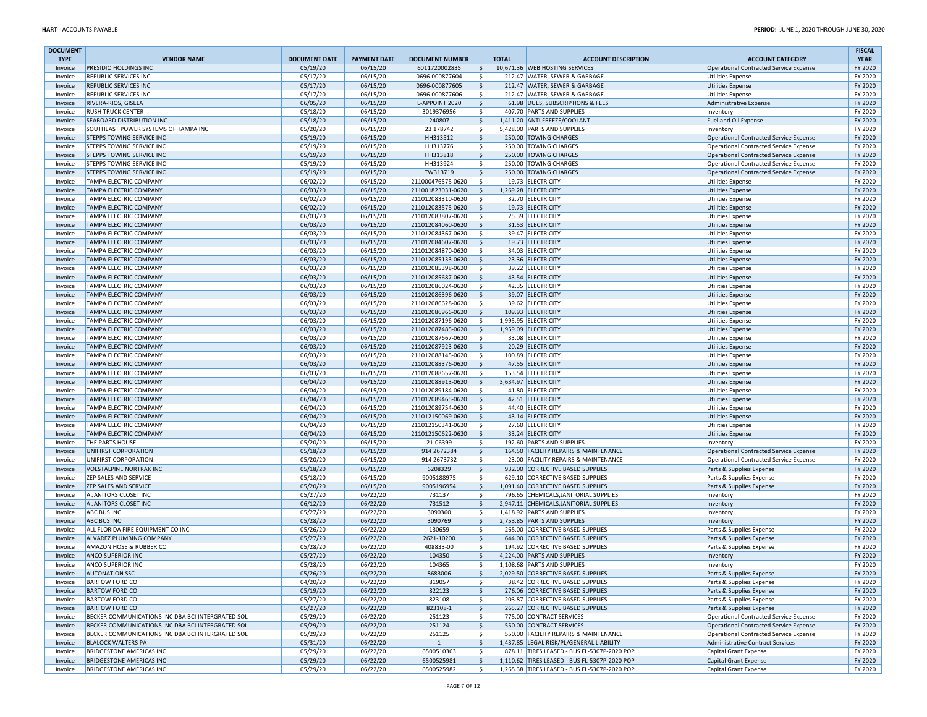| <b>DOCUMENT</b> |                                                   |                      |                     |                        |                    |                                               |                                        | <b>FISCAL</b> |
|-----------------|---------------------------------------------------|----------------------|---------------------|------------------------|--------------------|-----------------------------------------------|----------------------------------------|---------------|
| <b>TYPE</b>     | <b>VENDOR NAME</b>                                | <b>DOCUMENT DATE</b> | <b>PAYMENT DATE</b> | <b>DOCUMENT NUMBER</b> | <b>TOTAL</b>       | <b>ACCOUNT DESCRIPTION</b>                    | <b>ACCOUNT CATEGORY</b>                | <b>YEAR</b>   |
| Invoice         | PRESIDIO HOLDINGS INC                             | 05/19/20             | 06/15/20            | 6011720002835          | IS.                | 10,671.36 WEB HOSTING SERVICES                | Operational Contracted Service Expense | FY 2020       |
| Invoice         | <b>REPUBLIC SERVICES INC</b>                      | 05/17/20             | 06/15/20            | 0696-000877604         | \$                 | 212.47 WATER, SEWER & GARBAGE                 | <b>Utilities Expense</b>               | FY 2020       |
| Invoice         | <b>REPUBLIC SERVICES INC</b>                      | 05/17/20             | 06/15/20            | 0696-000877605         | $\mathsf{S}$       | 212.47 WATER, SEWER & GARBAGE                 | Utilities Expense                      | FY 2020       |
| Invoice         | <b>REPUBLIC SERVICES INC</b>                      | 05/17/20             | 06/15/20            | 0696-000877606         | \$                 | 212.47 WATER, SEWER & GARBAGE                 | <b>Utilities Expense</b>               | FY 2020       |
| Invoice         | RIVERA-RIOS, GISELA                               | 06/05/20             | 06/15/20            | E-APPOINT 2020         | $\mathsf{S}$       | 61.98 DUES, SUBSCRIPTIONS & FEES              | Administrative Expense                 | FY 2020       |
| Invoice         | <b>RUSH TRUCK CENTER</b>                          | 05/18/20             | 06/15/20            | 3019376956             | Ś.                 | 407.70 PARTS AND SUPPLIES                     | Inventory                              | FY 2020       |
| Invoice         | <b>SEABOARD DISTRIBUTION INC</b>                  | 05/18/20             | 06/15/20            | 240807                 | \$                 | 1,411.20 ANTI FREEZE/COOLANT                  | Fuel and Oil Expense                   | FY 2020       |
| Invoice         | SOUTHEAST POWER SYSTEMS OF TAMPA INC              | 05/20/20             | 06/15/20            | 23 178742              | \$                 | 5,428.00 PARTS AND SUPPLIES                   | Inventory                              | FY 2020       |
| Invoice         | <b>STEPPS TOWING SERVICE INC</b>                  | 05/19/20             | 06/15/20            | HH313512               | $\mathsf{\hat{S}}$ | 250.00 TOWING CHARGES                         | Operational Contracted Service Expense | FY 2020       |
| Invoice         | STEPPS TOWING SERVICE INC                         | 05/19/20             | 06/15/20            | HH313776               | \$                 | 250.00 TOWING CHARGES                         | Operational Contracted Service Expense | FY 2020       |
| Invoice         | <b>STEPPS TOWING SERVICE INC</b>                  | 05/19/20             | 06/15/20            | HH313818               | \$                 | 250.00 TOWING CHARGES                         | Operational Contracted Service Expense | FY 2020       |
| Invoice         | <b>STEPPS TOWING SERVICE INC</b>                  | 05/19/20             | 06/15/20            | HH313924               | Ś.                 | 250.00 TOWING CHARGES                         | Operational Contracted Service Expense | FY 2020       |
| Invoice         | STEPPS TOWING SERVICE INC                         | 05/19/20             | 06/15/20            | TW313719               | \$                 | 250.00 TOWING CHARGES                         | Operational Contracted Service Expense | FY 2020       |
| Invoice         | TAMPA ELECTRIC COMPANY                            | 06/02/20             | 06/15/20            | 211000476575-0620      | Ŝ.                 | 19.73 ELECTRICITY                             | <b>Utilities Expense</b>               | FY 2020       |
| Invoice         | <b>TAMPA ELECTRIC COMPANY</b>                     | 06/03/20             | 06/15/20            | 211001823031-0620      | \$                 | 1,269.28 ELECTRICITY                          | Utilities Expense                      | FY 2020       |
| Invoice         | <b>TAMPA ELECTRIC COMPANY</b>                     | 06/02/20             | 06/15/20            | 211012083310-0620      | Ś.                 | 32.70 ELECTRICITY                             | <b>Utilities Expense</b>               | FY 2020       |
| Invoice         | <b>TAMPA ELECTRIC COMPANY</b>                     | 06/02/20             | 06/15/20            | 211012083575-0620      | Ŝ.                 | 19.73 ELECTRICITY                             | Utilities Expense                      | FY 2020       |
| Invoice         | TAMPA ELECTRIC COMPANY                            | 06/03/20             | 06/15/20            | 211012083807-0620      | Ś.                 | 25.39 ELECTRICITY                             | <b>Utilities Expense</b>               | FY 2020       |
| Invoice         | <b>TAMPA ELECTRIC COMPANY</b>                     | 06/03/20             | 06/15/20            | 211012084060-0620      | \$                 | 31.53 ELECTRICITY                             | Utilities Expense                      | FY 2020       |
| Invoice         | <b>TAMPA ELECTRIC COMPANY</b>                     | 06/03/20             | 06/15/20            | 211012084367-0620      | \$                 | 39.47 ELECTRICITY                             | Utilities Expense                      | FY 2020       |
| Invoice         | <b>TAMPA ELECTRIC COMPANY</b>                     | 06/03/20             | 06/15/20            | 211012084607-0620      | \$                 | 19.73 ELECTRICITY                             | Utilities Expense                      | FY 2020       |
| Invoice         | TAMPA ELECTRIC COMPANY                            | 06/03/20             | 06/15/20            | 211012084870-0620      | \$                 | 34.03 ELECTRICITY                             | <b>Utilities Expense</b>               | FY 2020       |
| Invoice         | <b>TAMPA ELECTRIC COMPANY</b>                     | 06/03/20             | 06/15/20            | 211012085133-0620      | \$                 | 23.36 ELECTRICITY                             | Utilities Expense                      | FY 2020       |
| Invoice         | <b>TAMPA ELECTRIC COMPANY</b>                     | 06/03/20             | 06/15/20            | 211012085398-0620      | S.                 | 39.22 ELECTRICITY                             | Utilities Expense                      | FY 2020       |
| Invoice         | <b>TAMPA ELECTRIC COMPANY</b>                     | 06/03/20             | 06/15/20            | 211012085687-0620      | \$                 | 43.54 ELECTRICITY                             | Utilities Expense                      | FY 2020       |
| Invoice         | <b>TAMPA ELECTRIC COMPANY</b>                     | 06/03/20             | 06/15/20            | 211012086024-0620      | S.                 | 42.35 ELECTRICITY                             | <b>Utilities Expense</b>               | FY 2020       |
| Invoice         | <b>TAMPA ELECTRIC COMPANY</b>                     | 06/03/20             | 06/15/20            | 211012086396-0620      | Ŝ.                 | 39.07 ELECTRICITY                             |                                        | FY 2020       |
|                 | <b>TAMPA ELECTRIC COMPANY</b>                     |                      |                     |                        |                    |                                               | <b>Utilities Expense</b>               |               |
| Invoice         |                                                   | 06/03/20             | 06/15/20            | 211012086628-0620      | Ŝ                  | 39.62 ELECTRICITY                             | Utilities Expense                      | FY 2020       |
| Invoice         | <b>TAMPA ELECTRIC COMPANY</b>                     | 06/03/20             | 06/15/20            | 211012086966-0620      | Ś                  | 109.93 ELECTRICITY                            | <b>Utilities Expense</b>               | FY 2020       |
| Invoice         | TAMPA ELECTRIC COMPANY                            | 06/03/20             | 06/15/20            | 211012087196-0620      | Ŝ.                 | 1,995.95 ELECTRICITY                          | <b>Utilities Expense</b>               | FY 2020       |
| Invoice         | TAMPA ELECTRIC COMPANY                            | 06/03/20             | 06/15/20            | 211012087485-0620      | Ŝ.                 | 1,959.09 ELECTRICITY                          | <b>Utilities Expense</b>               | FY 2020       |
| Invoice         | <b>TAMPA ELECTRIC COMPANY</b>                     | 06/03/20             | 06/15/20            | 211012087667-0620      | \$                 | 33.08 ELECTRICITY                             | Utilities Expense                      | FY 2020       |
| Invoice         | <b>TAMPA ELECTRIC COMPANY</b>                     | 06/03/20             | 06/15/20            | 211012087923-0620      | Ŝ.                 | 20.29 ELECTRICITY                             | <b>Utilities Expense</b>               | FY 2020       |
| Invoice         | <b>TAMPA ELECTRIC COMPANY</b>                     | 06/03/20             | 06/15/20            | 211012088145-0620      | Ś                  | 100.89 ELECTRICITY                            | <b>Utilities Expense</b>               | FY 2020       |
| Invoice         | <b>TAMPA ELECTRIC COMPANY</b>                     | 06/03/20             | 06/15/20            | 211012088376-0620      | Ŝ.                 | 47.55 ELECTRICITY                             | <b>Utilities Expense</b>               | FY 2020       |
| Invoice         | <b>TAMPA ELECTRIC COMPANY</b>                     | 06/03/20             | 06/15/20            | 211012088657-0620      | Ś.                 | 153.54 ELECTRICITY                            | <b>Utilities Expense</b>               | FY 2020       |
| Invoice         | <b>TAMPA ELECTRIC COMPANY</b>                     | 06/04/20             | 06/15/20            | 211012088913-0620      | \$                 | 3,634.97 ELECTRICITY                          | <b>Utilities Expense</b>               | FY 2020       |
| Invoice         | TAMPA ELECTRIC COMPANY                            | 06/04/20             | 06/15/20            | 211012089184-0620      | \$                 | 41.80 ELECTRICITY                             | <b>Utilities Expense</b>               | FY 2020       |
| Invoice         | <b>TAMPA ELECTRIC COMPANY</b>                     | 06/04/20             | 06/15/20            | 211012089465-0620      | Ŝ.                 | 42.51 ELECTRICITY                             | <b>Utilities Expense</b>               | FY 2020       |
| Invoice         | <b>TAMPA ELECTRIC COMPANY</b>                     | 06/04/20             | 06/15/20            | 211012089754-0620      | \$                 | 44.40 ELECTRICITY                             | <b>Utilities Expense</b>               | FY 2020       |
| Invoice         | <b>TAMPA ELECTRIC COMPANY</b>                     | 06/04/20             | 06/15/20            | 211012150069-0620      | Ŝ.                 | 43.14 ELECTRICITY                             | <b>Utilities Expense</b>               | FY 2020       |
| Invoice         | <b>TAMPA ELECTRIC COMPANY</b>                     | 06/04/20             | 06/15/20            | 211012150341-0620      | \$                 | 27.60 ELECTRICITY                             | <b>Utilities Expense</b>               | FY 2020       |
| Invoice         | <b>TAMPA ELECTRIC COMPANY</b>                     | 06/04/20             | 06/15/20            | 211012150622-0620      | \$                 | 33.24 ELECTRICITY                             | <b>Utilities Expense</b>               | FY 2020       |
| Invoice         | THE PARTS HOUSE                                   | 05/20/20             | 06/15/20            | 21-06399               | \$                 | 192.60 PARTS AND SUPPLIES                     | Inventory                              | FY 2020       |
| Invoice         | UNIFIRST CORPORATION                              | 05/18/20             | 06/15/20            | 914 2672384            | \$                 | 164.50 FACILITY REPAIRS & MAINTENANCE         | Operational Contracted Service Expense | FY 2020       |
| Invoice         | UNIFIRST CORPORATION                              | 05/20/20             | 06/15/20            | 914 2673732            | \$                 | 23.00 FACILITY REPAIRS & MAINTENANCE          | Operational Contracted Service Expense | FY 2020       |
| Invoice         | <b>VOESTALPINE NORTRAK INC</b>                    | 05/18/20             | 06/15/20            | 6208329                | \$                 | 932.00 CORRECTIVE BASED SUPPLIES              | Parts & Supplies Expense               | FY 2020       |
| Invoice         | <b>ZEP SALES AND SERVICE</b>                      | 05/18/20             | 06/15/20            | 9005188975             | \$                 | 629.10 CORRECTIVE BASED SUPPLIES              | Parts & Supplies Expense               | FY 2020       |
| Invoice         | <b>ZEP SALES AND SERVICE</b>                      | 05/20/20             | 06/15/20            | 9005196954             | \$                 | 1,091.40 CORRECTIVE BASED SUPPLIES            | Parts & Supplies Expense               | FY 2020       |
| Invoice         | A JANITORS CLOSET INC                             | 05/27/20             | 06/22/20            | 731137                 | Ś.                 | 796.65 CHEMICALS, JANITORIAL SUPPLIES         | Inventory                              | FY 2020       |
| Invoice         | A JANITORS CLOSET INC                             | 06/12/20             | 06/22/20            | 731512                 | \$                 | 2.947.11 CHEMICALS.JANITORIAL SUPPLIES        | Inventory                              | FY 2020       |
| Invoice         | <b>ABC BUS INC</b>                                | 05/27/20             | 06/22/20            | 3090360                | \$                 | 1,418.92 PARTS AND SUPPLIES                   | Inventory                              | FY 2020       |
| Invoice         | <b>ABC BUS INC</b>                                | 05/28/20             | 06/22/20            | 3090769                | $\mathsf{S}$       | 2,753.85 PARTS AND SUPPLIES                   | Inventory                              | FY 2020       |
| Invoice         | ALL FLORIDA FIRE EQUIPMENT CO INC                 | 05/26/20             | 06/22/20            | 130659                 | Ś.                 | 265.00 CORRECTIVE BASED SUPPLIES              | Parts & Supplies Expense               | FY 2020       |
| Invoice         | ALVAREZ PLUMBING COMPANY                          | 05/27/20             | 06/22/20            | 2621-10200             | $\mathsf{S}$       | 644.00 CORRECTIVE BASED SUPPLIES              | Parts & Supplies Expense               | FY 2020       |
| Invoice         | AMAZON HOSE & RUBBER CO                           | 05/28/20             | 06/22/20            | 408833-00              | Ś.                 | 194.92 CORRECTIVE BASED SUPPLIES              | Parts & Supplies Expense               | FY 2020       |
| Invoice         | <b>ANCO SUPERIOR INC</b>                          | 05/27/20             | 06/22/20            | 104350                 | \$                 | 4,224.00 PARTS AND SUPPLIES                   | Inventory                              | FY 2020       |
| Invoice         | <b>ANCO SUPERIOR INC</b>                          | 05/28/20             | 06/22/20            | 104365                 | Ś.                 | 1,108.68 PARTS AND SUPPLIES                   | Inventory                              | FY 2020       |
| Invoice         |                                                   |                      |                     |                        |                    |                                               |                                        |               |
|                 | <b>AUTONATION SSC</b>                             | 05/26/20             | 06/22/20            | 8683006                | $\mathsf{S}$       | 2,029.50 CORRECTIVE BASED SUPPLIES            | Parts & Supplies Expense               | FY 2020       |
| Invoice         | <b>BARTOW FORD CO</b>                             | 04/20/20             | 06/22/20            | 819057                 | \$                 | 38.42 CORRECTIVE BASED SUPPLIES               | Parts & Supplies Expense               | FY 2020       |
| Invoice         | <b>BARTOW FORD CO</b>                             | 05/19/20             | 06/22/20            | 822123                 | \$                 | 276.06 CORRECTIVE BASED SUPPLIES              | Parts & Supplies Expense               | FY 2020       |
| Invoice         | <b>BARTOW FORD CO</b>                             | 05/27/20             | 06/22/20            | 823108                 | \$                 | 203.87 CORRECTIVE BASED SUPPLIES              | Parts & Supplies Expense               | FY 2020       |
| Invoice         | <b>BARTOW FORD CO</b>                             | 05/27/20             | 06/22/20            | 823108-1               | $\zeta$            | 265.27 CORRECTIVE BASED SUPPLIES              | Parts & Supplies Expense               | FY 2020       |
| Invoice         | BECKER COMMUNICATIONS INC DBA BCI INTERGRATED SOL | 05/29/20             | 06/22/20            | 251123                 | \$                 | 775.00 CONTRACT SERVICES                      | Operational Contracted Service Expense | FY 2020       |
| Invoice         | BECKER COMMUNICATIONS INC DBA BCI INTERGRATED SOL | 05/29/20             | 06/22/20            | 251124                 | \$                 | 550.00 CONTRACT SERVICES                      | Operational Contracted Service Expense | FY 2020       |
| Invoice         | BECKER COMMUNICATIONS INC DBA BCI INTERGRATED SOL | 05/29/20             | 06/22/20            | 251125                 | \$                 | 550.00 FACILITY REPAIRS & MAINTENANCE         | Operational Contracted Service Expense | FY 2020       |
| Invoice         | <b>BLALOCK WALTERS PA</b>                         | 05/31/20             | 06/22/20            | $\mathbf{1}$           | \$                 | 1,437.85 LEGAL RISK/PL/GENERAL LIABILITY      | Administrative Contract Services       | FY 2020       |
| Invoice         | <b>BRIDGESTONE AMERICAS INC</b>                   | 05/29/20             | 06/22/20            | 6500510363             | \$                 | 878.11 TIRES LEASED - BUS FL-5307P-2020 POP   | Capital Grant Expense                  | FY 2020       |
| Invoice         | <b>BRIDGESTONE AMERICAS INC</b>                   | 05/29/20             | 06/22/20            | 6500525981             | \$                 | 1,110.62 TIRES LEASED - BUS FL-5307P-2020 POP | Capital Grant Expense                  | FY 2020       |
| Invoice         | <b>BRIDGESTONE AMERICAS INC</b>                   | 05/29/20             | 06/22/20            | 6500525982             | S.                 | 1,265.38 TIRES LEASED - BUS FL-5307P-2020 POP | Capital Grant Expense                  | FY 2020       |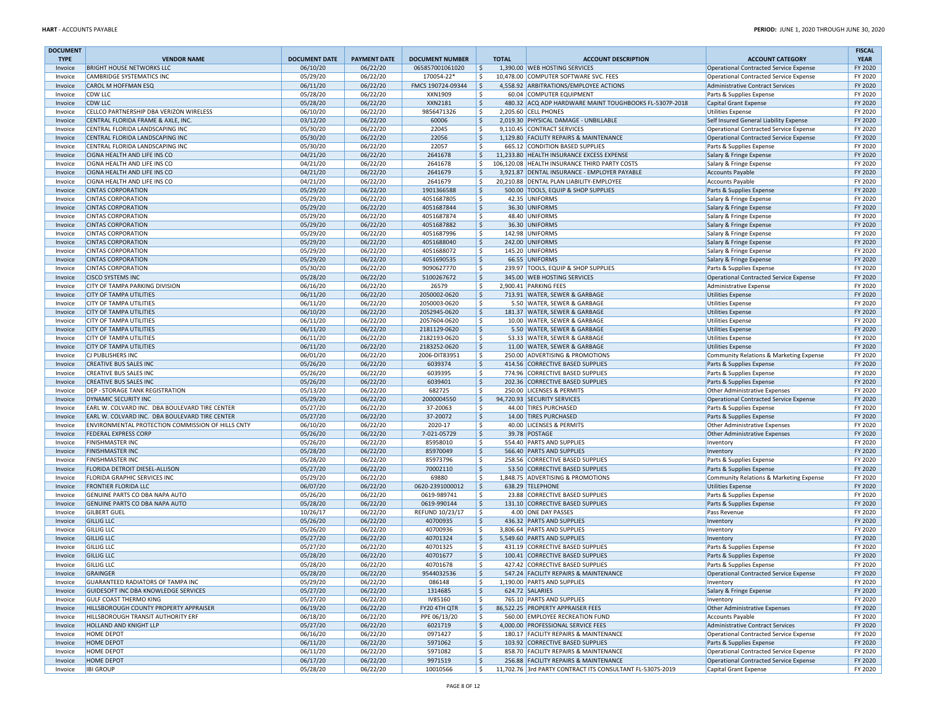| <b>DOCUMENT</b> |                                                   |                      |                     |                        |                    |                                                           |                                         | <b>FISCAL</b> |
|-----------------|---------------------------------------------------|----------------------|---------------------|------------------------|--------------------|-----------------------------------------------------------|-----------------------------------------|---------------|
| <b>TYPE</b>     | <b>VENDOR NAME</b>                                | <b>DOCUMENT DATE</b> | <b>PAYMENT DATE</b> | <b>DOCUMENT NUMBER</b> | <b>TOTAL</b>       | <b>ACCOUNT DESCRIPTION</b>                                | <b>ACCOUNT CATEGORY</b>                 | <b>YEAR</b>   |
| Invoice         | <b>BRIGHT HOUSE NETWORKS LLC</b>                  | 06/10/20             | 06/22/20            | 065857001061020        | I \$               | 1,390.00 WEB HOSTING SERVICES                             | Operational Contracted Service Expense  | FY 2020       |
| Invoice         | CAMBRIDGE SYSTEMATICS INC                         | 05/29/20             | 06/22/20            | 170054-22*             | \$                 | 10.478.00 COMPUTER SOFTWARE SVC. FEES                     | Operational Contracted Service Expense  | FY 2020       |
| Invoice         | CAROL M HOFFMAN ESQ                               | 06/11/20             | 06/22/20            | FMCS 190724-09344      | ۱\$.               | 4,558.92 ARBITRATIONS/EMPLOYEE ACTIONS                    | Administrative Contract Services        | FY 2020       |
| Invoice         | <b>CDW LLC</b>                                    | 05/28/20             | 06/22/20            | XXN1909                | \$                 | 60.04 COMPUTER EQUIPMENT                                  | Parts & Supplies Expense                | FY 2020       |
| Invoice         | <b>CDW LLC</b>                                    | 05/28/20             | 06/22/20            | XXN2181                | \$                 | 480.32 ACQ ADP HARDWARE MAINT TOUGHBOOKS FL-5307P-2018    | Capital Grant Expense                   | FY 2020       |
| Invoice         | CELLCO PARTNERSHIP DBA VERIZON WIRELESS           | 06/10/20             | 06/22/20            | 9856471326             | \$                 | 2,205.60 CELL PHONES                                      | <b>Utilities Expense</b>                | FY 2020       |
| Invoice         | CENTRAL FLORIDA FRAME & AXLE, INC.                | 03/12/20             | 06/22/20            | 60006                  | S.                 | 2,019.30 PHYSICAL DAMAGE - UNBILLABLE                     | Self Insured General Liability Expense  | FY 2020       |
| Invoice         | CENTRAL FLORIDA LANDSCAPING INC                   | 05/30/20             | 06/22/20            | 22045                  | \$                 | 9,110.45 CONTRACT SERVICES                                | Operational Contracted Service Expense  | FY 2020       |
| Invoice         | CENTRAL FLORIDA LANDSCAPING INC                   | 05/30/20             | 06/22/20            | 22056                  | S.                 | 1,129.80 FACILITY REPAIRS & MAINTENANCE                   | Operational Contracted Service Expense  | FY 2020       |
| Invoice         | CENTRAL FLORIDA LANDSCAPING INC                   | 05/30/20             | 06/22/20            | 22057                  | l \$               | 665.12 CONDITION BASED SUPPLIES                           | Parts & Supplies Expense                | FY 2020       |
| Invoice         | CIGNA HEALTH AND LIFE INS CO                      | 04/21/20             | 06/22/20            | 2641678                | S.                 | 11,233.80 HEALTH INSURANCE EXCESS EXPENSE                 | Salary & Fringe Expense                 | FY 2020       |
| Invoice         | CIGNA HEALTH AND LIFE INS CO                      | 04/21/20             | 06/22/20            | 2641678                | \$                 | 106,120.08 HEALTH INSURANCE THIRD PARTY COSTS             | Salary & Fringe Expense                 | FY 2020       |
| Invoice         | CIGNA HEALTH AND LIFE INS CO                      | 04/21/20             | 06/22/20            | 2641679                | \$                 | 3,921.87 DENTAL INSURANCE - EMPLOYER PAYABLE              | <b>Accounts Payable</b>                 | FY 2020       |
| Invoice         | CIGNA HEALTH AND LIFE INS CO                      | 04/21/20             | 06/22/20            | 2641679                | \$                 | 20,210.88 DENTAL PLAN LIABILITY-EMPLOYEE                  | <b>Accounts Payable</b>                 | FY 2020       |
| Invoice         | <b>CINTAS CORPORATION</b>                         | 05/29/20             | 06/22/20            | 1901366588             | \$                 | 500.00 TOOLS, EQUIP & SHOP SUPPLIES                       | Parts & Supplies Expense                | FY 2020       |
| Invoice         | <b>CINTAS CORPORATION</b>                         | 05/29/20             | 06/22/20            | 4051687805             | \$                 | 42.35 UNIFORMS                                            | Salary & Fringe Expense                 | FY 2020       |
| Invoice         | <b>CINTAS CORPORATION</b>                         | 05/29/20             | 06/22/20            | 4051687844             | \$                 | 36.30 UNIFORMS                                            | Salary & Fringe Expense                 | FY 2020       |
| Invoice         | <b>CINTAS CORPORATION</b>                         | 05/29/20             | 06/22/20            | 4051687874             | \$                 | 48.40 UNIFORMS                                            | Salary & Fringe Expense                 | FY 2020       |
| Invoice         | <b>CINTAS CORPORATION</b>                         | 05/29/20             | 06/22/20            | 4051687882             | \$                 | 36.30 UNIFORMS                                            | Salary & Fringe Expense                 | FY 2020       |
| Invoice         | <b>CINTAS CORPORATION</b>                         | 05/29/20             | 06/22/20            | 4051687996             | \$                 | 142.98 UNIFORMS                                           | Salary & Fringe Expense                 | FY 2020       |
| Invoice         | <b>CINTAS CORPORATION</b>                         | 05/29/20             | 06/22/20            | 4051688040             | $\ddot{\varsigma}$ | 242.00 UNIFORMS                                           | Salary & Fringe Expense                 | FY 2020       |
| Invoice         | <b>CINTAS CORPORATION</b>                         | 05/29/20             | 06/22/20            | 4051688072             | \$                 | 145.20 UNIFORMS                                           | Salary & Fringe Expense                 | FY 2020       |
| Invoice         | <b>CINTAS CORPORATION</b>                         | 05/29/20             | 06/22/20            | 4051690535             | \$                 | 66.55 UNIFORMS                                            | Salary & Fringe Expense                 | FY 2020       |
| Invoice         | <b>CINTAS CORPORATION</b>                         | 05/30/20             | 06/22/20            | 9090627770             | \$                 | 239.97 TOOLS, EQUIP & SHOP SUPPLIES                       | Parts & Supplies Expense                | FY 2020       |
| Invoice         | <b>CISCO SYSTEMS INC</b>                          | 05/28/20             | 06/22/20            | 5100267672             | \$                 | 345.00 WEB HOSTING SERVICES                               | Operational Contracted Service Expense  | FY 2020       |
| Invoice         | CITY OF TAMPA PARKING DIVISION                    | 06/16/20             | 06/22/20            | 26579                  | \$                 | 2,900.41 PARKING FEES                                     | <b>Administrative Expense</b>           | FY 2020       |
| Invoice         | <b>CITY OF TAMPA UTILITIES</b>                    | 06/11/20             | 06/22/20            | 2050002-0620           | \$                 | 713.91 WATER, SEWER & GARBAGE                             | <b>Utilities Expense</b>                | FY 2020       |
| Invoice         | <b>CITY OF TAMPA UTILITIES</b>                    | 06/11/20             | 06/22/20            | 2050003-0620           | \$                 | 5.50 WATER, SEWER & GARBAGE                               | <b>Utilities Expense</b>                | FY 2020       |
| Invoice         | <b>CITY OF TAMPA UTILITIES</b>                    | 06/10/20             | 06/22/20            | 2052945-0620           | \$                 | 181.37 WATER, SEWER & GARBAGE                             | Utilities Expense                       | FY 2020       |
| Invoice         | <b>CITY OF TAMPA UTILITIES</b>                    | 06/11/20             | 06/22/20            | 2057604-0620           | \$                 | 10.00 WATER, SEWER & GARBAGE                              | <b>Utilities Expense</b>                | FY 2020       |
| Invoice         | <b>CITY OF TAMPA UTILITIES</b>                    | 06/11/20             | 06/22/20            | 2181129-0620           | \$                 | 5.50 WATER, SEWER & GARBAGE                               | Utilities Expense                       | FY 2020       |
| Invoice         | <b>CITY OF TAMPA UTILITIES</b>                    | 06/11/20             | 06/22/20            | 2182193-0620           | S.                 | 53.33 WATER, SEWER & GARBAGE                              | <b>Utilities Expense</b>                | FY 2020       |
| Invoice         | <b>CITY OF TAMPA UTILITIES</b>                    | 06/11/20             | 06/22/20            | 2183252-0620           | $\zeta$            | 11.00 WATER, SEWER & GARBAGE                              | <b>Utilities Expense</b>                | FY 2020       |
| Invoice         | CJ PUBLISHERS INC                                 | 06/01/20             | 06/22/20            | 2006-DIT83951          | S.                 | 250.00 ADVERTISING & PROMOTIONS                           | Community Relations & Marketing Expense | FY 2020       |
| Invoice         | <b>CREATIVE BUS SALES INC</b>                     | 05/26/20             | 06/22/20            | 6039374                | \$                 | 414.56 CORRECTIVE BASED SUPPLIES                          | Parts & Supplies Expense                | FY 2020       |
| Invoice         | <b>CREATIVE BUS SALES INC</b>                     | 05/26/20             | 06/22/20            | 6039395                | S.                 | 774.96 CORRECTIVE BASED SUPPLIES                          | Parts & Supplies Expense                | FY 2020       |
| Invoice         | <b>CREATIVE BUS SALES INC</b>                     | 05/26/20             | 06/22/20            | 6039401                | $\zeta$            | 202.36 CORRECTIVE BASED SUPPLIES                          | Parts & Supplies Expense                | FY 2020       |
| Invoice         | <b>DEP - STORAGE TANK REGISTRATION</b>            | 05/13/20             | 06/22/20            | 682725                 | \$                 | 250.00 LICENSES & PERMITS                                 | Other Administrative Expenses           | FY 2020       |
| Invoice         | DYNAMIC SECURITY INC                              | 05/29/20             | 06/22/20            | 2000004550             | \$                 | 94,720.93 SECURITY SERVICES                               | Operational Contracted Service Expense  | FY 2020       |
| Invoice         | EARL W. COLVARD INC. DBA BOULEVARD TIRE CENTER    | 05/27/20             | 06/22/20            | 37-20063               | \$                 | 44.00 TIRES PURCHASED                                     | Parts & Supplies Expense                | FY 2020       |
| Invoice         | EARL W. COLVARD INC. DBA BOULEVARD TIRE CENTER    | 05/27/20             | 06/22/20            | 37-20072               | \$                 | 14.00 TIRES PURCHASED                                     | Parts & Supplies Expense                | FY 2020       |
| Invoice         | ENVIRONMENTAL PROTECTION COMMISSION OF HILLS CNTY | 06/10/20             | 06/22/20            | 2020-17                | \$                 | 40.00 LICENSES & PERMITS                                  | Other Administrative Expenses           | FY 2020       |
| Invoice         | <b>FEDERAL EXPRESS CORP</b>                       | 05/26/20             | 06/22/20            | 7-021-05729            | \$                 | 39.78 POSTAGE                                             | Other Administrative Expenses           | FY 2020       |
| Invoice         | <b>FINISHMASTER INC</b>                           | 05/26/20             | 06/22/20            | 85958010               | \$                 | 554.40 PARTS AND SUPPLIES                                 | Inventory                               | FY 2020       |
| Invoice         | <b>FINISHMASTER INC</b>                           | 05/28/20             | 06/22/20            | 85970049               | $\zeta$            | 566.40 PARTS AND SUPPLIES                                 | Inventory                               | FY 2020       |
| Invoice         | <b>FINISHMASTER INC</b>                           | 05/28/20             | 06/22/20            | 85973796               | \$                 | 258.56 CORRECTIVE BASED SUPPLIES                          | Parts & Supplies Expense                | FY 2020       |
| Invoice         | <b>FLORIDA DETROIT DIESEL-ALLISON</b>             | 05/27/20             | 06/22/20            | 70002110               | \$                 | 53.50 CORRECTIVE BASED SUPPLIES                           | Parts & Supplies Expense                | FY 2020       |
| Invoice         | FLORIDA GRAPHIC SERVICES INC                      | 05/29/20             | 06/22/20            | 69880                  | \$                 | 1,848.75 ADVERTISING & PROMOTIONS                         | Community Relations & Marketing Expense | FY 2020       |
| Invoice         | <b>FRONTIER FLORIDA LLC</b>                       | 06/07/20             | 06/22/20            | 0620-2391000012        | \$                 | 638.29 TELEPHONE                                          | <b>Utilities Expense</b>                | FY 2020       |
| Invoice         | GENUINE PARTS CO DBA NAPA AUTO                    | 05/26/20             | 06/22/20            | 0619-989741            | \$                 | 23.88 CORRECTIVE BASED SUPPLIES                           | Parts & Supplies Expense                | FY 2020       |
| Invoice         | GENUINE PARTS CO DBA NAPA AUTO                    | 05/28/20             | 06/22/20            | 0619-990144            | \$                 | 131.10 CORRECTIVE BASED SUPPLIES                          | Parts & Supplies Expense                | FY 2020       |
| Invoice         | <b>GILBERT GUEL</b>                               | 10/26/17             | 06/22/20            | REFUND 10/23/17        | \$                 | 4.00 ONE DAY PASSES                                       | Pass Revenue                            | FY 2020       |
| Invoice         | <b>GILLIG LLC</b>                                 | 05/26/20             | 06/22/20            | 40700935               | \$                 | 436.32 PARTS AND SUPPLIES                                 | Inventory                               | FY 2020       |
| Invoice         | <b>GILLIG LLC</b>                                 | 05/26/20             | 06/22/20            | 40700936               | \$                 | 3.806.64 PARTS AND SUPPLIES                               | Inventory                               | FY 2020       |
| Invoice         | <b>GILLIG LLC</b>                                 | 05/27/20             | 06/22/20            | 40701324               | \$                 | 5,549.60 PARTS AND SUPPLIES                               | Inventory                               | FY 2020       |
| Invoice         | <b>GILLIG LLC</b>                                 | 05/27/20             | 06/22/20            | 40701325               | \$                 | 431.19 CORRECTIVE BASED SUPPLIES                          | Parts & Supplies Expense                | FY 2020       |
| Invoice         | <b>GILLIG LLC</b>                                 | 05/28/20             | 06/22/20            | 40701677               | $\mathsf{S}$       | 100.41 CORRECTIVE BASED SUPPLIES                          | Parts & Supplies Expense                | FY 2020       |
| Invoice         | <b>GILLIG LLC</b>                                 | 05/28/20             | 06/22/20            | 40701678               | \$                 | 427.42 CORRECTIVE BASED SUPPLIES                          | Parts & Supplies Expense                | FY 2020       |
| Invoice         | GRAINGER                                          | 05/28/20             | 06/22/20            | 9544032536             | l \$               | 547.24 FACILITY REPAIRS & MAINTENANCE                     | Operational Contracted Service Expense  | FY 2020       |
| Invoice         | GUARANTEED RADIATORS OF TAMPA INC                 | 05/29/20             | 06/22/20            | 086148                 | \$                 | 1,190.00 PARTS AND SUPPLIES                               | Inventory                               | FY 2020       |
| Invoice         | GUIDESOFT INC DBA KNOWLEDGE SERVICES              | 05/27/20             | 06/22/20            | 1314685                | S.                 | 624.72 SALARIES                                           | Salary & Fringe Expense                 | FY 2020       |
| Invoice         | <b>GULF COAST THERMO KING</b>                     | 05/27/20             | 06/22/20            | IV85160                | \$                 | 765.10 PARTS AND SUPPLIES                                 | Inventory                               | FY 2020       |
| Invoice         | HILLSBOROUGH COUNTY PROPERTY APPRAISER            | 06/19/20             | 06/22/20            | FY20 4TH QTR           | ۱\$.               | 86,522.25 PROPERTY APPRAISER FEES                         | Other Administrative Expenses           | FY 2020       |
| Invoice         | HILLSBOROUGH TRANSIT AUTHORITY ERF                | 06/18/20             | 06/22/20            | PPE 06/13/20           | \$                 | 560.00 EMPLOYEE RECREATION FUND                           | <b>Accounts Payable</b>                 | FY 2020       |
| Invoice         | HOLLAND AND KNIGHT LLP                            | 05/27/20             | 06/22/20            | 6021719                | \$                 | 4,000.00 PROFESSIONAL SERVICE FEES                        | Administrative Contract Services        | FY 2020       |
| Invoice         | <b>HOME DEPOT</b>                                 | 06/16/20             | 06/22/20            | 0971427                | \$                 | 180.17 FACILITY REPAIRS & MAINTENANCE                     | Operational Contracted Service Expense  | FY 2020       |
| Invoice         | <b>HOME DEPOT</b>                                 | 06/11/20             | 06/22/20            | 5971062                | \$                 | 103.92 CORRECTIVE BASED SUPPLIES                          | Parts & Supplies Expense                | FY 2020       |
| Invoice         | <b>HOME DEPOT</b>                                 | 06/11/20             | 06/22/20            | 5971082                | \$                 | 858.70 FACILITY REPAIRS & MAINTENANCE                     | Operational Contracted Service Expense  | FY 2020       |
| Invoice         | <b>HOME DEPOT</b>                                 | 06/17/20             | 06/22/20            | 9971519                | \$                 | 256.88 FACILITY REPAIRS & MAINTENANCE                     | Operational Contracted Service Expense  | FY 2020       |
| Invoice         | <b>IBI GROUP</b>                                  | 05/28/20             | 06/22/20            | 10010566               | S.                 | 11,702.76 3rd PARTY CONTRACT ITS CONSULTANT FL-5307S-2019 | Capital Grant Expense                   | FY 2020       |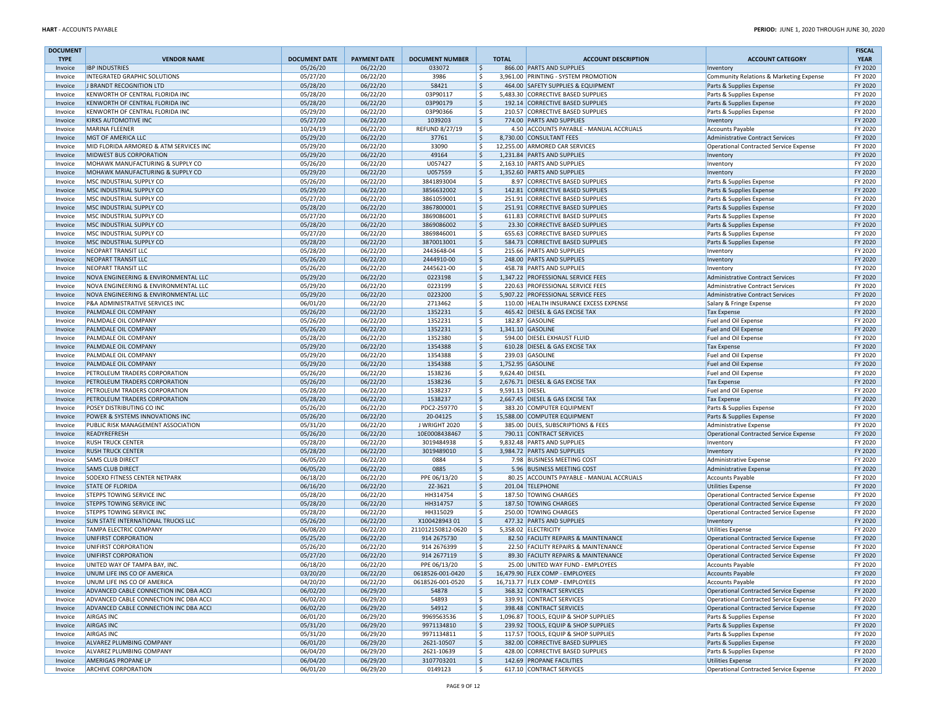| <b>DOCUMENT</b>    |                                                                    |                      |                      |                          |                       |                                                                          |                                                      | <b>FISCAL</b>      |
|--------------------|--------------------------------------------------------------------|----------------------|----------------------|--------------------------|-----------------------|--------------------------------------------------------------------------|------------------------------------------------------|--------------------|
| <b>TYPE</b>        | <b>VENDOR NAME</b>                                                 | <b>DOCUMENT DATE</b> | <b>PAYMENT DATE</b>  | <b>DOCUMENT NUMBER</b>   | <b>TOTAL</b>          | <b>ACCOUNT DESCRIPTION</b>                                               | <b>ACCOUNT CATEGORY</b>                              | <b>YEAR</b>        |
| Invoice            | <b>IBP INDUSTRIES</b>                                              | 05/26/20             | 06/22/20             | 033072                   | \$                    | 866.00 PARTS AND SUPPLIES                                                | Inventory                                            | FY 2020            |
| Invoice            | INTEGRATED GRAPHIC SOLUTIONS                                       | 05/27/20             | 06/22/20             | 3986                     | \$                    | 3,961.00 PRINTING - SYSTEM PROMOTION                                     | Community Relations & Marketing Expense              | FY 2020            |
| Invoice            | J BRANDT RECOGNITION LTD                                           | 05/28/20             | 06/22/20             | 58421<br>03P90117        | \$<br>\$              | 464.00 SAFETY SUPPLIES & EQUIPMENT<br>5,483.30 CORRECTIVE BASED SUPPLIES | Parts & Supplies Expense                             | FY 2020<br>FY 2020 |
| Invoice<br>Invoice | KENWORTH OF CENTRAL FLORIDA INC<br>KENWORTH OF CENTRAL FLORIDA INC | 05/28/20<br>05/28/20 | 06/22/20<br>06/22/20 | 03P90179                 | \$                    | 192.14 CORRECTIVE BASED SUPPLIES                                         | Parts & Supplies Expense<br>Parts & Supplies Expense | FY 2020            |
| Invoice            | KENWORTH OF CENTRAL FLORIDA INC                                    | 05/29/20             | 06/22/20             | 03P90366                 | \$                    | 210.57 CORRECTIVE BASED SUPPLIES                                         | Parts & Supplies Expense                             | FY 2020            |
| Invoice            | <b>KIRKS AUTOMOTIVE INC</b>                                        | 05/27/20             | 06/22/20             | 1039203                  | \$                    | 774.00 PARTS AND SUPPLIES                                                | Inventory                                            | FY 2020            |
| Invoice            | MARINA FLEENER                                                     | 10/24/19             | 06/22/20             | <b>REFUND 8/27/19</b>    | \$                    | 4.50 ACCOUNTS PAYABLE - MANUAL ACCRUALS                                  | Accounts Payable                                     | FY 2020            |
| Invoice            | MGT OF AMERICA LLC                                                 | 05/29/20             | 06/22/20             | 37761                    | \$                    | 8,730.00 CONSULTANT FEES                                                 | Administrative Contract Services                     | FY 2020            |
| Invoice            | MID FLORIDA ARMORED & ATM SERVICES INC                             | 05/29/20             | 06/22/20             | 33090                    | \$                    | 12,255.00 ARMORED CAR SERVICES                                           | Operational Contracted Service Expense               | FY 2020            |
| Invoice            | MIDWEST BUS CORPORATION                                            | 05/29/20             | 06/22/20             | 49164                    | \$                    | 1,231.84 PARTS AND SUPPLIES                                              | Inventory                                            | FY 2020            |
| Invoice            | MOHAWK MANUFACTURING & SUPPLY CO                                   | 05/26/20             | 06/22/20             | U057427                  | \$                    | 2,163.10 PARTS AND SUPPLIES                                              | Inventory                                            | FY 2020            |
| Invoice            | MOHAWK MANUFACTURING & SUPPLY CO                                   | 05/29/20             | 06/22/20             | U057559                  | \$                    | 1,352.60 PARTS AND SUPPLIES                                              | Inventory                                            | FY 2020            |
| Invoice            | MSC INDUSTRIAL SUPPLY CO                                           | 05/26/20             | 06/22/20             | 3841893004               | \$                    | 8.97 CORRECTIVE BASED SUPPLIES                                           | Parts & Supplies Expense                             | FY 2020            |
| Invoice            | MSC INDUSTRIAL SUPPLY CO                                           | 05/29/20             | 06/22/20             | 3856632002               | \$                    | 142.81 CORRECTIVE BASED SUPPLIES                                         | Parts & Supplies Expense                             | FY 2020            |
| Invoice            | MSC INDUSTRIAL SUPPLY CO                                           | 05/27/20             | 06/22/20             | 3861059001               | \$                    | 251.91 CORRECTIVE BASED SUPPLIES                                         | Parts & Supplies Expense                             | FY 2020            |
| Invoice            | MSC INDUSTRIAL SUPPLY CO                                           | 05/28/20             | 06/22/20             | 3867800001               | \$                    | 251.91 CORRECTIVE BASED SUPPLIES                                         | Parts & Supplies Expense                             | FY 2020            |
| Invoice            | MSC INDUSTRIAL SUPPLY CO                                           | 05/27/20             | 06/22/20             | 3869086001               | \$                    | 611.83 CORRECTIVE BASED SUPPLIES                                         | Parts & Supplies Expense                             | FY 2020            |
| Invoice            | MSC INDUSTRIAL SUPPLY CO                                           | 05/28/20             | 06/22/20             | 3869086002               | \$                    | 23.30 CORRECTIVE BASED SUPPLIES                                          | Parts & Supplies Expense                             | FY 2020            |
| Invoice            | MSC INDUSTRIAL SUPPLY CO                                           | 05/27/20<br>05/28/20 | 06/22/20             | 3869846001               | \$                    | 655.63 CORRECTIVE BASED SUPPLIES                                         | Parts & Supplies Expense                             | FY 2020            |
| Invoice            | MSC INDUSTRIAL SUPPLY CO<br><b>NEOPART TRANSIT LLC</b>             |                      | 06/22/20             | 3870013001               | $\mathsf{S}$<br>\$    | 584.73 CORRECTIVE BASED SUPPLIES<br>215.66 PARTS AND SUPPLIES            | Parts & Supplies Expense                             | FY 2020<br>FY 2020 |
| Invoice<br>Invoice | NEOPART TRANSIT LLC                                                | 05/28/20<br>05/26/20 | 06/22/20<br>06/22/20 | 2443648-04<br>2444910-00 | \$                    | 248.00 PARTS AND SUPPLIES                                                | Inventory                                            | FY 2020            |
| Invoice            | <b>NEOPART TRANSIT LLC</b>                                         | 05/26/20             | 06/22/20             | 2445621-00               | Ś.                    | 458.78 PARTS AND SUPPLIES                                                | Inventory                                            | FY 2020            |
| Invoice            | NOVA ENGINEERING & ENVIRONMENTAL LLC                               | 05/29/20             | 06/22/20             | 0223198                  | \$                    | 1,347.22 PROFESSIONAL SERVICE FEES                                       | Inventory<br>Administrative Contract Services        | FY 2020            |
| Invoice            | NOVA ENGINEERING & ENVIRONMENTAL LLC                               | 05/29/20             | 06/22/20             | 0223199                  | \$                    | 220.63 PROFESSIONAL SERVICE FEES                                         | <b>Administrative Contract Services</b>              | FY 2020            |
| Invoice            | NOVA ENGINEERING & ENVIRONMENTAL LLC                               | 05/29/20             | 06/22/20             | 0223200                  | \$                    | 5,907.22 PROFESSIONAL SERVICE FEES                                       | Administrative Contract Services                     | FY 2020            |
| Invoice            | P&A ADMINISTRATIVE SERVICES INC                                    | 06/01/20             | 06/22/20             | 2713462                  | Ś                     | 110.00 HEALTH INSURANCE EXCESS EXPENSE                                   | Salary & Fringe Expense                              | FY 2020            |
| Invoice            | PALMDALE OIL COMPANY                                               | 05/26/20             | 06/22/20             | 1352231                  | \$                    | 465.42 DIESEL & GAS EXCISE TAX                                           | <b>Tax Expense</b>                                   | FY 2020            |
| Invoice            | PALMDALE OIL COMPANY                                               | 05/26/20             | 06/22/20             | 1352231                  | \$                    | 182.87 GASOLINE                                                          | Fuel and Oil Expense                                 | FY 2020            |
| Invoice            | <b>PALMDALE OIL COMPANY</b>                                        | 05/26/20             | 06/22/20             | 1352231                  | \$                    | 1,341.10 GASOLINE                                                        | Fuel and Oil Expense                                 | FY 2020            |
| Invoice            | PALMDALE OIL COMPANY                                               | 05/28/20             | 06/22/20             | 1352380                  | \$                    | 594.00 DIESEL EXHAUST FLUID                                              | Fuel and Oil Expense                                 | FY 2020            |
| Invoice            | PALMDALE OIL COMPANY                                               | 05/29/20             | 06/22/20             | 1354388                  | \$                    | 610.28 DIESEL & GAS EXCISE TAX                                           | <b>Tax Expense</b>                                   | FY 2020            |
| Invoice            | PALMDALE OIL COMPANY                                               | 05/29/20             | 06/22/20             | 1354388                  | \$                    | 239.03 GASOLINE                                                          | Fuel and Oil Expense                                 | FY 2020            |
| Invoice            | PALMDALE OIL COMPANY                                               | 05/29/20             | 06/22/20             | 1354388                  | \$                    | 1,752.95 GASOLINE                                                        | Fuel and Oil Expense                                 | FY 2020            |
| Invoice            | PETROLEUM TRADERS CORPORATION                                      | 05/26/20             | 06/22/20             | 1538236                  | \$<br>9,624.40 DIESEL |                                                                          | Fuel and Oil Expense                                 | FY 2020            |
| Invoice            | PETROLEUM TRADERS CORPORATION                                      | 05/26/20             | 06/22/20             | 1538236                  | \$                    | 2,676.71 DIESEL & GAS EXCISE TAX                                         | <b>Tax Expense</b>                                   | FY 2020            |
| Invoice            | PETROLEUM TRADERS CORPORATION                                      | 05/28/20             | 06/22/20             | 1538237                  | \$<br>9,591.13 DIESEL |                                                                          | Fuel and Oil Expense                                 | FY 2020            |
| Invoice            | PETROLEUM TRADERS CORPORATION                                      | 05/28/20             | 06/22/20             | 1538237                  | \$                    | 2,667.45 DIESEL & GAS EXCISE TAX                                         | <b>Tax Expense</b>                                   | FY 2020            |
| Invoice            | POSEY DISTRIBUTING CO INC                                          | 05/26/20             | 06/22/20             | PDC2-259770              | \$                    | 383.20 COMPUTER EQUIPMENT                                                | Parts & Supplies Expense                             | FY 2020            |
| Invoice            | POWER & SYSTEMS INNOVATIONS INC                                    | 05/26/20             | 06/22/20             | 20-04125                 | \$                    | 15,588.00 COMPUTER EQUIPMENT                                             | Parts & Supplies Expense                             | FY 2020            |
| Invoice            | PUBLIC RISK MANAGEMENT ASSOCIATION                                 | 05/31/20             | 06/22/20             | J WRIGHT 2020            | \$                    | 385.00 DUES, SUBSCRIPTIONS & FEES                                        | Administrative Expense                               | FY 2020            |
| Invoice            | READYREFRESH                                                       | 05/26/20             | 06/22/20             | 10E0008438467            | \$                    | 790.11 CONTRACT SERVICES                                                 | Operational Contracted Service Expense               | FY 2020            |
| Invoice            | <b>RUSH TRUCK CENTER</b>                                           | 05/28/20             | 06/22/20             | 3019484938               | Ś.                    | 9,832.48 PARTS AND SUPPLIES                                              | Inventory                                            | FY 2020            |
| Invoice            | <b>RUSH TRUCK CENTER</b>                                           | 05/28/20             | 06/22/20             | 3019489010               | \$                    | 3,984.72 PARTS AND SUPPLIES                                              | Inventory                                            | FY 2020            |
| Invoice            | <b>SAMS CLUB DIRECT</b><br><b>SAMS CLUB DIRECT</b>                 | 06/05/20             | 06/22/20             | 0884                     | \$                    | 7.98 BUSINESS MEETING COST<br>5.96 BUSINESS MEETING COST                 | Administrative Expense                               | FY 2020<br>FY 2020 |
| Invoice<br>Invoice | <b>SODEXO FITNESS CENTER NETPARK</b>                               | 06/05/20<br>06/18/20 | 06/22/20<br>06/22/20 | 0885<br>PPE 06/13/20     | \$<br>\$              | 80.25 ACCOUNTS PAYABLE - MANUAL ACCRUALS                                 | Administrative Expense                               | FY 2020            |
| Invoice            | <b>STATE OF FLORIDA</b>                                            | 06/16/20             | 06/22/20             | 2Z-3621                  | \$                    | 201.04 TELEPHONE                                                         | Accounts Payable<br><b>Utilities Expense</b>         | FY 2020            |
| Invoice            | <b>STEPPS TOWING SERVICE INC</b>                                   | 05/28/20             | 06/22/20             | HH314754                 | \$                    | 187.50 TOWING CHARGES                                                    | Operational Contracted Service Expense               | FY 2020            |
| Invoice            | STEPPS TOWING SERVICE INC                                          | 05/28/20             | 06/22/20             | HH314757                 | \$                    | 187.50 TOWING CHARGES                                                    | Operational Contracted Service Expense               | FY 2020            |
| Invoice            | STEPPS TOWING SERVICE INC                                          | 05/28/20             | 06/22/20             | HH315029                 | \$                    | 250.00 TOWING CHARGES                                                    | Operational Contracted Service Expense               | FY 2020            |
| Invoice            | <b>SUN STATE INTERNATIONAL TRUCKS LLC</b>                          | 05/26/20             | 06/22/20             | X10042894301             | Ŝ.                    | 477.32 PARTS AND SUPPLIES                                                | Inventory                                            | FY 2020            |
| Invoice            | <b>TAMPA ELECTRIC COMPANY</b>                                      | 06/08/20             | 06/22/20             | 211012150812-0620        | Ś.                    | 5.358.02 ELECTRICITY                                                     | <b>Utilities Expense</b>                             | FY 2020            |
| Invoice            | UNIFIRST CORPORATION                                               | 05/25/20             | 06/22/20             | 914 2675730              | Ŝ.                    | 82.50 FACILITY REPAIRS & MAINTENANCE                                     | Operational Contracted Service Expense               | FY 2020            |
| Invoice            | UNIFIRST CORPORATION                                               | 05/26/20             | 06/22/20             | 914 2676399              | \$                    | 22.50 FACILITY REPAIRS & MAINTENANCE                                     | Operational Contracted Service Expense               | FY 2020            |
| Invoice            | UNIFIRST CORPORATION                                               | 05/27/20             | 06/22/20             | 914 2677119              | \$                    | 89.30 FACILITY REPAIRS & MAINTENANCE                                     | Operational Contracted Service Expense               | FY 2020            |
| Invoice            | UNITED WAY OF TAMPA BAY, INC.                                      | 06/18/20             | 06/22/20             | PPE 06/13/20             | \$                    | 25.00 UNITED WAY FUND - EMPLOYEES                                        | Accounts Payable                                     | FY 2020            |
| Invoice            | UNUM LIFE INS CO OF AMERICA                                        | 03/20/20             | 06/22/20             | 0618526-001-0420         |                       | 16,479.90 FLEX COMP - EMPLOYEES                                          | Accounts Payable                                     | FY 2020            |
| Invoice            | UNUM LIFE INS CO OF AMERICA                                        | 04/20/20             | 06/22/20             | 0618526-001-0520         | \$                    | 16,713.77 FLEX COMP - EMPLOYEES                                          | Accounts Payable                                     | FY 2020            |
| Invoice            | ADVANCED CABLE CONNECTION INC DBA ACCI                             | 06/02/20             | 06/29/20             | 54878                    | $\mathsf{S}$          | 368.32 CONTRACT SERVICES                                                 | Operational Contracted Service Expense               | FY 2020            |
| Invoice            | ADVANCED CABLE CONNECTION INC DBA ACCI                             | 06/02/20             | 06/29/20             | 54893                    | \$                    | 339.91 CONTRACT SERVICES                                                 | Operational Contracted Service Expense               | FY 2020            |
| Invoice            | ADVANCED CABLE CONNECTION INC DBA ACCI                             | 06/02/20             | 06/29/20             | 54912                    | \$                    | 398.48 CONTRACT SERVICES                                                 | Operational Contracted Service Expense               | FY 2020            |
| Invoice            | <b>AIRGAS INC</b>                                                  | 06/01/20             | 06/29/20             | 9969563536               | \$                    | 1,096.87 TOOLS, EQUIP & SHOP SUPPLIES                                    | Parts & Supplies Expense                             | FY 2020            |
| Invoice            | AIRGAS INC                                                         | 05/31/20             | 06/29/20             | 9971134810               | \$                    | 239.92 TOOLS, EQUIP & SHOP SUPPLIES                                      | Parts & Supplies Expense                             | FY 2020            |
| Invoice            | AIRGAS INC                                                         | 05/31/20             | 06/29/20             | 9971134811               | \$                    | 117.57 TOOLS, EQUIP & SHOP SUPPLIES                                      | Parts & Supplies Expense                             | FY 2020            |
| Invoice            | ALVAREZ PLUMBING COMPANY                                           | 06/01/20             | 06/29/20             | 2621-10507               | \$                    | 382.00 CORRECTIVE BASED SUPPLIES                                         | Parts & Supplies Expense                             | FY 2020            |
| Invoice            | ALVAREZ PLUMBING COMPANY                                           | 06/04/20             | 06/29/20             | 2621-10639               | \$                    | 428.00 CORRECTIVE BASED SUPPLIES                                         | Parts & Supplies Expense                             | FY 2020            |
| Invoice            | AMERIGAS PROPANE LP                                                | 06/04/20             | 06/29/20             | 3107703201               | \$                    | 142.69 PROPANE FACILITIES                                                | Utilities Expense                                    | FY 2020            |
| Invoice            | <b>ARCHIVE CORPORATION</b>                                         | 06/01/20             | 06/29/20             | 0149123                  | l\$                   | 617.10 CONTRACT SERVICES                                                 | Operational Contracted Service Expense               | FY 2020            |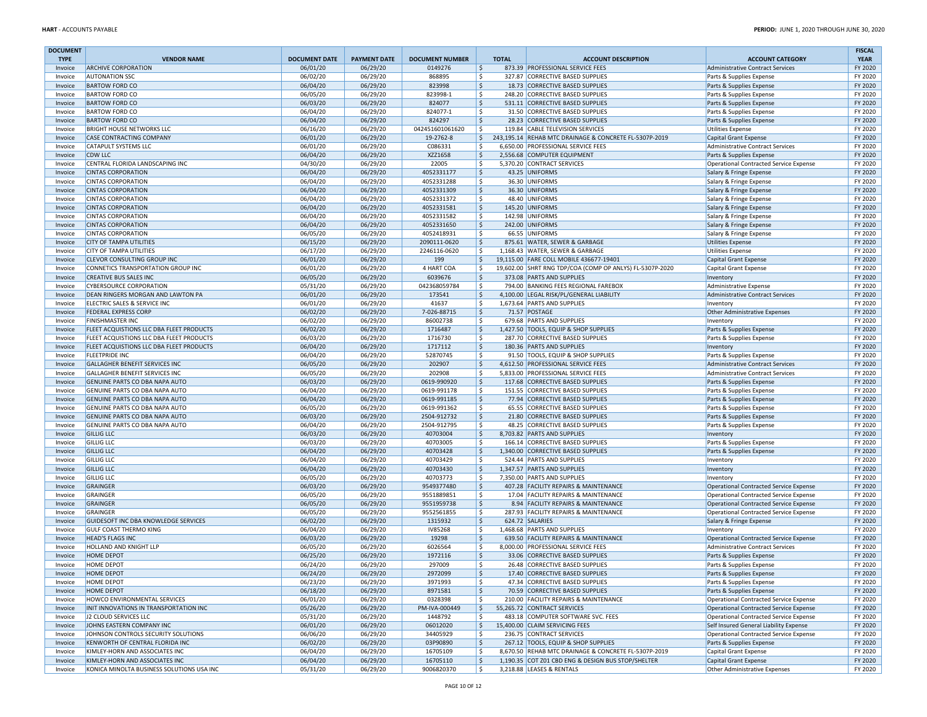| <b>DOCUMENT</b>    |                                                             |                      |                      |                            |                    |                                                                     |                                                      | <b>FISCAL</b>      |
|--------------------|-------------------------------------------------------------|----------------------|----------------------|----------------------------|--------------------|---------------------------------------------------------------------|------------------------------------------------------|--------------------|
| <b>TYPE</b>        | <b>VENDOR NAME</b>                                          | <b>DOCUMENT DATE</b> | <b>PAYMENT DATE</b>  | <b>DOCUMENT NUMBER</b>     | <b>TOTAL</b>       | <b>ACCOUNT DESCRIPTION</b>                                          | <b>ACCOUNT CATEGORY</b>                              | <b>YEAR</b>        |
| Invoice            | <b>ARCHIVE CORPORATION</b>                                  | 06/01/20             | 06/29/20             | 0149276                    | \$                 | 873.39 PROFESSIONAL SERVICE FEES                                    | Administrative Contract Services                     | FY 2020            |
| Invoice            | <b>AUTONATION SSC</b>                                       | 06/02/20             | 06/29/20             | 868895                     | \$                 | 327.87 CORRECTIVE BASED SUPPLIES                                    | Parts & Supplies Expense                             | FY 2020            |
| Invoice            | <b>BARTOW FORD CO</b><br><b>BARTOW FORD CO</b>              | 06/04/20<br>06/05/20 | 06/29/20<br>06/29/20 | 823998<br>823998-1         | \$<br>\$           | 18.73 CORRECTIVE BASED SUPPLIES<br>248.20 CORRECTIVE BASED SUPPLIES | Parts & Supplies Expense                             | FY 2020<br>FY 2020 |
| Invoice<br>Invoice | <b>BARTOW FORD CO</b>                                       | 06/03/20             | 06/29/20             | 824077                     | \$                 | 531.11 CORRECTIVE BASED SUPPLIES                                    | Parts & Supplies Expense<br>Parts & Supplies Expense | FY 2020            |
| Invoice            | <b>BARTOW FORD CO</b>                                       | 06/04/20             | 06/29/20             | 824077-1                   | \$                 | 31.50 CORRECTIVE BASED SUPPLIES                                     | Parts & Supplies Expense                             | FY 2020            |
| Invoice            | <b>BARTOW FORD CO</b>                                       | 06/04/20             | 06/29/20             | 824297                     | \$                 | 28.23 CORRECTIVE BASED SUPPLIES                                     | Parts & Supplies Expense                             | FY 2020            |
| Invoice            | <b>BRIGHT HOUSE NETWORKS LLC</b>                            | 06/16/20             | 06/29/20             | 042451601061620            | \$                 | 119.84 CABLE TELEVISION SERVICES                                    | <b>Utilities Expense</b>                             | FY 2020            |
| Invoice            | CASE CONTRACTING COMPANY                                    | 06/01/20             | 06/29/20             | 19-2762-8                  | \$                 | 243,195.14 REHAB MTC DRAINAGE & CONCRETE FL-5307P-2019              | Capital Grant Expense                                | FY 2020            |
| Invoice            | <b>CATAPULT SYSTEMS LLC</b>                                 | 06/01/20             | 06/29/20             | C086331                    | \$                 | 6,650.00 PROFESSIONAL SERVICE FEES                                  | Administrative Contract Services                     | FY 2020            |
| Invoice            | <b>CDW LLC</b>                                              | 06/04/20             | 06/29/20             | XZZ1658                    | \$                 | 2,556.68 COMPUTER EQUIPMENT                                         | Parts & Supplies Expense                             | FY 2020            |
| Invoice            | CENTRAL FLORIDA LANDSCAPING INC                             | 04/30/20             | 06/29/20             | 22005                      | \$                 | 5,370.20 CONTRACT SERVICES                                          | Operational Contracted Service Expense               | FY 2020            |
| Invoice            | <b>CINTAS CORPORATION</b>                                   | 06/04/20             | 06/29/20             | 4052331177                 | \$                 | 43.25 UNIFORMS                                                      | Salary & Fringe Expense                              | FY 2020            |
| Invoice            | <b>CINTAS CORPORATION</b>                                   | 06/04/20             | 06/29/20             | 4052331288                 | \$                 | 36.30 UNIFORMS                                                      | Salary & Fringe Expense                              | FY 2020            |
| Invoice            | <b>CINTAS CORPORATION</b>                                   | 06/04/20             | 06/29/20             | 4052331309                 | \$                 | 36.30 UNIFORMS                                                      | Salary & Fringe Expense                              | FY 2020            |
| Invoice            | <b>CINTAS CORPORATION</b>                                   | 06/04/20             | 06/29/20             | 4052331372                 | \$                 | 48.40 UNIFORMS                                                      | Salary & Fringe Expense                              | FY 2020            |
| Invoice            | <b>CINTAS CORPORATION</b>                                   | 06/04/20             | 06/29/20             | 4052331581                 | \$                 | 145.20 UNIFORMS                                                     | Salary & Fringe Expense                              | FY 2020            |
| Invoice            | <b>CINTAS CORPORATION</b>                                   | 06/04/20             | 06/29/20             | 4052331582                 | \$                 | 142.98 UNIFORMS                                                     | Salary & Fringe Expense                              | FY 2020            |
| Invoice            | <b>CINTAS CORPORATION</b>                                   | 06/04/20             | 06/29/20             | 4052331650                 | \$                 | 242.00 UNIFORMS                                                     | Salary & Fringe Expense                              | FY 2020            |
| Invoice            | <b>CINTAS CORPORATION</b><br><b>CITY OF TAMPA UTILITIES</b> | 06/05/20             | 06/29/20<br>06/29/20 | 4052418931<br>2090111-0620 | Ś.<br>\$           | 66.55 UNIFORMS<br>875.61 WATER, SEWER & GARBAGE                     | Salary & Fringe Expense                              | FY 2020<br>FY 2020 |
| Invoice<br>Invoice | <b>CITY OF TAMPA UTILITIES</b>                              | 06/15/20<br>06/17/20 | 06/29/20             | 2246116-0620               | Ś.                 | 1,168.43 WATER, SEWER & GARBAGE                                     | <b>Utilities Expense</b><br><b>Utilities Expense</b> | FY 2020            |
| Invoice            | <b>CLEVOR CONSULTING GROUP INC</b>                          | 06/01/20             | 06/29/20             | 199                        | \$                 | 19,115.00 FARE COLL MOBILE 436677-19401                             | Capital Grant Expense                                | FY 2020            |
| Invoice            | CONNETICS TRANSPORTATION GROUP INC                          | 06/01/20             | 06/29/20             | 4 HART COA                 | Ś.                 | 19,602.00 SHRT RNG TDP/COA (COMP OP ANLYS) FL-5307P-2020            | Capital Grant Expense                                | FY 2020            |
| Invoice            | <b>CREATIVE BUS SALES INC</b>                               | 06/05/20             | 06/29/20             | 6039676                    | l\$                | 373.08 PARTS AND SUPPLIES                                           | Inventory                                            | FY 2020            |
| Invoice            | <b>CYBERSOURCE CORPORATION</b>                              | 05/31/20             | 06/29/20             | 042368059784               | \$                 | 794.00 BANKING FEES REGIONAL FAREBOX                                | <b>Administrative Expense</b>                        | FY 2020            |
| Invoice            | DEAN RINGERS MORGAN AND LAWTON PA                           | 06/01/20             | 06/29/20             | 173541                     | \$                 | 4,100.00 LEGAL RISK/PL/GENERAL LIABILITY                            | Administrative Contract Services                     | FY 2020            |
| Invoice            | ELECTRIC SALES & SERVICE INC                                | 06/01/20             | 06/29/20             | 41637                      | \$                 | 1,673.64 PARTS AND SUPPLIES                                         | Inventory                                            | FY 2020            |
| Invoice            | <b>FEDERAL EXPRESS CORP</b>                                 | 06/02/20             | 06/29/20             | 7-026-88715                | \$                 | 71.57 POSTAGE                                                       | Other Administrative Expenses                        | FY 2020            |
| Invoice            | <b>FINISHMASTER INC</b>                                     | 06/02/20             | 06/29/20             | 86002738                   | \$                 | 679.68 PARTS AND SUPPLIES                                           | Inventory                                            | FY 2020            |
| Invoice            | FLEET ACQUISTIONS LLC DBA FLEET PRODUCTS                    | 06/02/20             | 06/29/20             | 1716487                    | \$                 | 1,427.50 TOOLS, EQUIP & SHOP SUPPLIES                               | Parts & Supplies Expense                             | FY 2020            |
| Invoice            | FLEET ACQUISTIONS LLC DBA FLEET PRODUCTS                    | 06/03/20             | 06/29/20             | 1716730                    | \$                 | 287.70 CORRECTIVE BASED SUPPLIES                                    | Parts & Supplies Expense                             | FY 2020            |
| Invoice            | FLEET ACQUISTIONS LLC DBA FLEET PRODUCTS                    | 06/04/20             | 06/29/20             | 1717112                    | \$                 | 180.36 PARTS AND SUPPLIES                                           | Inventory                                            | FY 2020            |
| Invoice            | <b>FLEETPRIDE INC</b>                                       | 06/04/20             | 06/29/20             | 52870745                   | \$                 | 91.50 TOOLS, EQUIP & SHOP SUPPLIES                                  | Parts & Supplies Expense                             | FY 2020            |
| Invoice            | GALLAGHER BENEFIT SERVICES INC                              | 06/05/20             | 06/29/20             | 202907                     | \$                 | 4,612.50 PROFESSIONAL SERVICE FEES                                  | Administrative Contract Services                     | FY 2020            |
| Invoice            | GALLAGHER BENEFIT SERVICES INC                              | 06/05/20             | 06/29/20             | 202908                     | \$                 | 5,833.00 PROFESSIONAL SERVICE FEES                                  | Administrative Contract Services                     | FY 2020            |
| Invoice            | GENUINE PARTS CO DBA NAPA AUTO                              | 06/03/20             | 06/29/20             | 0619-990920                | \$                 | 117.68 CORRECTIVE BASED SUPPLIES                                    | Parts & Supplies Expense                             | FY 2020            |
| Invoice            | GENUINE PARTS CO DBA NAPA AUTO                              | 06/04/20             | 06/29/20             | 0619-991178                | \$                 | 151.55 CORRECTIVE BASED SUPPLIES                                    | Parts & Supplies Expense                             | FY 2020            |
| Invoice            | GENUINE PARTS CO DBA NAPA AUTO                              | 06/04/20             | 06/29/20             | 0619-991185                | \$                 | 77.94 CORRECTIVE BASED SUPPLIES                                     | Parts & Supplies Expense                             | FY 2020            |
| Invoice            | GENUINE PARTS CO DBA NAPA AUTO                              | 06/05/20             | 06/29/20             | 0619-991362                | \$                 | 65.55 CORRECTIVE BASED SUPPLIES                                     | Parts & Supplies Expense                             | FY 2020            |
| Invoice            | GENUINE PARTS CO DBA NAPA AUTO                              | 06/03/20             | 06/29/20             | 2504-912732                | \$                 | 21.80 CORRECTIVE BASED SUPPLIES                                     | Parts & Supplies Expense                             | FY 2020            |
| Invoice            | GENUINE PARTS CO DBA NAPA AUTO                              | 06/04/20             | 06/29/20             | 2504-912795                | \$                 | 48.25 CORRECTIVE BASED SUPPLIES                                     | Parts & Supplies Expense                             | FY 2020            |
| Invoice            | <b>GILLIG LLC</b>                                           | 06/03/20             | 06/29/20             | 40703004                   | \$                 | 8,703.82 PARTS AND SUPPLIES                                         | Inventory                                            | FY 2020            |
| Invoice            | <b>GILLIG LLC</b>                                           | 06/03/20             | 06/29/20             | 40703005                   | \$                 | 166.14 CORRECTIVE BASED SUPPLIES                                    | Parts & Supplies Expense                             | FY 2020            |
| Invoice            | <b>GILLIG LLC</b>                                           | 06/04/20             | 06/29/20             | 40703428                   | \$                 | 1,340.00 CORRECTIVE BASED SUPPLIES                                  | Parts & Supplies Expense                             | FY 2020            |
| Invoice            | <b>GILLIG LLC</b><br><b>GILLIG LLC</b>                      | 06/04/20             | 06/29/20             | 40703429                   | \$                 | 524.44 PARTS AND SUPPLIES<br>1,347.57 PARTS AND SUPPLIES            | Inventory                                            | FY 2020<br>FY 2020 |
| Invoice<br>Invoice | <b>GILLIG LLC</b>                                           | 06/04/20<br>06/05/20 | 06/29/20<br>06/29/20 | 40703430<br>40703773       | \$<br>\$           | 7,350.00 PARTS AND SUPPLIES                                         | Inventory                                            | FY 2020            |
| Invoice            | GRAINGER                                                    | 06/03/20             | 06/29/20             | 9549377480                 | \$                 | 407.28 FACILITY REPAIRS & MAINTENANCE                               | Inventory<br>Operational Contracted Service Expense  | FY 2020            |
| Invoice            | GRAINGER                                                    | 06/05/20             | 06/29/20             | 9551889851                 | \$                 | 17.04 FACILITY REPAIRS & MAINTENANCE                                | Operational Contracted Service Expense               | FY 2020            |
| Invoice            | GRAINGER                                                    | 06/05/20             | 06/29/20             | 9551959738                 | \$                 | 8.94 FACILITY REPAIRS & MAINTENANCE                                 | Operational Contracted Service Expense               | FY 2020            |
| Invoice            | GRAINGER                                                    | 06/05/20             | 06/29/20             | 9552561855                 | \$                 | 287.93 FACILITY REPAIRS & MAINTENANCE                               | Operational Contracted Service Expense               | FY 2020            |
| Invoice            | GUIDESOFT INC DBA KNOWLEDGE SERVICES                        | 06/02/20             | 06/29/20             | 1315932                    | $\mathsf{\hat{S}}$ | 624.72 SALARIES                                                     | Salary & Fringe Expense                              | FY 2020            |
| Invoice            | <b>GULF COAST THERMO KING</b>                               | 06/04/20             | 06/29/20             | <b>IV85268</b>             | \$                 | 1,468.68 PARTS AND SUPPLIES                                         | Inventory                                            | FY 2020            |
| Invoice            | <b>HEAD'S FLAGS INC</b>                                     | 06/03/20             | 06/29/20             | 19298                      | \$                 | 639.50 FACILITY REPAIRS & MAINTENANCE                               | Operational Contracted Service Expense               | FY 2020            |
| Invoice            | HOLLAND AND KNIGHT LLP                                      | 06/05/20             | 06/29/20             | 6026564                    | \$                 | 8,000.00 PROFESSIONAL SERVICE FEES                                  | Administrative Contract Services                     | FY 2020            |
| Invoice            | <b>HOME DEPOT</b>                                           | 06/25/20             | 06/29/20             | 1972116                    | \$                 | 33.06 CORRECTIVE BASED SUPPLIES                                     | Parts & Supplies Expense                             | FY 2020            |
| Invoice            | <b>HOME DEPOT</b>                                           | 06/24/20             | 06/29/20             | 297009                     | \$                 | 26.48 CORRECTIVE BASED SUPPLIES                                     | Parts & Supplies Expense                             | FY 2020            |
| Invoice            | <b>HOME DEPOT</b>                                           | 06/24/20             | 06/29/20             | 2972099                    | \$                 | 17.40 CORRECTIVE BASED SUPPLIES                                     | Parts & Supplies Expense                             | FY 2020            |
| Invoice            | <b>HOME DEPOT</b>                                           | 06/23/20             | 06/29/20             | 3971993                    | \$                 | 47.34 CORRECTIVE BASED SUPPLIES                                     | Parts & Supplies Expense                             | FY 2020            |
| Invoice            | <b>HOME DEPOT</b>                                           | 06/18/20             | 06/29/20             | 8971581                    | \$                 | 70.59 CORRECTIVE BASED SUPPLIES                                     | Parts & Supplies Expense                             | FY 2020            |
| Invoice            | HOWCO ENVIRONMENTAL SERVICES                                | 06/01/20             | 06/29/20             | 0328398                    | \$                 | 210.00 FACILITY REPAIRS & MAINTENANCE                               | Operational Contracted Service Expense               | FY 2020            |
| Invoice            | INIT INNOVATIONS IN TRANSPORTATION INC                      | 05/26/20             | 06/29/20             | PM-IVA-000449              | \$                 | 55,265.72 CONTRACT SERVICES                                         | Operational Contracted Service Expense               | FY 2020            |
| Invoice            | J2 CLOUD SERVICES LLC                                       | 05/31/20             | 06/29/20             | 1448792                    | \$                 | 483.18 COMPUTER SOFTWARE SVC. FEES                                  | Operational Contracted Service Expense               | FY 2020            |
| Invoice            | JOHNS EASTERN COMPANY INC                                   | 06/01/20             | 06/29/20             | 06012020                   | $\zeta$            | 15,400.00 CLAIM SERVICING FEES                                      | Self Insured General Liability Expense               | FY 2020            |
| Invoice            | JOHNSON CONTROLS SECURITY SOLUTIONS                         | 06/06/20             | 06/29/20             | 34405929                   | \$                 | 236.75 CONTRACT SERVICES                                            | Operational Contracted Service Expense               | FY 2020            |
| Invoice            | KENWORTH OF CENTRAL FLORIDA INC                             | 06/02/20             | 06/29/20             | 03P90890                   | $\zeta$            | 267.12 TOOLS, EQUIP & SHOP SUPPLIES                                 | Parts & Supplies Expense                             | FY 2020            |
| Invoice            | KIMLEY-HORN AND ASSOCIATES INC                              | 06/04/20             | 06/29/20             | 16705109                   | \$                 | 8,670.50 REHAB MTC DRAINAGE & CONCRETE FL-5307P-2019                | Capital Grant Expense                                | FY 2020            |
| Invoice            | KIMLEY-HORN AND ASSOCIATES INC                              | 06/04/20             | 06/29/20             | 16705110                   | \$                 | 1,190.35 COT Z01 CBD ENG & DESIGN BUS STOP/SHELTER                  | Capital Grant Expense                                | FY 2020            |
| Invoice            | KONICA MINOLTA BUSINESS SOLUTIONS USA INC                   | 05/31/20             | 06/29/20             | 9006820370                 | \$                 | 3,218.88 LEASES & RENTALS                                           | Other Administrative Expenses                        | FY 2020            |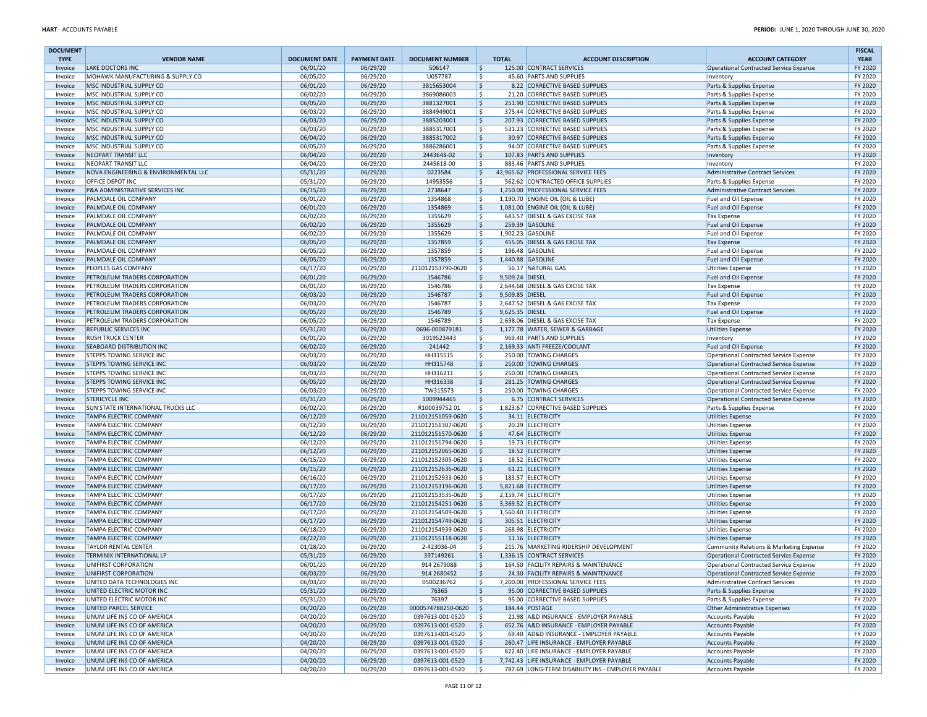| <b>DOCUMENT</b><br><b>TYPE</b> | <b>VENDOR NAME</b>                                             | <b>DOCUMENT DATE</b> | <b>PAYMENT DATE</b>  | <b>DOCUMENT NUMBER</b>                 | <b>TOTAL</b>                          | <b>ACCOUNT DESCRIPTION</b>                                                 | <b>ACCOUNT CATEGORY</b>                                                    | <b>FISCAL</b><br><b>YEAR</b> |
|--------------------------------|----------------------------------------------------------------|----------------------|----------------------|----------------------------------------|---------------------------------------|----------------------------------------------------------------------------|----------------------------------------------------------------------------|------------------------------|
| Invoice                        | LAKE DOCTORS INC                                               | 06/01/20             | 06/29/20             | 506147                                 | \$                                    | 125.00 CONTRACT SERVICES                                                   | Operational Contracted Service Expense                                     | FY 2020                      |
| Invoice                        | MOHAWK MANUFACTURING & SUPPLY CO                               | 06/05/20             | 06/29/20             | U057787                                | \$                                    | 45.60 PARTS AND SUPPLIES                                                   | Inventory                                                                  | FY 2020                      |
| Invoice                        | MSC INDUSTRIAL SUPPLY CO                                       | 06/01/20             | 06/29/20             | 3815653004                             | \$                                    | 8.22 CORRECTIVE BASED SUPPLIES                                             | Parts & Supplies Expense                                                   | FY 2020                      |
| Invoice                        | MSC INDUSTRIAL SUPPLY CO                                       | 06/02/20             | 06/29/20             | 3869086003                             | -\$                                   | 21.20 CORRECTIVE BASED SUPPLIES                                            | Parts & Supplies Expense                                                   | FY 2020                      |
| Invoice                        | MSC INDUSTRIAL SUPPLY CO                                       | 06/05/20             | 06/29/20             | 3881327001                             | \$                                    | 251.90 CORRECTIVE BASED SUPPLIES                                           | Parts & Supplies Expense                                                   | FY 2020                      |
| Invoice                        | MSC INDUSTRIAL SUPPLY CO                                       | 06/03/20             | 06/29/20             | 3884949001                             | \$<br> \$                             | 375.44 CORRECTIVE BASED SUPPLIES                                           | Parts & Supplies Expense                                                   | FY 2020<br>FY 2020           |
| Invoice                        | MSC INDUSTRIAL SUPPLY CO<br>MSC INDUSTRIAL SUPPLY CO           | 06/03/20<br>06/03/20 | 06/29/20<br>06/29/20 | 3885203001<br>3885317001               | \$                                    | 207.93 CORRECTIVE BASED SUPPLIES<br>531.23 CORRECTIVE BASED SUPPLIES       | Parts & Supplies Expense<br>Parts & Supplies Expense                       | FY 2020                      |
| Invoice<br>Invoice             | MSC INDUSTRIAL SUPPLY CO                                       | 06/04/20             | 06/29/20             | 3885317002                             | $\ddot{\varsigma}$                    | 30.97 CORRECTIVE BASED SUPPLIES                                            | Parts & Supplies Expense                                                   | FY 2020                      |
| Invoice                        | MSC INDUSTRIAL SUPPLY CO                                       | 06/05/20             | 06/29/20             | 3886286001                             | \$                                    | 94.07 CORRECTIVE BASED SUPPLIES                                            | Parts & Supplies Expense                                                   | FY 2020                      |
| Invoice                        | NEOPART TRANSIT LLC                                            | 06/04/20             | 06/29/20             | 2443648-02                             | $\ddot{\varsigma}$                    | 107.83 PARTS AND SUPPLIES                                                  | Inventory                                                                  | FY 2020                      |
| Invoice                        | NEOPART TRANSIT LLC                                            | 06/04/20             | 06/29/20             | 2445618-00                             | \$                                    | 883.46 PARTS AND SUPPLIES                                                  | Inventory                                                                  | FY 2020                      |
| Invoice                        | NOVA ENGINEERING & ENVIRONMENTAL LLC                           | 05/31/20             | 06/29/20             | 0223584                                | \$                                    | 42,965.62 PROFESSIONAL SERVICE FEES                                        | Administrative Contract Services                                           | FY 2020                      |
| Invoice                        | OFFICE DEPOT INC                                               | 05/31/20             | 06/29/20             | 14953556                               | \$                                    | 562.62 CONTRACTED OFFICE SUPPLIES                                          | Parts & Supplies Expense                                                   | FY 2020                      |
| Invoice                        | P&A ADMINISTRATIVE SERVICES INC                                | 06/15/20             | 06/29/20             | 2738647                                | \$                                    | 1,250.00 PROFESSIONAL SERVICE FEES                                         | Administrative Contract Services                                           | FY 2020                      |
| Invoice                        | PALMDALE OIL COMPANY                                           | 06/01/20             | 06/29/20             | 1354868                                | \$                                    | 1,190.70 ENGINE OIL (OIL & LUBE)                                           | Fuel and Oil Expense                                                       | FY 2020                      |
| Invoice                        | PALMDALE OIL COMPANY                                           | 06/01/20             | 06/29/20             | 1354869                                | \$                                    | 1,081.00 ENGINE OIL (OIL & LUBE)                                           | Fuel and Oil Expense                                                       | FY 2020                      |
| Invoice                        | PALMDALE OIL COMPANY                                           | 06/02/20             | 06/29/20             | 1355629                                | \$                                    | 643.57 DIESEL & GAS EXCISE TAX                                             | <b>Tax Expense</b>                                                         | FY 2020                      |
| Invoice                        | PALMDALE OIL COMPANY                                           | 06/02/20             | 06/29/20             | 1355629                                | 5                                     | 259.39 GASOLINE                                                            | Fuel and Oil Expense                                                       | FY 2020                      |
| Invoice                        | PALMDALE OIL COMPANY                                           | 06/02/20             | 06/29/20             | 1355629                                | \$                                    | 1,902.23 GASOLINE                                                          | Fuel and Oil Expense                                                       | FY 2020                      |
| Invoice                        | PALMDALE OIL COMPANY                                           | 06/05/20             | 06/29/20             | 1357859                                | S.                                    | 455.05 DIESEL & GAS EXCISE TAX                                             | <b>Tax Expense</b>                                                         | FY 2020                      |
| Invoice                        | PALMDALE OIL COMPANY                                           | 06/05/20             | 06/29/20             | 1357859                                | \$                                    | 196.48 GASOLINE                                                            | Fuel and Oil Expense                                                       | FY 2020                      |
| Invoice                        | PALMDALE OIL COMPANY                                           | 06/05/20             | 06/29/20             | 1357859                                | \$                                    | 1,440.88 GASOLINE                                                          | Fuel and Oil Expense                                                       | FY 2020                      |
| Invoice                        | PEOPLES GAS COMPANY                                            | 06/17/20             | 06/29/20             | 211012153790-0620                      | l \$                                  | 56.17 NATURAL GAS                                                          | <b>Utilities Expense</b>                                                   | FY 2020                      |
| Invoice                        | PETROLEUM TRADERS CORPORATION<br>PETROLEUM TRADERS CORPORATION | 06/01/20<br>06/01/20 | 06/29/20<br>06/29/20 | 1546786<br>1546786                     | \$<br>9,509.24 DIESEL<br>\$           | 2,644.68 DIESEL & GAS EXCISE TAX                                           | Fuel and Oil Expense                                                       | FY 2020<br>FY 2020           |
| Invoice<br>Invoice             | PETROLEUM TRADERS CORPORATION                                  | 06/03/20             | 06/29/20             | 1546787                                | $\ddot{\varsigma}$<br>9.509.85 DIESEL |                                                                            | <b>Tax Expense</b><br>Fuel and Oil Expense                                 | FY 2020                      |
| Invoice                        | PETROLEUM TRADERS CORPORATION                                  | 06/03/20             | 06/29/20             | 1546787                                | \$                                    | 2,647.52 DIESEL & GAS EXCISE TAX                                           | <b>Tax Expense</b>                                                         | FY 2020                      |
| Invoice                        | PETROLEUM TRADERS CORPORATION                                  | 06/05/20             | 06/29/20             | 1546789                                | S.<br>9,625.35 DIESEL                 |                                                                            | Fuel and Oil Expense                                                       | FY 2020                      |
| Invoice                        | PETROLEUM TRADERS CORPORATION                                  | 06/05/20             | 06/29/20             | 1546789                                | \$                                    | 2,698.06 DIESEL & GAS EXCISE TAX                                           | <b>Tax Expense</b>                                                         | FY 2020                      |
| Invoice                        | <b>REPUBLIC SERVICES INC</b>                                   | 05/31/20             | 06/29/20             | 0696-000879181                         | \$                                    | 1,177.78 WATER, SEWER & GARBAGE                                            | <b>Utilities Expense</b>                                                   | FY 2020                      |
| Invoice                        | <b>RUSH TRUCK CENTER</b>                                       | 06/01/20             | 06/29/20             | 3019523443                             | \$                                    | 969.40 PARTS AND SUPPLIES                                                  | Inventory                                                                  | FY 2020                      |
| Invoice                        | SEABOARD DISTRIBUTION INC                                      | 06/02/20             | 06/29/20             | 241442                                 | $\mathsf{\hat{S}}$                    | 2,169.33 ANTI FREEZE/COOLANT                                               | Fuel and Oil Expense                                                       | FY 2020                      |
| Invoice                        | STEPPS TOWING SERVICE INC                                      | 06/03/20             | 06/29/20             | HH315515                               | \$                                    | 250.00 TOWING CHARGES                                                      | Operational Contracted Service Expense                                     | FY 2020                      |
| Invoice                        | <b>STEPPS TOWING SERVICE INC</b>                               | 06/03/20             | 06/29/20             | HH315748                               | $\ddot{\varsigma}$                    | 250.00 TOWING CHARGES                                                      | Operational Contracted Service Expense                                     | FY 2020                      |
| Invoice                        | STEPPS TOWING SERVICE INC                                      | 06/03/20             | 06/29/20             | HH316211                               | \$                                    | 250.00 TOWING CHARGES                                                      | Operational Contracted Service Expense                                     | FY 2020                      |
| Invoice                        | <b>STEPPS TOWING SERVICE INC</b>                               | 06/05/20             | 06/29/20             | HH316338                               | $\ddot{\varsigma}$                    | 281.25 TOWING CHARGES                                                      | Operational Contracted Service Expense                                     | FY 2020                      |
| Invoice                        | STEPPS TOWING SERVICE INC                                      | 06/03/20             | 06/29/20             | TW315573                               | \$                                    | 250.00 TOWING CHARGES                                                      | Operational Contracted Service Expense                                     | FY 2020                      |
| Invoice                        | <b>STERICYCLE INC</b>                                          | 05/31/20             | 06/29/20             | 1009944465                             | \$                                    | 6.75 CONTRACT SERVICES                                                     | Operational Contracted Service Expense                                     | FY 2020                      |
| Invoice                        | <b>SUN STATE INTERNATIONAL TRUCKS LLC</b>                      | 06/02/20             | 06/29/20             | R10003975201                           | \$                                    | 1,823.67 CORRECTIVE BASED SUPPLIES                                         | Parts & Supplies Expense                                                   | FY 2020                      |
| Invoice                        | TAMPA ELECTRIC COMPANY<br><b>TAMPA ELECTRIC COMPANY</b>        | 06/12/20<br>06/12/20 | 06/29/20<br>06/29/20 | 211012151059-0620<br>211012151307-0620 | \$<br>-Ś                              | 34.11 ELECTRICITY<br>20.29 ELECTRICITY                                     | <b>Utilities Expense</b>                                                   | FY 2020<br>FY 2020           |
| Invoice<br>Invoice             | TAMPA ELECTRIC COMPANY                                         | 06/12/20             | 06/29/20             | 211012151570-0620                      | \$                                    | 47.64 ELECTRICITY                                                          | <b>Utilities Expense</b><br><b>Utilities Expense</b>                       | FY 2020                      |
| Invoice                        | TAMPA ELECTRIC COMPANY                                         | 06/12/20             | 06/29/20             | 211012151794-0620                      | -Ś                                    | 19.73 ELECTRICITY                                                          | <b>Utilities Expense</b>                                                   | FY 2020                      |
| Invoice                        | TAMPA ELECTRIC COMPANY                                         | 06/12/20             | 06/29/20             | 211012152065-0620                      | \$                                    | 18.52 ELECTRICITY                                                          | <b>Utilities Expense</b>                                                   | FY 2020                      |
| Invoice                        | TAMPA ELECTRIC COMPANY                                         | 06/15/20             | 06/29/20             | 211012152305-0620                      | -Ś                                    | 18.52 ELECTRICITY                                                          | <b>Utilities Expense</b>                                                   | FY 2020                      |
| Invoice                        | TAMPA ELECTRIC COMPANY                                         | 06/15/20             | 06/29/20             | 211012152636-0620                      | \$                                    | 61.21 ELECTRICITY                                                          | <b>Utilities Expense</b>                                                   | FY 2020                      |
| Invoice                        | TAMPA ELECTRIC COMPANY                                         | 06/16/20             | 06/29/20             | 211012152933-0620                      | \$                                    | 183.57 ELECTRICITY                                                         | <b>Utilities Expense</b>                                                   | FY 2020                      |
| Invoice                        | <b>TAMPA ELECTRIC COMPANY</b>                                  | 06/17/20             | 06/29/20             | 211012153196-0620                      | \$                                    | 5,821.68 ELECTRICITY                                                       | <b>Utilities Expense</b>                                                   | FY 2020                      |
| Invoice                        | <b>TAMPA ELECTRIC COMPANY</b>                                  | 06/17/20             | 06/29/20             | 211012153535-0620                      | -Ś                                    | 2,159.74 ELECTRICITY                                                       | <b>Utilities Expense</b>                                                   | FY 2020                      |
| Invoice                        | <b>TAMPA ELECTRIC COMPANY</b>                                  | 06/17/20             | 06/29/20             | 211012154251-0620                      | Ŝ.                                    | 3,369.52 ELECTRICITY                                                       | <b>Utilities Expense</b>                                                   | FY 2020                      |
| Invoice                        | TAMPA ELECTRIC COMPANY                                         | 06/17/20             | 06/29/20             | 211012154509-0620                      | -Ś                                    | 1,560.40 ELECTRICITY                                                       | <b>Utilities Expense</b>                                                   | FY 2020                      |
| Invoice                        | <b>TAMPA ELECTRIC COMPANY</b>                                  | 06/17/20             | 06/29/20             | 211012154749-0620                      | $\mathsf{S}$                          | 305.51 ELECTRICITY                                                         | <b>Utilities Expense</b>                                                   | FY 2020                      |
| Invoice                        | TAMPA ELECTRIC COMPANY                                         | 06/18/20             | 06/29/20             | 211012154939-0620                      | -Ś                                    | 268.98 ELECTRICITY                                                         | <b>Utilities Expense</b>                                                   | FY 2020                      |
| Invoice                        | <b>TAMPA ELECTRIC COMPANY</b>                                  | 06/22/20             | 06/29/20             | 211012155118-0620                      | l \$                                  | 11.16 ELECTRICITY                                                          | <b>Utilities Expense</b>                                                   | FY 2020                      |
| Invoice                        | TAYLOR RENTAL CENTER                                           | 01/28/20             | 06/29/20             | 2-423036-04                            | -Ś                                    | 215.76 MARKETING RIDERSHIP DEVELOPMENT                                     | Community Relations & Marketing Expense                                    | FY 2020                      |
| Invoice                        | TERMINIX INTERNATIONAL LP<br>UNIFIRST CORPORATION              | 05/31/20<br>06/01/20 | 06/29/20<br>06/29/20 | 397149261<br>914 2679088               | S.<br><sub>S</sub>                    | 1,336.15 CONTRACT SERVICES<br>164.50 FACILITY REPAIRS & MAINTENANCE        | Operational Contracted Service Expense                                     | FY 2020<br>FY 2020           |
| Invoice                        |                                                                |                      |                      | 914 2680452                            |                                       |                                                                            | Operational Contracted Service Expense                                     |                              |
| Invoice<br>Invoice             | UNIFIRST CORPORATION<br>UNITED DATA TECHNOLOGIES INC           | 06/03/20<br>06/03/20 | 06/29/20<br>06/29/20 | 0500236762                             | -S<br>\$                              | 24.30 FACILITY REPAIRS & MAINTENANCE<br>7,200.00 PROFESSIONAL SERVICE FEES | Operational Contracted Service Expense<br>Administrative Contract Services | FY 2020<br>FY 2020           |
| Invoice                        | UNITED ELECTRIC MOTOR INC                                      | 05/31/20             | 06/29/20             | 76365                                  | $\ddot{\varsigma}$                    | 95.00 CORRECTIVE BASED SUPPLIES                                            | Parts & Supplies Expense                                                   | FY 2020                      |
| Invoice                        | UNITED ELECTRIC MOTOR INC                                      | 05/31/20             | 06/29/20             | 76397                                  | \$                                    | 95.00 CORRECTIVE BASED SUPPLIES                                            | Parts & Supplies Expense                                                   | FY 2020                      |
| Invoice                        | UNITED PARCEL SERVICE                                          | 06/20/20             | 06/29/20             | 0000574788250-0620                     | \$                                    | 184.44 POSTAGE                                                             | Other Administrative Expenses                                              | FY 2020                      |
| Invoice                        | UNUM LIFE INS CO OF AMERICA                                    | 04/20/20             | 06/29/20             | 0397613-001-0520                       | \$                                    | 21.98 A&D INSURANCE - EMPLOYER PAYABLE                                     | Accounts Payable                                                           | FY 2020                      |
| Invoice                        | UNUM LIFE INS CO OF AMERICA                                    | 04/20/20             | 06/29/20             | 0397613-001-0520                       | 5                                     | 652.76 A&D INSURANCE - EMPLOYER PAYABLE                                    | Accounts Payable                                                           | FY 2020                      |
| Invoice                        | UNUM LIFE INS CO OF AMERICA                                    | 04/20/20             | 06/29/20             | 0397613-001-0520                       | \$                                    | 69.40 AD&D INSURANCE - EMPLOYER PAYABLE                                    | <b>Accounts Payable</b>                                                    | FY 2020                      |
| Invoice                        | UNUM LIFE INS CO OF AMERICA                                    | 04/20/20             | 06/29/20             | 0397613-001-0520                       | \$                                    | 260.47 LIFE INSURANCE - EMPLOYER PAYABLE                                   | Accounts Payable                                                           | FY 2020                      |
| Invoice                        | UNUM LIFE INS CO OF AMERICA                                    | 04/20/20             | 06/29/20             | 0397613-001-0520                       | \$                                    | 822.40 LIFE INSURANCE - EMPLOYER PAYABLE                                   | <b>Accounts Payable</b>                                                    | FY 2020                      |
| Invoice                        | UNUM LIFE INS CO OF AMERICA                                    | 04/20/20             | 06/29/20             | 0397613-001-0520                       | \$                                    | 7,742.43 LIFE INSURANCE - EMPLOYER PAYABLE                                 | <b>Accounts Payable</b>                                                    | FY 2020                      |
| Invoice                        | UNUM LIFE INS CO OF AMERICA                                    | 04/20/20             | 06/29/20             | 0397613-001-0520                       | l \$                                  | 787.69 LONG-TERM DISABILITY INS - EMPLOYER PAYABLE                         | <b>Accounts Payable</b>                                                    | FY 2020                      |